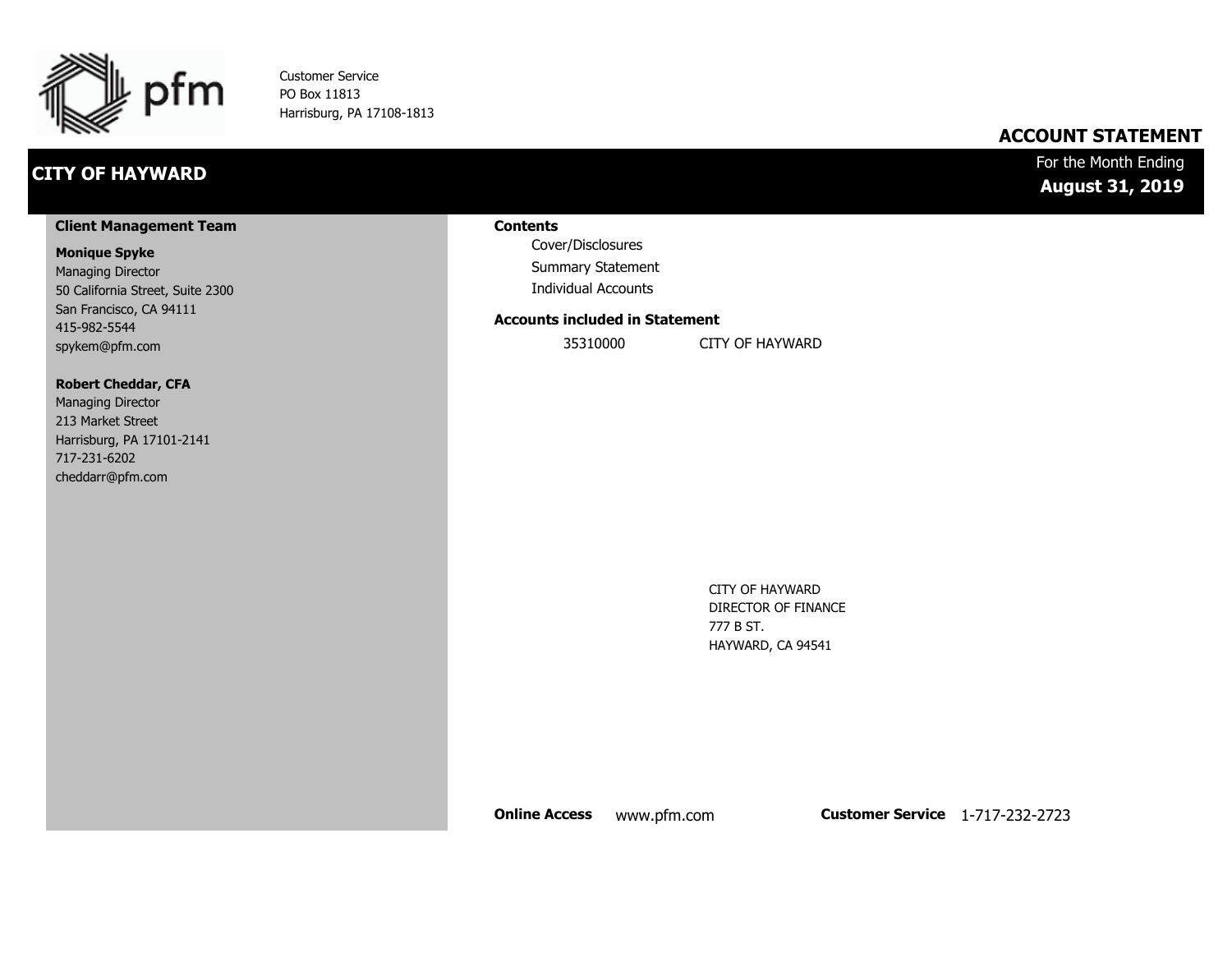

Customer Service PO Box 11813 Harrisburg, PA 17108-1813

## **CITY OF HAYWARD**

## **ACCOUNT STATEMENT**

### For the Month Ending **August 31, 2019**

#### **Client Management Team**

#### **Monique Spyke**

Managing Director 50 California Street, Suite 2300 San Francisco, CA 94111 415-982-5544 spykem@pfm.com

#### **Robert Cheddar, CFA**

| <b>Managing Director</b>  |
|---------------------------|
| 213 Market Street         |
| Harrisburg, PA 17101-2141 |
| 717-231-6202              |
| cheddarr@pfm.com          |

#### **Contents**

Cover/Disclosures Summary Statement Individual Accounts

#### **Accounts included in Statement**

35310000 CITY OF HAYWARD

CITY OF HAYWARD DIRECTOR OF FINANCE 777 B ST. HAYWARD, CA 94541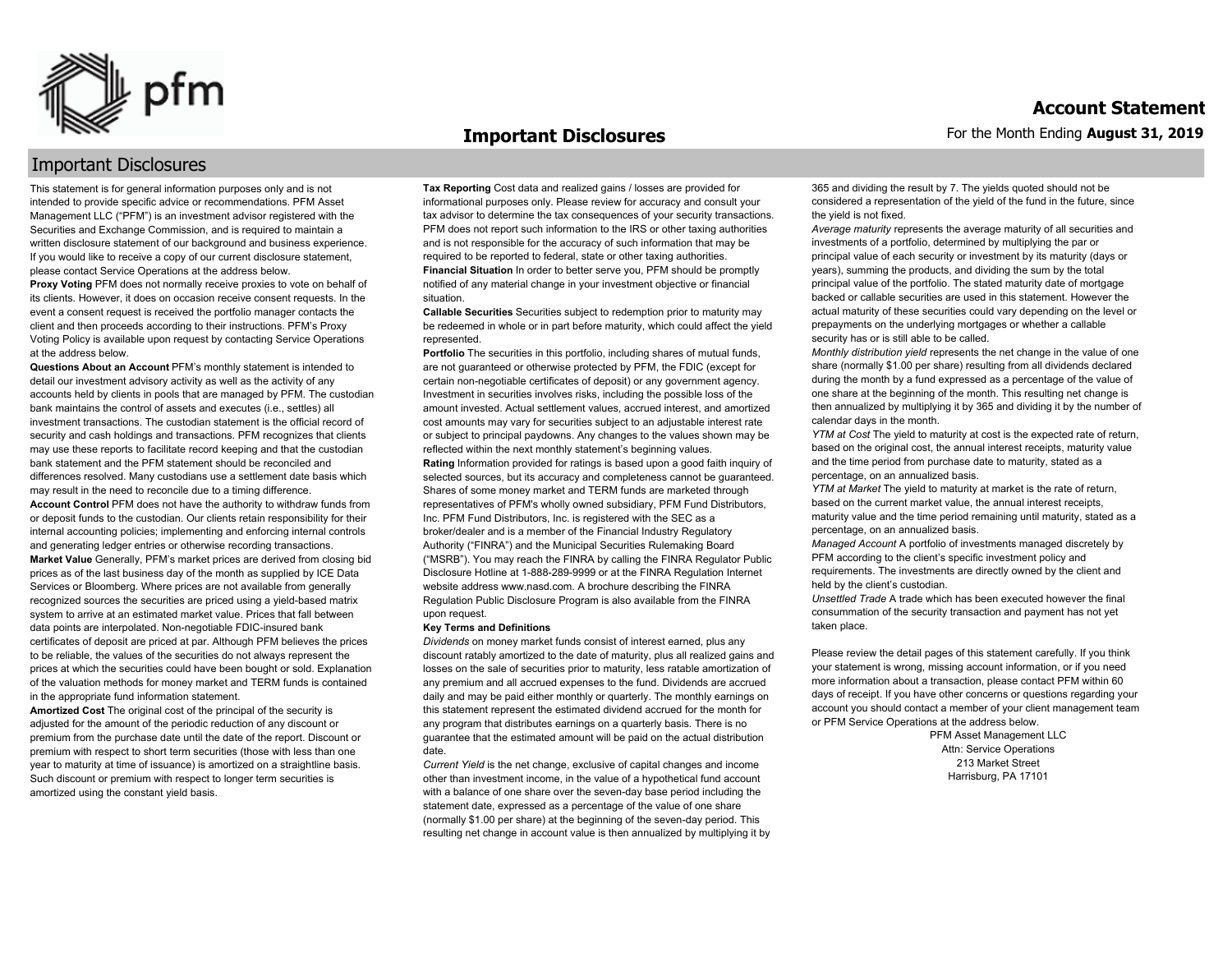

#### **Important Disclosures**

#### Important Disclosures

This statement is for general information purposes only and is not intended to provide specific advice or recommendations. PFM Asset Management LLC ("PFM") is an investment advisor registered with the Securities and Exchange Commission, and is required to maintain a written disclosure statement of our background and business experience. If you would like to receive a copy of our current disclosure statement, please contact Service Operations at the address below.

**Proxy Voting** PFM does not normally receive proxies to vote on behalf of its clients. However, it does on occasion receive consent requests. In the event a consent request is received the portfolio manager contacts the client and then proceeds according to their instructions. PFM's Proxy Voting Policy is available upon request by contacting Service Operations at the address below.

**Questions About an Account** PFM's monthly statement is intended to detail our investment advisory activity as well as the activity of any accounts held by clients in pools that are managed by PFM. The custodian bank maintains the control of assets and executes (i.e., settles) all investment transactions. The custodian statement is the official record of security and cash holdings and transactions. PFM recognizes that clients may use these reports to facilitate record keeping and that the custodian bank statement and the PFM statement should be reconciled and differences resolved. Many custodians use a settlement date basis which may result in the need to reconcile due to a timing difference. **Account Control** PFM does not have the authority to withdraw funds from or deposit funds to the custodian. Our clients retain responsibility for their internal accounting policies; implementing and enforcing internal controls and generating ledger entries or otherwise recording transactions. **Market Value** Generally, PFM's market prices are derived from closing bid prices as of the last business day of the month as supplied by ICE Data Services or Bloomberg. Where prices are not available from generally recognized sources the securities are priced using a yield-based matrix system to arrive at an estimated market value. Prices that fall between data points are interpolated. Non-negotiable FDIC-insured bank certificates of deposit are priced at par. Although PFM believes the prices to be reliable, the values of the securities do not always represent the prices at which the securities could have been bought or sold. Explanation of the valuation methods for money market and TERM funds is contained in the appropriate fund information statement.

**Amortized Cost** The original cost of the principal of the security is adjusted for the amount of the periodic reduction of any discount or premium from the purchase date until the date of the report. Discount or premium with respect to short term securities (those with less than one year to maturity at time of issuance) is amortized on a straightline basis. Such discount or premium with respect to longer term securities is amortized using the constant yield basis.

**Tax Reporting** Cost data and realized gains / losses are provided for informational purposes only. Please review for accuracy and consult your tax advisor to determine the tax consequences of your security transactions. PFM does not report such information to the IRS or other taxing authorities and is not responsible for the accuracy of such information that may be required to be reported to federal, state or other taxing authorities. **Financial Situation** In order to better serve you, PFM should be promptly notified of any material change in your investment objective or financial situation.

**Callable Securities** Securities subject to redemption prior to maturity may be redeemed in whole or in part before maturity, which could affect the yield represented.

Portfolio The securities in this portfolio, including shares of mutual funds, are not guaranteed or otherwise protected by PFM, the FDIC (except for certain non-negotiable certificates of deposit) or any government agency. Investment in securities involves risks, including the possible loss of the amount invested. Actual settlement values, accrued interest, and amortized cost amounts may vary for securities subject to an adjustable interest rate or subject to principal paydowns. Any changes to the values shown may be reflected within the next monthly statement's beginning values. **Rating** Information provided for ratings is based upon a good faith inquiry of selected sources, but its accuracy and completeness cannot be guaranteed. Shares of some money market and TERM funds are marketed through representatives of PFM's wholly owned subsidiary, PFM Fund Distributors, Inc. PFM Fund Distributors, Inc. is registered with the SEC as a broker/dealer and is a member of the Financial Industry Regulatory Authority ("FINRA") and the Municipal Securities Rulemaking Board ("MSRB"). You may reach the FINRA by calling the FINRA Regulator Public Disclosure Hotline at 1-888-289-9999 or at the FINRA Regulation Internet website address www.nasd.com. A brochure describing the FINRA Regulation Public Disclosure Program is also available from the FINRA upon request.

#### **Key Terms and Definitions**

*Dividends* on money market funds consist of interest earned, plus any discount ratably amortized to the date of maturity, plus all realized gains and losses on the sale of securities prior to maturity, less ratable amortization of any premium and all accrued expenses to the fund. Dividends are accrued daily and may be paid either monthly or quarterly. The monthly earnings on this statement represent the estimated dividend accrued for the month for any program that distributes earnings on a quarterly basis. There is no guarantee that the estimated amount will be paid on the actual distribution date.

*Current Yield* is the net change, exclusive of capital changes and income other than investment income, in the value of a hypothetical fund account with a balance of one share over the seven-day base period including the statement date, expressed as a percentage of the value of one share (normally \$1.00 per share) at the beginning of the seven-day period. This resulting net change in account value is then annualized by multiplying it by 365 and dividing the result by 7. The yields quoted should not be considered a representation of the yield of the fund in the future, since the yield is not fixed.

*Average maturity* represents the average maturity of all securities and investments of a portfolio, determined by multiplying the par or principal value of each security or investment by its maturity (days or years), summing the products, and dividing the sum by the total principal value of the portfolio. The stated maturity date of mortgage backed or callable securities are used in this statement. However the actual maturity of these securities could vary depending on the level or prepayments on the underlying mortgages or whether a callable security has or is still able to be called.

*Monthly distribution yield* represents the net change in the value of one share (normally \$1.00 per share) resulting from all dividends declared during the month by a fund expressed as a percentage of the value of one share at the beginning of the month. This resulting net change is then annualized by multiplying it by 365 and dividing it by the number of calendar days in the month.

*YTM at Cost* The yield to maturity at cost is the expected rate of return, based on the original cost, the annual interest receipts, maturity value and the time period from purchase date to maturity, stated as a percentage, on an annualized basis.

*YTM at Market* The yield to maturity at market is the rate of return, based on the current market value, the annual interest receipts, maturity value and the time period remaining until maturity, stated as a percentage, on an annualized basis.

*Managed Account* A portfolio of investments managed discretely by PFM according to the client's specific investment policy and requirements. The investments are directly owned by the client and held by the client's custodian.

*Unsettled Trade* A trade which has been executed however the final consummation of the security transaction and payment has not yet taken place.

Please review the detail pages of this statement carefully. If you think your statement is wrong, missing account information, or if you need more information about a transaction, please contact PFM within 60 days of receipt. If you have other concerns or questions regarding your account you should contact a member of your client management team or PFM Service Operations at the address below.

> PFM Asset Management LLC Attn: Service Operations 213 Market Street Harrisburg, PA 17101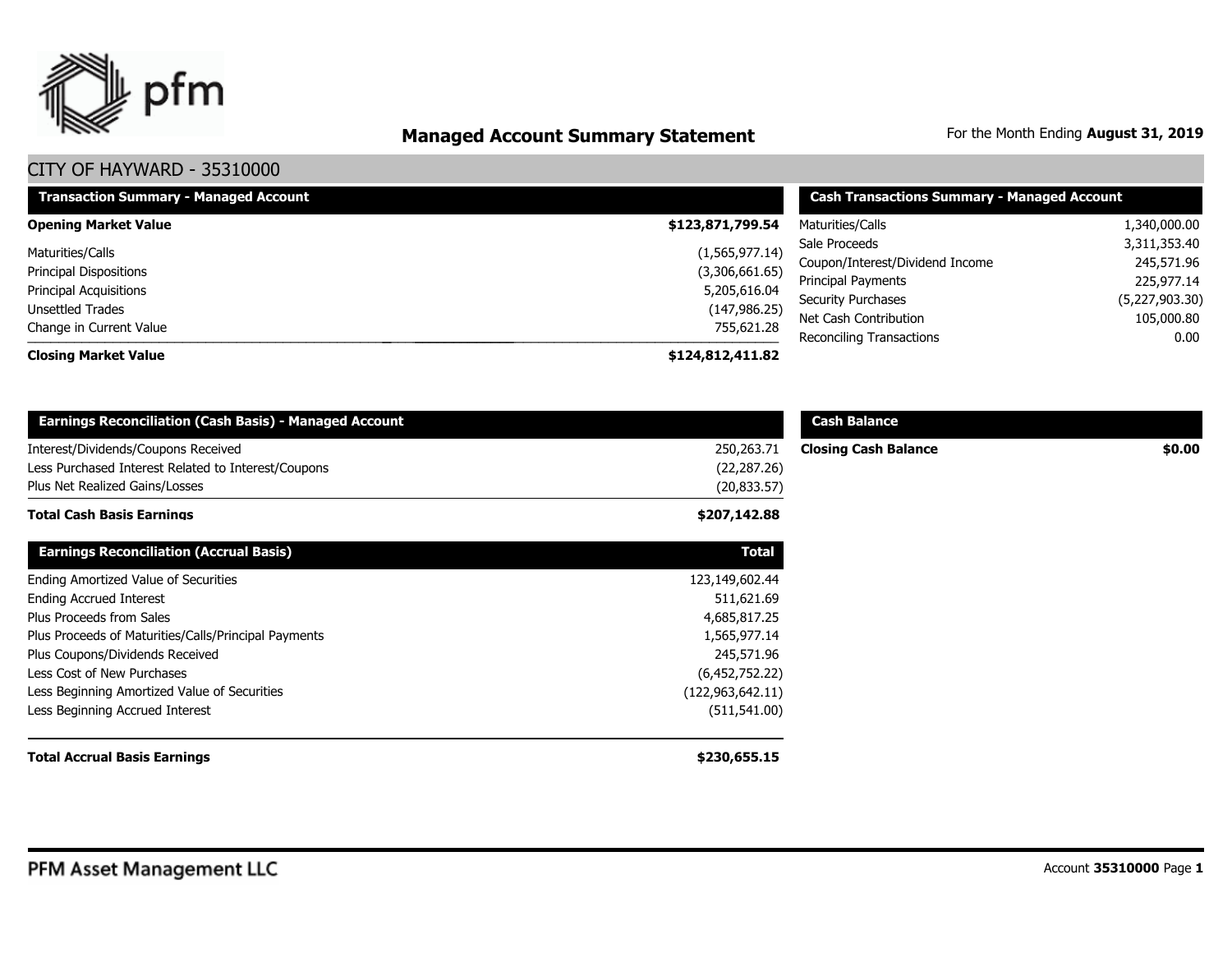

# **Managed Account Summary Statement** For the Month Ending August 31, 2019

| <b>Transaction Summary - Managed Account</b> | <b>Cash Transactions Summary - Managed Account</b> |                                 |                |
|----------------------------------------------|----------------------------------------------------|---------------------------------|----------------|
| <b>Opening Market Value</b>                  | \$123,871,799.54                                   | Maturities/Calls                | 1,340,000.00   |
| Maturities/Calls                             | (1,565,977.14)                                     | Sale Proceeds                   | 3,311,353.40   |
| <b>Principal Dispositions</b>                | (3,306,661.65)                                     | Coupon/Interest/Dividend Income | 245,571.96     |
| <b>Principal Acquisitions</b>                | 5,205,616.04                                       | <b>Principal Payments</b>       | 225,977.14     |
| Unsettled Trades                             | (147, 986.25)                                      | <b>Security Purchases</b>       | (5,227,903.30) |
| Change in Current Value                      | 755,621.28                                         | Net Cash Contribution           | 105,000.80     |
|                                              |                                                    | Reconciling Transactions        | 0.00           |
| <b>Closing Market Value</b>                  | \$124,812,411.82                                   |                                 |                |

| <b>Earnings Reconciliation (Cash Basis) - Managed Account</b>                                                                |                                            | <b>Cash Balance</b>         |        |
|------------------------------------------------------------------------------------------------------------------------------|--------------------------------------------|-----------------------------|--------|
| Interest/Dividends/Coupons Received<br>Less Purchased Interest Related to Interest/Coupons<br>Plus Net Realized Gains/Losses | 250,263.71<br>(22, 287.26)<br>(20, 833.57) | <b>Closing Cash Balance</b> | \$0.00 |
| <b>Total Cash Basis Earnings</b>                                                                                             | \$207,142.88                               |                             |        |
| <b>Earnings Reconciliation (Accrual Basis)</b>                                                                               | <b>Total</b>                               |                             |        |
| Ending Amortized Value of Securities                                                                                         | 123,149,602.44                             |                             |        |
| <b>Ending Accrued Interest</b>                                                                                               | 511,621.69                                 |                             |        |
| Plus Proceeds from Sales                                                                                                     | 4,685,817.25                               |                             |        |
| Plus Proceeds of Maturities/Calls/Principal Payments                                                                         | 1,565,977.14                               |                             |        |
| Plus Coupons/Dividends Received                                                                                              | 245,571.96                                 |                             |        |
| Less Cost of New Purchases                                                                                                   | (6,452,752.22)                             |                             |        |
| Less Beginning Amortized Value of Securities                                                                                 | (122, 963, 642.11)                         |                             |        |
| Less Beginning Accrued Interest                                                                                              | (511, 541.00)                              |                             |        |
| <b>Total Accrual Basis Earnings</b>                                                                                          | \$230,655.15                               |                             |        |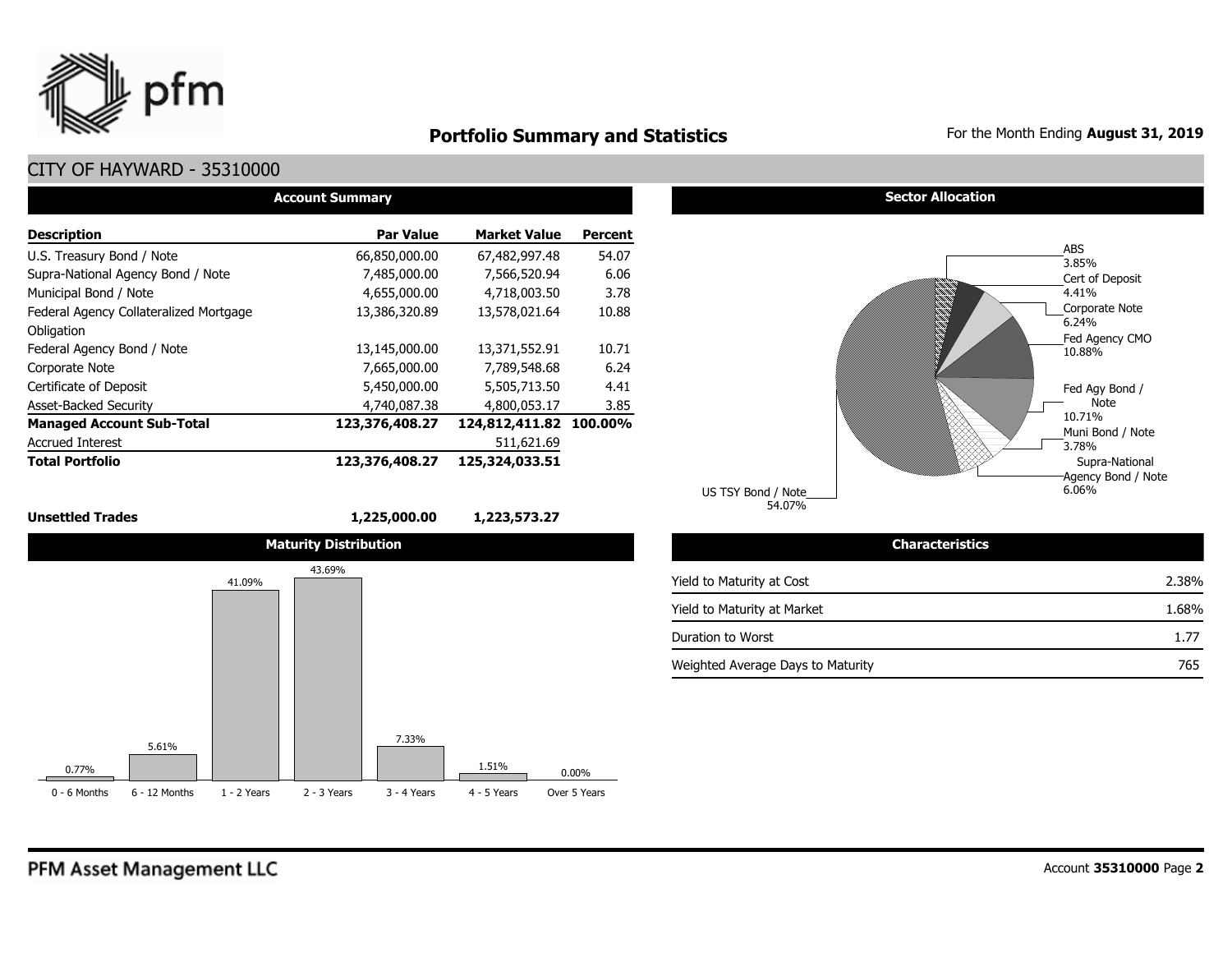

## **Portfolio Summary and Statistics** For the Month Ending August 31, 2019

## CITY OF HAYWARD - 35310000

| <b>Account Summary</b>                 |                  |                        |                |  |  |  |  |  |  |  |
|----------------------------------------|------------------|------------------------|----------------|--|--|--|--|--|--|--|
| <b>Description</b>                     | <b>Par Value</b> | <b>Market Value</b>    | <b>Percent</b> |  |  |  |  |  |  |  |
| U.S. Treasury Bond / Note              | 66,850,000.00    | 67,482,997.48          | 54.07          |  |  |  |  |  |  |  |
| Supra-National Agency Bond / Note      | 7,485,000.00     | 7,566,520.94           | 6.06           |  |  |  |  |  |  |  |
| Municipal Bond / Note                  | 4,655,000.00     | 4,718,003.50           | 3.78           |  |  |  |  |  |  |  |
| Federal Agency Collateralized Mortgage | 13,386,320.89    | 13,578,021.64          | 10.88          |  |  |  |  |  |  |  |
| Obligation                             |                  |                        |                |  |  |  |  |  |  |  |
| Federal Agency Bond / Note             | 13,145,000.00    | 13,371,552.91          | 10.71          |  |  |  |  |  |  |  |
| Corporate Note                         | 7,665,000.00     | 7,789,548.68           | 6.24           |  |  |  |  |  |  |  |
| Certificate of Deposit                 | 5,450,000.00     | 5,505,713.50           | 4.41           |  |  |  |  |  |  |  |
| <b>Asset-Backed Security</b>           | 4,740,087.38     | 4,800,053.17           | 3.85           |  |  |  |  |  |  |  |
| <b>Managed Account Sub-Total</b>       | 123,376,408.27   | 124,812,411.82 100.00% |                |  |  |  |  |  |  |  |
| <b>Accrued Interest</b>                |                  | 511,621.69             |                |  |  |  |  |  |  |  |
| <b>Total Portfolio</b>                 | 123,376,408.27   | 125,324,033.51         |                |  |  |  |  |  |  |  |

**Unsettled Trades 1,225,000.00 1,223,573.27** 



#### **Sector Allocation**



| <b>Characteristics</b>            |       |
|-----------------------------------|-------|
| Yield to Maturity at Cost         | 2.38% |
| Yield to Maturity at Market       | 1.68% |
| Duration to Worst                 | 1.77  |
| Weighted Average Days to Maturity | 765   |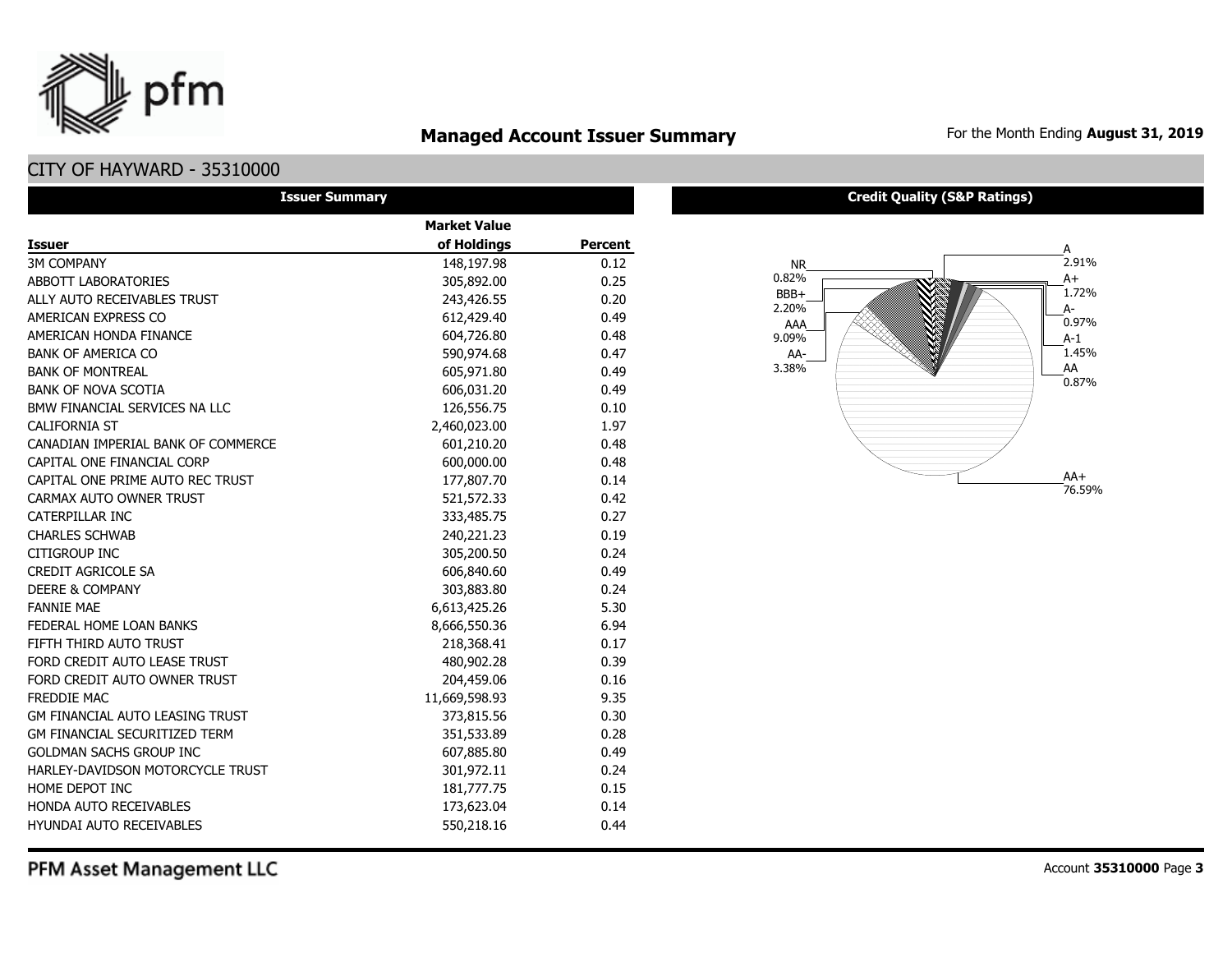## **Managed Account Issuer Summary** For the Month Ending August 31, 2019

## CITY OF HAYWARD - 35310000

pfm

| <b>Issuer Summary</b>                |                     |         |
|--------------------------------------|---------------------|---------|
|                                      | <b>Market Value</b> |         |
| <b>Issuer</b>                        | of Holdings         | Percent |
| <b>3M COMPANY</b>                    | 148,197.98          | 0.12    |
| ABBOTT LABORATORIES                  | 305,892.00          | 0.25    |
| ALLY AUTO RECEIVABLES TRUST          | 243,426.55          | 0.20    |
| AMERICAN EXPRESS CO                  | 612,429.40          | 0.49    |
| AMERICAN HONDA FINANCE               | 604,726.80          | 0.48    |
| <b>BANK OF AMERICA CO</b>            | 590,974.68          | 0.47    |
| <b>BANK OF MONTREAL</b>              | 605,971.80          | 0.49    |
| <b>BANK OF NOVA SCOTIA</b>           | 606,031.20          | 0.49    |
| BMW FINANCIAL SERVICES NA LLC        | 126,556.75          | 0.10    |
| <b>CALIFORNIA ST</b>                 | 2,460,023.00        | 1.97    |
| CANADIAN IMPERIAL BANK OF COMMERCE   | 601,210.20          | 0.48    |
| CAPITAL ONE FINANCIAL CORP           | 600,000.00          | 0.48    |
| CAPITAL ONE PRIME AUTO REC TRUST     | 177,807.70          | 0.14    |
| CARMAX AUTO OWNER TRUST              | 521,572.33          | 0.42    |
| <b>CATERPILLAR INC</b>               | 333,485.75          | 0.27    |
| <b>CHARLES SCHWAB</b>                | 240,221.23          | 0.19    |
| <b>CITIGROUP INC</b>                 | 305,200.50          | 0.24    |
| <b>CREDIT AGRICOLE SA</b>            | 606,840.60          | 0.49    |
| <b>DEERE &amp; COMPANY</b>           | 303,883.80          | 0.24    |
| <b>FANNIE MAE</b>                    | 6,613,425.26        | 5.30    |
| FEDERAL HOME LOAN BANKS              | 8,666,550.36        | 6.94    |
| FIFTH THIRD AUTO TRUST               | 218,368.41          | 0.17    |
| FORD CREDIT AUTO LEASE TRUST         | 480,902.28          | 0.39    |
| FORD CREDIT AUTO OWNER TRUST         | 204,459.06          | 0.16    |
| <b>FREDDIE MAC</b>                   | 11,669,598.93       | 9.35    |
| GM FINANCIAL AUTO LEASING TRUST      | 373,815.56          | 0.30    |
| <b>GM FINANCIAL SECURITIZED TERM</b> | 351,533.89          | 0.28    |
| <b>GOLDMAN SACHS GROUP INC</b>       | 607,885.80          | 0.49    |
| HARLEY-DAVIDSON MOTORCYCLE TRUST     | 301,972.11          | 0.24    |
| HOME DEPOT INC                       | 181,777.75          | 0.15    |
| HONDA AUTO RECEIVABLES               | 173,623.04          | 0.14    |
| <b>HYUNDAI AUTO RECEIVABLES</b>      | 550,218.16          | 0.44    |

#### **Credit Quality (S&P Ratings)**



PFM Asset Management LLC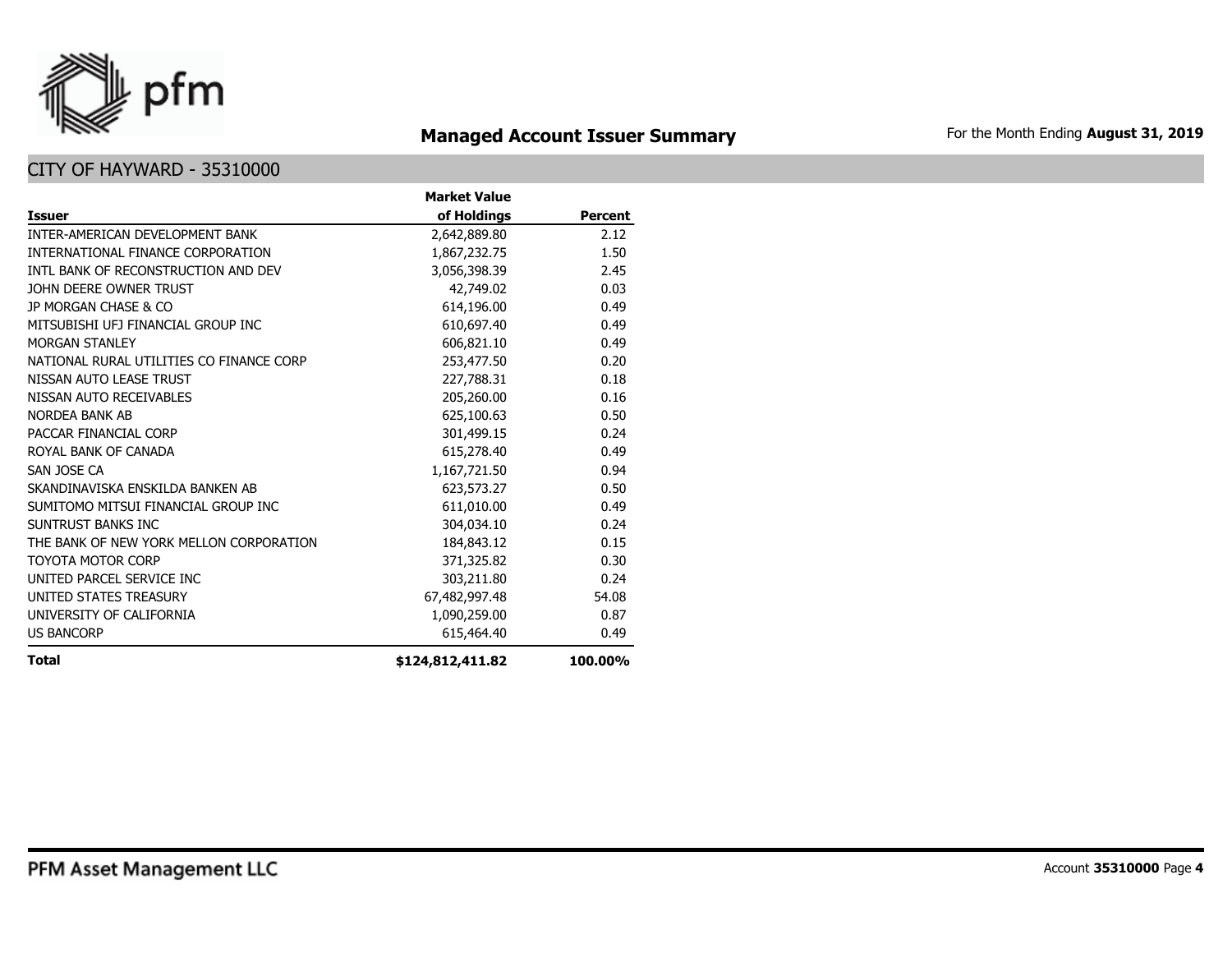

# **Managed Account Issuer Summary** For the Month Ending August 31, 2019

|                                          | <b>Market Value</b> |                |
|------------------------------------------|---------------------|----------------|
| <b>Issuer</b>                            | of Holdings         | <b>Percent</b> |
| <b>INTER-AMERICAN DEVELOPMENT BANK</b>   | 2,642,889.80        | 2.12           |
| INTERNATIONAL FINANCE CORPORATION        | 1,867,232.75        | 1.50           |
| INTL BANK OF RECONSTRUCTION AND DEV      | 3,056,398.39        | 2.45           |
| JOHN DEERE OWNER TRUST                   | 42,749.02           | 0.03           |
| JP MORGAN CHASE & CO                     | 614,196.00          | 0.49           |
| MITSUBISHI UFJ FINANCIAL GROUP INC       | 610,697.40          | 0.49           |
| <b>MORGAN STANLEY</b>                    | 606,821.10          | 0.49           |
| NATIONAL RURAL UTILITIES CO FINANCE CORP | 253,477.50          | 0.20           |
| NISSAN AUTO LEASE TRUST                  | 227,788.31          | 0.18           |
| NISSAN AUTO RECEIVABLES                  | 205,260.00          | 0.16           |
| NORDEA BANK AB                           | 625,100.63          | 0.50           |
| PACCAR FINANCIAL CORP                    | 301,499.15          | 0.24           |
| ROYAL BANK OF CANADA                     | 615,278.40          | 0.49           |
| SAN JOSE CA                              | 1,167,721.50        | 0.94           |
| SKANDINAVISKA ENSKILDA BANKEN AB         | 623,573.27          | 0.50           |
| SUMITOMO MITSUI FINANCIAL GROUP INC      | 611,010.00          | 0.49           |
| SUNTRUST BANKS INC                       | 304,034.10          | 0.24           |
| THE BANK OF NEW YORK MELLON CORPORATION  | 184,843.12          | 0.15           |
| <b>TOYOTA MOTOR CORP</b>                 | 371,325.82          | 0.30           |
| UNITED PARCEL SERVICE INC                | 303,211.80          | 0.24           |
| UNITED STATES TREASURY                   | 67,482,997.48       | 54.08          |
| UNIVERSITY OF CALIFORNIA                 | 1,090,259.00        | 0.87           |
| <b>US BANCORP</b>                        | 615,464.40          | 0.49           |
| <b>Total</b>                             | \$124,812,411.82    | 100.00%        |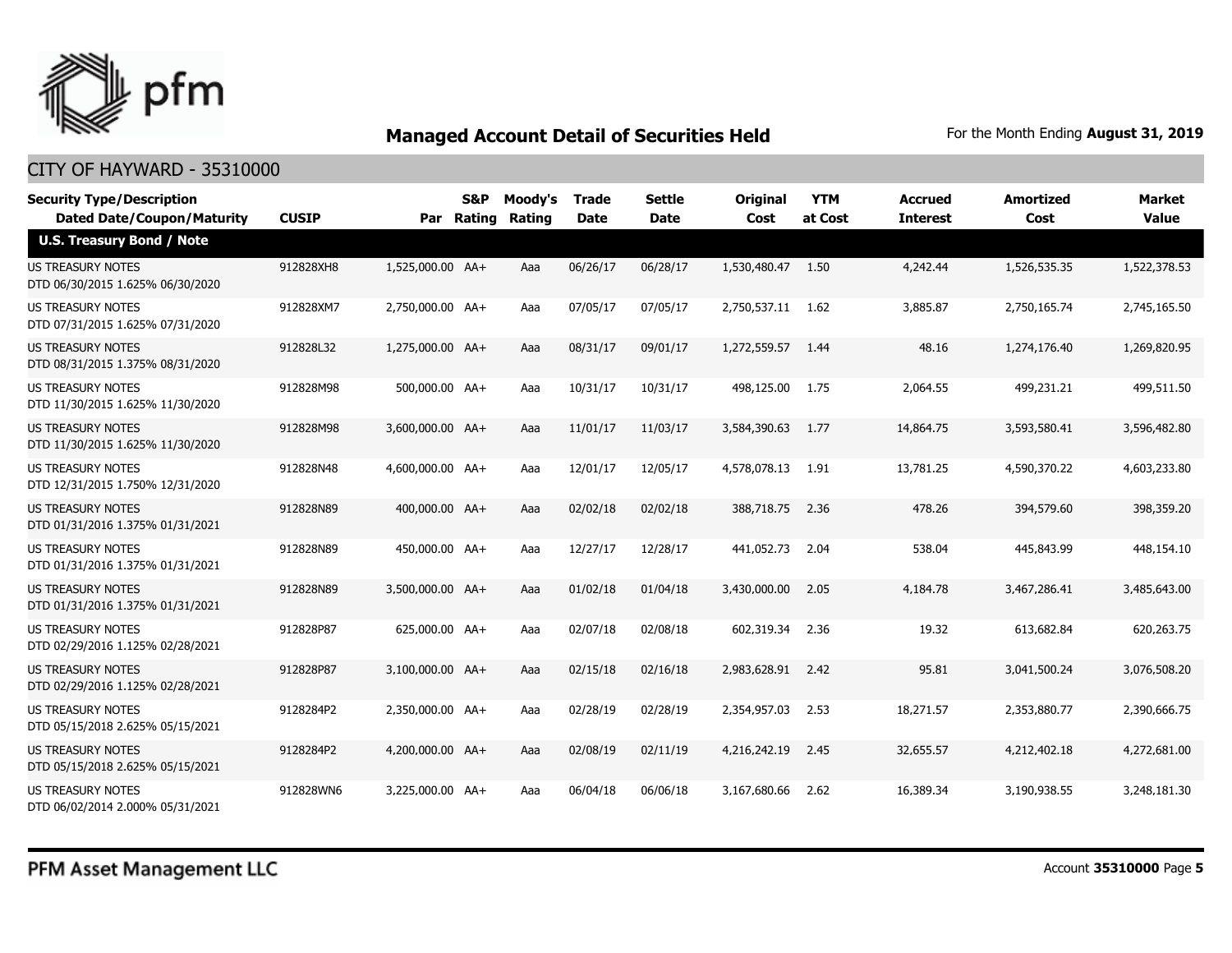

| <b>Security Type/Description</b><br><b>Dated Date/Coupon/Maturity</b> | <b>CUSIP</b> | Par              | S&P<br><b>Rating</b> | Moody's<br>Rating | <b>Trade</b><br><b>Date</b> | <b>Settle</b><br><b>Date</b> | <b>Original</b><br>Cost | <b>YTM</b><br>at Cost | <b>Accrued</b><br><b>Interest</b> | <b>Amortized</b><br>Cost | <b>Market</b><br><b>Value</b> |
|-----------------------------------------------------------------------|--------------|------------------|----------------------|-------------------|-----------------------------|------------------------------|-------------------------|-----------------------|-----------------------------------|--------------------------|-------------------------------|
| <b>U.S. Treasury Bond / Note</b>                                      |              |                  |                      |                   |                             |                              |                         |                       |                                   |                          |                               |
| <b>US TREASURY NOTES</b><br>DTD 06/30/2015 1.625% 06/30/2020          | 912828XH8    | 1,525,000.00 AA+ |                      | Aaa               | 06/26/17                    | 06/28/17                     | 1,530,480.47 1.50       |                       | 4,242.44                          | 1,526,535.35             | 1,522,378.53                  |
| US TREASURY NOTES<br>DTD 07/31/2015 1.625% 07/31/2020                 | 912828XM7    | 2,750,000.00 AA+ |                      | Aaa               | 07/05/17                    | 07/05/17                     | 2,750,537.11 1.62       |                       | 3,885.87                          | 2,750,165.74             | 2,745,165.50                  |
| US TREASURY NOTES<br>DTD 08/31/2015 1.375% 08/31/2020                 | 912828L32    | 1,275,000.00 AA+ |                      | Aaa               | 08/31/17                    | 09/01/17                     | 1,272,559.57            | -1.44                 | 48.16                             | 1,274,176.40             | 1,269,820.95                  |
| US TREASURY NOTES<br>DTD 11/30/2015 1.625% 11/30/2020                 | 912828M98    | 500,000.00 AA+   |                      | Aaa               | 10/31/17                    | 10/31/17                     | 498,125.00              | 1.75                  | 2,064.55                          | 499,231.21               | 499,511.50                    |
| <b>US TREASURY NOTES</b><br>DTD 11/30/2015 1.625% 11/30/2020          | 912828M98    | 3,600,000.00 AA+ |                      | Aaa               | 11/01/17                    | 11/03/17                     | 3,584,390.63            | 1.77                  | 14,864.75                         | 3,593,580.41             | 3,596,482.80                  |
| <b>US TREASURY NOTES</b><br>DTD 12/31/2015 1.750% 12/31/2020          | 912828N48    | 4,600,000.00 AA+ |                      | Aaa               | 12/01/17                    | 12/05/17                     | 4,578,078.13            | - 1.91                | 13,781.25                         | 4,590,370.22             | 4,603,233.80                  |
| US TREASURY NOTES<br>DTD 01/31/2016 1.375% 01/31/2021                 | 912828N89    | 400,000.00 AA+   |                      | Aaa               | 02/02/18                    | 02/02/18                     | 388,718.75              | 2.36                  | 478.26                            | 394,579.60               | 398,359.20                    |
| US TREASURY NOTES<br>DTD 01/31/2016 1.375% 01/31/2021                 | 912828N89    | 450,000.00 AA+   |                      | Aaa               | 12/27/17                    | 12/28/17                     | 441,052,73              | 2.04                  | 538.04                            | 445,843.99               | 448,154.10                    |
| US TREASURY NOTES<br>DTD 01/31/2016 1.375% 01/31/2021                 | 912828N89    | 3,500,000.00 AA+ |                      | Aaa               | 01/02/18                    | 01/04/18                     | 3,430,000.00            | 2.05                  | 4,184.78                          | 3,467,286.41             | 3,485,643.00                  |
| <b>US TREASURY NOTES</b><br>DTD 02/29/2016 1.125% 02/28/2021          | 912828P87    | 625,000.00 AA+   |                      | Aaa               | 02/07/18                    | 02/08/18                     | 602,319.34              | 2.36                  | 19.32                             | 613,682.84               | 620,263.75                    |
| <b>US TREASURY NOTES</b><br>DTD 02/29/2016 1.125% 02/28/2021          | 912828P87    | 3.100.000.00 AA+ |                      | Aaa               | 02/15/18                    | 02/16/18                     | 2,983,628.91            | 2.42                  | 95.81                             | 3,041,500.24             | 3,076,508,20                  |
| <b>US TREASURY NOTES</b><br>DTD 05/15/2018 2.625% 05/15/2021          | 9128284P2    | 2,350,000.00 AA+ |                      | Aaa               | 02/28/19                    | 02/28/19                     | 2,354,957.03            | 2.53                  | 18,271.57                         | 2,353,880.77             | 2,390,666.75                  |
| <b>US TREASURY NOTES</b><br>DTD 05/15/2018 2.625% 05/15/2021          | 9128284P2    | 4,200,000.00 AA+ |                      | Aaa               | 02/08/19                    | 02/11/19                     | 4,216,242.19            | 2.45                  | 32,655.57                         | 4,212,402.18             | 4,272,681.00                  |
| <b>US TREASURY NOTES</b><br>DTD 06/02/2014 2.000% 05/31/2021          | 912828WN6    | 3,225,000.00 AA+ |                      | Aaa               | 06/04/18                    | 06/06/18                     | 3,167,680,66            | 2.62                  | 16,389.34                         | 3,190,938.55             | 3,248,181.30                  |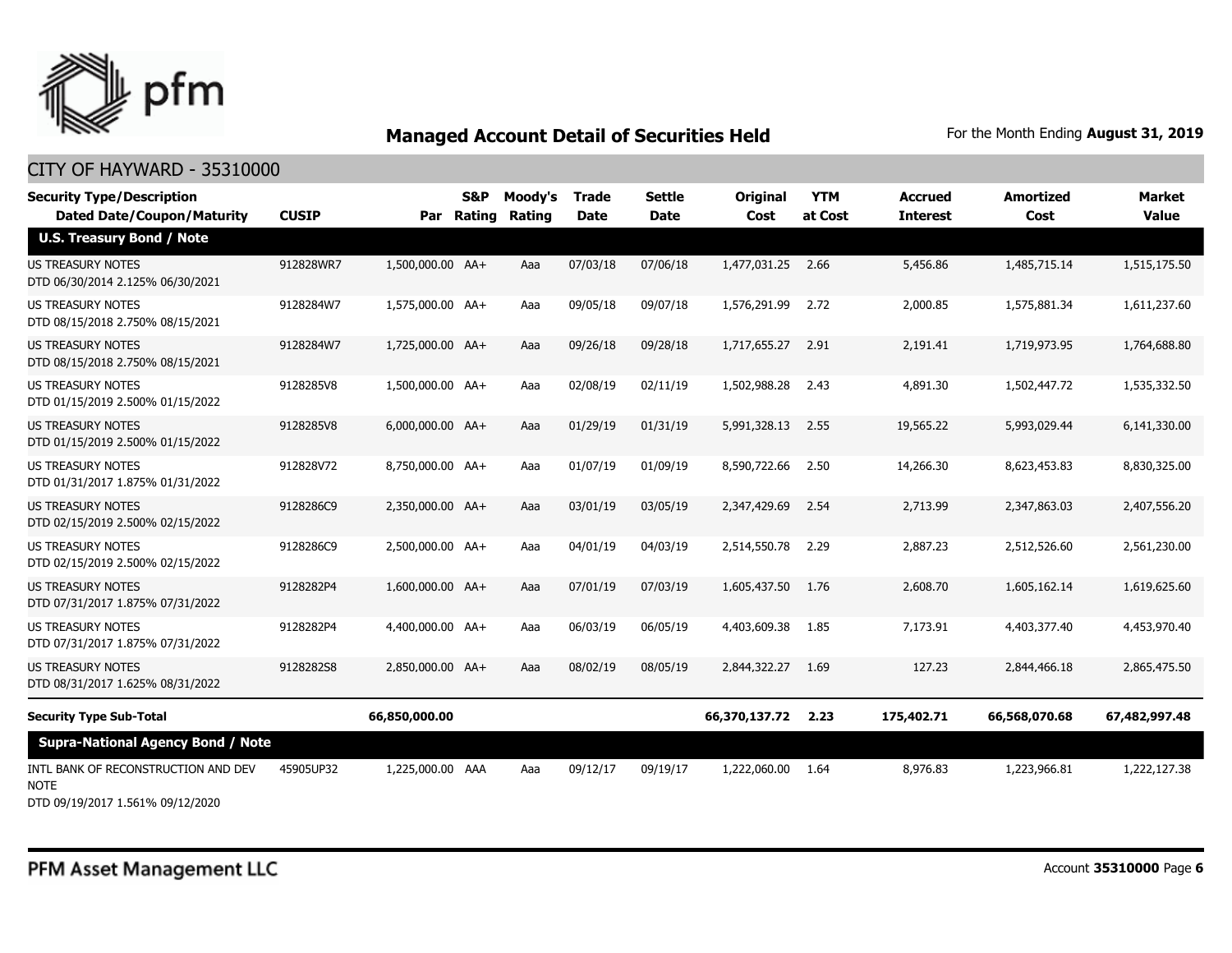

#### CITY OF HAYWARD - 35310000

| <b>Security Type/Description</b><br><b>Dated Date/Coupon/Maturity</b> | <b>CUSIP</b> |                  | S&P<br>Par Rating | Moody's<br><b>Rating</b> | Trade<br><b>Date</b> | <b>Settle</b><br><b>Date</b> | Original<br>Cost | <b>YTM</b><br>at Cost | <b>Accrued</b><br><b>Interest</b> | <b>Amortized</b><br>Cost | <b>Market</b><br><b>Value</b> |
|-----------------------------------------------------------------------|--------------|------------------|-------------------|--------------------------|----------------------|------------------------------|------------------|-----------------------|-----------------------------------|--------------------------|-------------------------------|
| <b>U.S. Treasury Bond / Note</b>                                      |              |                  |                   |                          |                      |                              |                  |                       |                                   |                          |                               |
| <b>US TREASURY NOTES</b><br>DTD 06/30/2014 2.125% 06/30/2021          | 912828WR7    | 1,500,000.00 AA+ |                   | Aaa                      | 07/03/18             | 07/06/18                     | 1,477,031.25     | 2.66                  | 5,456.86                          | 1,485,715.14             | 1,515,175.50                  |
| <b>US TREASURY NOTES</b><br>DTD 08/15/2018 2.750% 08/15/2021          | 9128284W7    | 1,575,000.00 AA+ |                   | Aaa                      | 09/05/18             | 09/07/18                     | 1,576,291.99     | 2.72                  | 2,000.85                          | 1,575,881.34             | 1,611,237.60                  |
| <b>US TREASURY NOTES</b><br>DTD 08/15/2018 2.750% 08/15/2021          | 9128284W7    | 1,725,000.00 AA+ |                   | Aaa                      | 09/26/18             | 09/28/18                     | 1,717,655,27     | 2.91                  | 2,191.41                          | 1,719,973.95             | 1,764,688.80                  |
| <b>US TREASURY NOTES</b><br>DTD 01/15/2019 2.500% 01/15/2022          | 9128285V8    | 1,500,000.00 AA+ |                   | Aaa                      | 02/08/19             | 02/11/19                     | 1,502,988.28     | 2.43                  | 4,891.30                          | 1,502,447.72             | 1,535,332.50                  |
| <b>US TREASURY NOTES</b><br>DTD 01/15/2019 2.500% 01/15/2022          | 9128285V8    | 6,000,000.00 AA+ |                   | Aaa                      | 01/29/19             | 01/31/19                     | 5,991,328.13     | 2.55                  | 19,565.22                         | 5,993,029.44             | 6,141,330.00                  |
| US TREASURY NOTES<br>DTD 01/31/2017 1.875% 01/31/2022                 | 912828V72    | 8,750,000.00 AA+ |                   | Aaa                      | 01/07/19             | 01/09/19                     | 8,590,722.66     | 2.50                  | 14,266.30                         | 8,623,453.83             | 8,830,325.00                  |
| <b>US TREASURY NOTES</b><br>DTD 02/15/2019 2.500% 02/15/2022          | 9128286C9    | 2,350,000.00 AA+ |                   | Aaa                      | 03/01/19             | 03/05/19                     | 2,347,429.69     | 2.54                  | 2,713.99                          | 2,347,863.03             | 2,407,556.20                  |
| US TREASURY NOTES<br>DTD 02/15/2019 2.500% 02/15/2022                 | 9128286C9    | 2,500,000.00 AA+ |                   | Aaa                      | 04/01/19             | 04/03/19                     | 2,514,550.78     | 2.29                  | 2,887.23                          | 2,512,526.60             | 2,561,230.00                  |
| <b>US TREASURY NOTES</b><br>DTD 07/31/2017 1.875% 07/31/2022          | 9128282P4    | 1,600,000.00 AA+ |                   | Aaa                      | 07/01/19             | 07/03/19                     | 1,605,437.50     | 1.76                  | 2,608.70                          | 1,605,162.14             | 1,619,625.60                  |
| <b>US TREASURY NOTES</b><br>DTD 07/31/2017 1.875% 07/31/2022          | 9128282P4    | 4,400,000.00 AA+ |                   | Aaa                      | 06/03/19             | 06/05/19                     | 4,403,609.38     | 1.85                  | 7,173.91                          | 4,403,377.40             | 4,453,970.40                  |
| <b>US TREASURY NOTES</b><br>DTD 08/31/2017 1.625% 08/31/2022          | 9128282S8    | 2,850,000.00 AA+ |                   | Aaa                      | 08/02/19             | 08/05/19                     | 2,844,322.27     | 1.69                  | 127.23                            | 2,844,466.18             | 2,865,475.50                  |
| <b>Security Type Sub-Total</b>                                        |              | 66,850,000.00    |                   |                          |                      |                              | 66,370,137.72    | 2.23                  | 175,402.71                        | 66,568,070.68            | 67,482,997.48                 |
| <b>Supra-National Agency Bond / Note</b>                              |              |                  |                   |                          |                      |                              |                  |                       |                                   |                          |                               |
| INTL BANK OF RECONSTRUCTION AND DEV<br><b>NOTE</b>                    | 45905UP32    | 1,225,000.00 AAA |                   | Aaa                      | 09/12/17             | 09/19/17                     | 1,222,060.00     | 1.64                  | 8,976.83                          | 1,223,966.81             | 1,222,127.38                  |

DTD 09/19/2017 1.561% 09/12/2020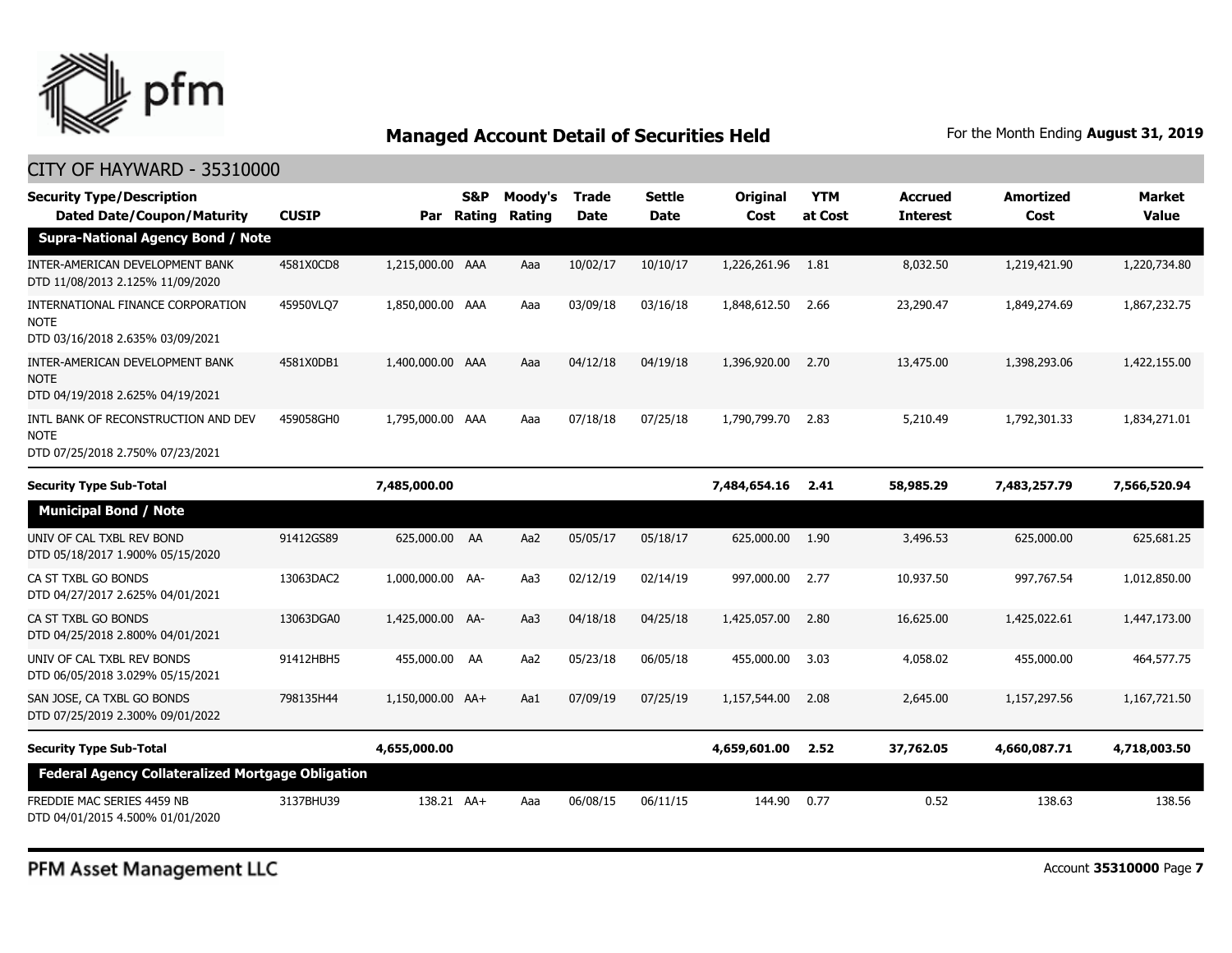

| <b>Security Type/Description</b><br><b>Dated Date/Coupon/Maturity</b>                  | <b>CUSIP</b> |                  | S&P<br>Par Rating | Moody's<br>Rating | <b>Trade</b><br><b>Date</b> | <b>Settle</b><br>Date | Original<br>Cost | <b>YTM</b><br>at Cost | <b>Accrued</b><br><b>Interest</b> | <b>Amortized</b><br>Cost | <b>Market</b><br><b>Value</b> |
|----------------------------------------------------------------------------------------|--------------|------------------|-------------------|-------------------|-----------------------------|-----------------------|------------------|-----------------------|-----------------------------------|--------------------------|-------------------------------|
| <b>Supra-National Agency Bond / Note</b>                                               |              |                  |                   |                   |                             |                       |                  |                       |                                   |                          |                               |
| INTER-AMERICAN DEVELOPMENT BANK<br>DTD 11/08/2013 2.125% 11/09/2020                    | 4581X0CD8    | 1,215,000.00 AAA |                   | Aaa               | 10/02/17                    | 10/10/17              | 1,226,261.96     | 1.81                  | 8,032.50                          | 1,219,421.90             | 1,220,734.80                  |
| INTERNATIONAL FINANCE CORPORATION<br>NOTE<br>DTD 03/16/2018 2.635% 03/09/2021          | 45950VLQ7    | 1,850,000.00 AAA |                   | Aaa               | 03/09/18                    | 03/16/18              | 1,848,612.50     | 2.66                  | 23,290.47                         | 1,849,274.69             | 1,867,232.75                  |
| INTER-AMERICAN DEVELOPMENT BANK<br>NOTE<br>DTD 04/19/2018 2.625% 04/19/2021            | 4581X0DB1    | 1,400,000.00 AAA |                   | Aaa               | 04/12/18                    | 04/19/18              | 1,396,920.00     | 2.70                  | 13,475.00                         | 1,398,293.06             | 1,422,155.00                  |
| INTL BANK OF RECONSTRUCTION AND DEV<br><b>NOTE</b><br>DTD 07/25/2018 2.750% 07/23/2021 | 459058GH0    | 1,795,000.00 AAA |                   | Aaa               | 07/18/18                    | 07/25/18              | 1,790,799.70     | 2.83                  | 5,210.49                          | 1,792,301.33             | 1,834,271.01                  |
| <b>Security Type Sub-Total</b>                                                         |              | 7,485,000.00     |                   |                   |                             |                       | 7,484,654.16     | 2.41                  | 58,985.29                         | 7,483,257.79             | 7,566,520.94                  |
| <b>Municipal Bond / Note</b>                                                           |              |                  |                   |                   |                             |                       |                  |                       |                                   |                          |                               |
| UNIV OF CAL TXBL REV BOND<br>DTD 05/18/2017 1.900% 05/15/2020                          | 91412GS89    | 625,000.00 AA    |                   | Aa2               | 05/05/17                    | 05/18/17              | 625,000.00       | 1.90                  | 3,496.53                          | 625,000.00               | 625,681.25                    |
| CA ST TXBL GO BONDS<br>DTD 04/27/2017 2.625% 04/01/2021                                | 13063DAC2    | 1,000,000.00 AA- |                   | Aa3               | 02/12/19                    | 02/14/19              | 997,000.00       | 2.77                  | 10,937.50                         | 997,767.54               | 1,012,850.00                  |
| CA ST TXBL GO BONDS<br>DTD 04/25/2018 2.800% 04/01/2021                                | 13063DGA0    | 1,425,000.00 AA- |                   | Aa3               | 04/18/18                    | 04/25/18              | 1,425,057.00     | 2.80                  | 16,625.00                         | 1,425,022.61             | 1,447,173.00                  |
| UNIV OF CAL TXBL REV BONDS<br>DTD 06/05/2018 3.029% 05/15/2021                         | 91412HBH5    | 455,000.00 AA    |                   | Aa2               | 05/23/18                    | 06/05/18              | 455,000.00       | 3.03                  | 4,058.02                          | 455,000.00               | 464,577.75                    |
| SAN JOSE, CA TXBL GO BONDS<br>DTD 07/25/2019 2.300% 09/01/2022                         | 798135H44    | 1,150,000.00 AA+ |                   | Aa1               | 07/09/19                    | 07/25/19              | 1,157,544.00     | 2.08                  | 2,645.00                          | 1,157,297.56             | 1,167,721.50                  |
| <b>Security Type Sub-Total</b>                                                         |              | 4,655,000.00     |                   |                   |                             |                       | 4,659,601.00     | 2.52                  | 37,762.05                         | 4,660,087.71             | 4,718,003.50                  |
| <b>Federal Agency Collateralized Mortgage Obligation</b>                               |              |                  |                   |                   |                             |                       |                  |                       |                                   |                          |                               |
| FREDDIE MAC SERIES 4459 NB<br>DTD 04/01/2015 4.500% 01/01/2020                         | 3137BHU39    | 138.21 AA+       |                   | Aaa               | 06/08/15                    | 06/11/15              | 144.90           | 0.77                  | 0.52                              | 138.63                   | 138.56                        |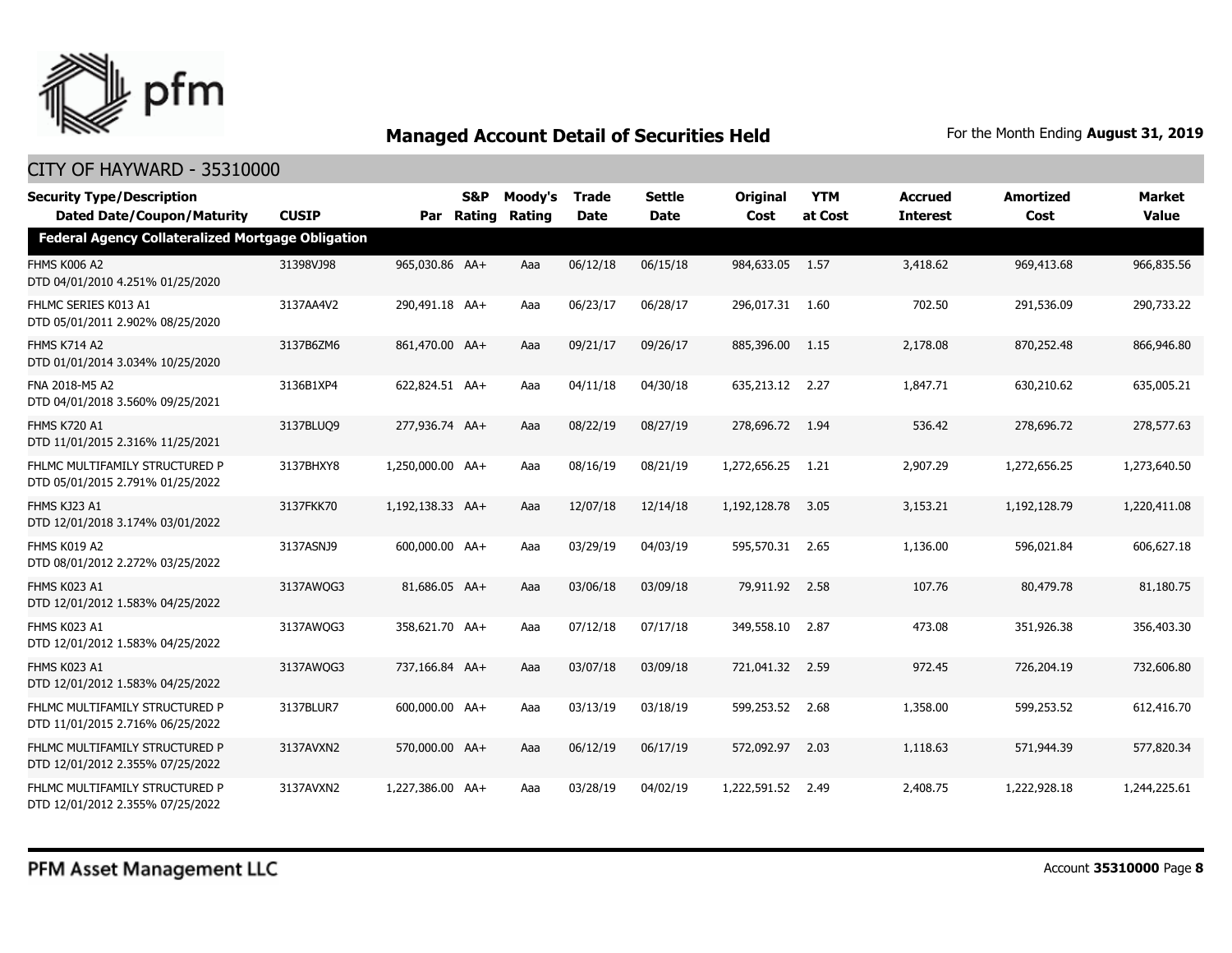

| <b>Security Type/Description</b>                                   |              |                  | S&P        | Moody's | <b>Trade</b> | <b>Settle</b> | Original        | <b>YTM</b> | <b>Accrued</b>  | <b>Amortized</b> | <b>Market</b> |
|--------------------------------------------------------------------|--------------|------------------|------------|---------|--------------|---------------|-----------------|------------|-----------------|------------------|---------------|
| <b>Dated Date/Coupon/Maturity</b>                                  | <b>CUSIP</b> |                  | Par Rating | Rating  | <b>Date</b>  | <b>Date</b>   | Cost            | at Cost    | <b>Interest</b> | Cost             | <b>Value</b>  |
| <b>Federal Agency Collateralized Mortgage Obligation</b>           |              |                  |            |         |              |               |                 |            |                 |                  |               |
| <b>FHMS K006 A2</b><br>DTD 04/01/2010 4.251% 01/25/2020            | 31398VJ98    | 965,030.86 AA+   |            | Aaa     | 06/12/18     | 06/15/18      | 984,633.05 1.57 |            | 3,418.62        | 969,413.68       | 966,835.56    |
| FHLMC SERIES K013 A1<br>DTD 05/01/2011 2.902% 08/25/2020           | 3137AA4V2    | 290,491.18 AA+   |            | Aaa     | 06/23/17     | 06/28/17      | 296,017.31 1.60 |            | 702.50          | 291,536.09       | 290,733.22    |
| <b>FHMS K714 A2</b><br>DTD 01/01/2014 3.034% 10/25/2020            | 3137B6ZM6    | 861,470.00 AA+   |            | Aaa     | 09/21/17     | 09/26/17      | 885,396.00      | - 1.15     | 2,178.08        | 870,252.48       | 866,946.80    |
| FNA 2018-M5 A2<br>DTD 04/01/2018 3.560% 09/25/2021                 | 3136B1XP4    | 622,824.51 AA+   |            | Aaa     | 04/11/18     | 04/30/18      | 635,213.12 2.27 |            | 1,847.71        | 630,210.62       | 635,005.21    |
| <b>FHMS K720 A1</b><br>DTD 11/01/2015 2.316% 11/25/2021            | 3137BLUQ9    | 277,936.74 AA+   |            | Aaa     | 08/22/19     | 08/27/19      | 278,696.72      | 1.94       | 536.42          | 278,696.72       | 278,577.63    |
| FHLMC MULTIFAMILY STRUCTURED P<br>DTD 05/01/2015 2.791% 01/25/2022 | 3137BHXY8    | 1,250,000.00 AA+ |            | Aaa     | 08/16/19     | 08/21/19      | 1,272,656.25    | 1.21       | 2,907.29        | 1,272,656.25     | 1,273,640.50  |
| FHMS KJ23 A1<br>DTD 12/01/2018 3.174% 03/01/2022                   | 3137FKK70    | 1,192,138.33 AA+ |            | Aaa     | 12/07/18     | 12/14/18      | 1,192,128.78    | 3.05       | 3,153.21        | 1,192,128.79     | 1,220,411.08  |
| FHMS K019 A2<br>DTD 08/01/2012 2.272% 03/25/2022                   | 3137ASNJ9    | 600,000.00 AA+   |            | Aaa     | 03/29/19     | 04/03/19      | 595,570.31 2.65 |            | 1,136.00        | 596,021.84       | 606,627.18    |
| FHMS K023 A1<br>DTD 12/01/2012 1.583% 04/25/2022                   | 3137AWQG3    | 81,686.05 AA+    |            | Aaa     | 03/06/18     | 03/09/18      | 79,911.92 2.58  |            | 107.76          | 80,479.78        | 81,180.75     |
| FHMS K023 A1<br>DTD 12/01/2012 1.583% 04/25/2022                   | 3137AWQG3    | 358,621.70 AA+   |            | Aaa     | 07/12/18     | 07/17/18      | 349,558.10 2.87 |            | 473.08          | 351,926.38       | 356,403.30    |
| FHMS K023 A1<br>DTD 12/01/2012 1.583% 04/25/2022                   | 3137AWQG3    | 737,166.84 AA+   |            | Aaa     | 03/07/18     | 03/09/18      | 721.041.32 2.59 |            | 972.45          | 726,204.19       | 732,606.80    |
| FHLMC MULTIFAMILY STRUCTURED P<br>DTD 11/01/2015 2.716% 06/25/2022 | 3137BLUR7    | 600,000.00 AA+   |            | Aaa     | 03/13/19     | 03/18/19      | 599,253.52 2.68 |            | 1,358.00        | 599,253.52       | 612,416.70    |
| FHLMC MULTIFAMILY STRUCTURED P<br>DTD 12/01/2012 2.355% 07/25/2022 | 3137AVXN2    | 570,000.00 AA+   |            | Aaa     | 06/12/19     | 06/17/19      | 572,092.97 2.03 |            | 1,118.63        | 571,944.39       | 577,820.34    |
| FHLMC MULTIFAMILY STRUCTURED P<br>DTD 12/01/2012 2.355% 07/25/2022 | 3137AVXN2    | 1,227,386.00 AA+ |            | Aaa     | 03/28/19     | 04/02/19      | 1,222,591.52    | 2.49       | 2,408.75        | 1,222,928.18     | 1,244,225.61  |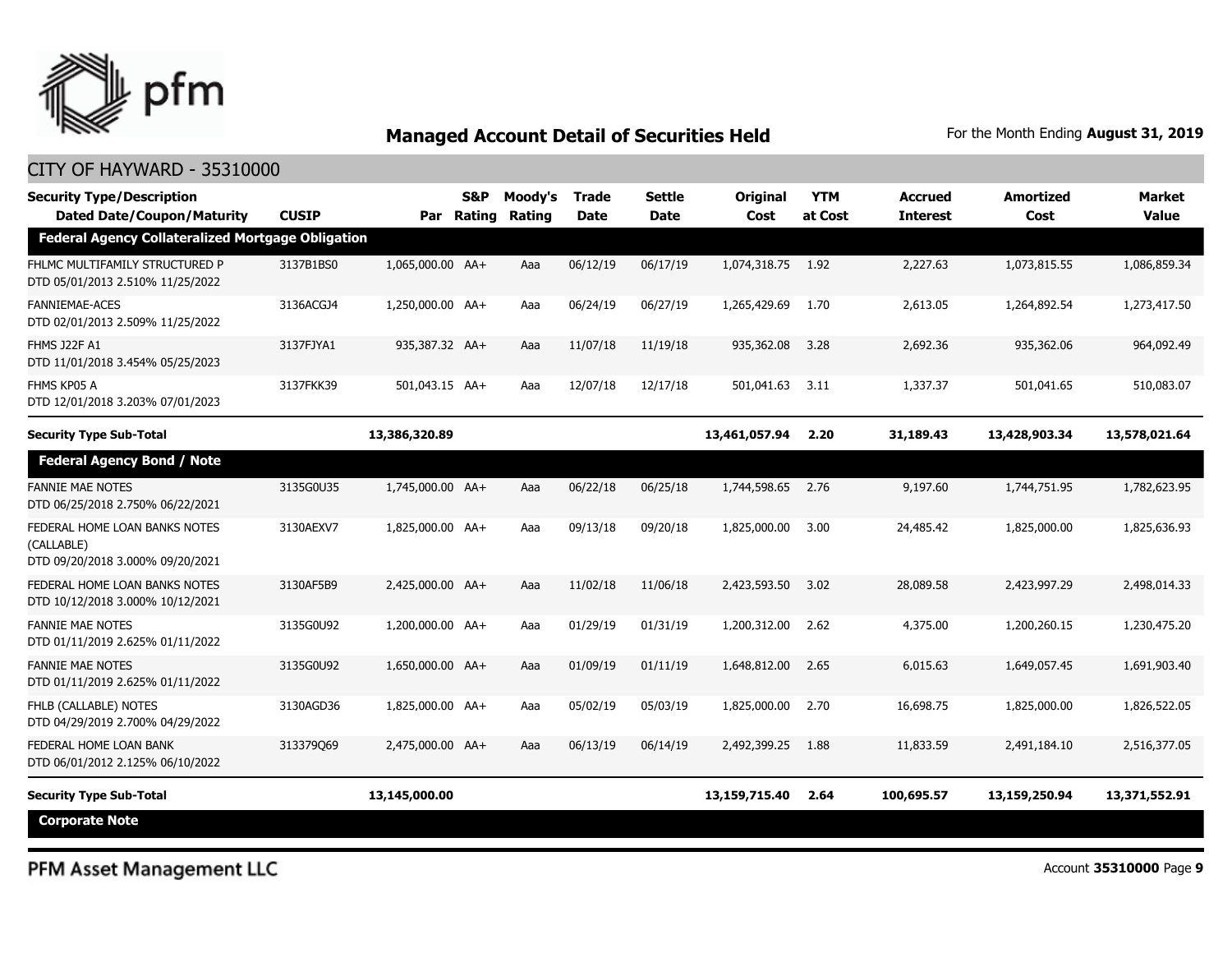

| <b>Security Type/Description</b><br><b>Dated Date/Coupon/Maturity</b><br><b>Federal Agency Collateralized Mortgage Obligation</b> | <b>CUSIP</b> |                  | <b>S&amp;P</b><br>Par Rating | Moody's<br>Rating | <b>Trade</b><br><b>Date</b> | <b>Settle</b><br>Date | Original<br>Cost | <b>YTM</b><br>at Cost | <b>Accrued</b><br><b>Interest</b> | <b>Amortized</b><br>Cost | <b>Market</b><br><b>Value</b> |
|-----------------------------------------------------------------------------------------------------------------------------------|--------------|------------------|------------------------------|-------------------|-----------------------------|-----------------------|------------------|-----------------------|-----------------------------------|--------------------------|-------------------------------|
| FHLMC MULTIFAMILY STRUCTURED P<br>DTD 05/01/2013 2.510% 11/25/2022                                                                | 3137B1BS0    | 1,065,000.00 AA+ |                              | Aaa               | 06/12/19                    | 06/17/19              | 1,074,318.75     | 1.92                  | 2,227.63                          | 1,073,815.55             | 1,086,859.34                  |
| <b>FANNIEMAE-ACES</b><br>DTD 02/01/2013 2.509% 11/25/2022                                                                         | 3136ACGJ4    | 1,250,000.00 AA+ |                              | Aaa               | 06/24/19                    | 06/27/19              | 1,265,429.69     | 1.70                  | 2,613.05                          | 1,264,892.54             | 1,273,417.50                  |
| FHMS J22F A1<br>DTD 11/01/2018 3.454% 05/25/2023                                                                                  | 3137FJYA1    | 935,387.32 AA+   |                              | Aaa               | 11/07/18                    | 11/19/18              | 935,362.08       | 3.28                  | 2,692.36                          | 935,362.06               | 964,092.49                    |
| FHMS KP05 A<br>DTD 12/01/2018 3.203% 07/01/2023                                                                                   | 3137FKK39    | 501,043.15 AA+   |                              | Aaa               | 12/07/18                    | 12/17/18              | 501,041.63       | 3.11                  | 1,337.37                          | 501,041.65               | 510,083.07                    |
| <b>Security Type Sub-Total</b>                                                                                                    |              | 13,386,320.89    |                              |                   |                             |                       | 13,461,057.94    | 2.20                  | 31,189.43                         | 13,428,903.34            | 13,578,021.64                 |
| <b>Federal Agency Bond / Note</b>                                                                                                 |              |                  |                              |                   |                             |                       |                  |                       |                                   |                          |                               |
| <b>FANNIE MAE NOTES</b><br>DTD 06/25/2018 2.750% 06/22/2021                                                                       | 3135G0U35    | 1,745,000.00 AA+ |                              | Aaa               | 06/22/18                    | 06/25/18              | 1,744,598.65     | 2.76                  | 9,197.60                          | 1,744,751.95             | 1,782,623.95                  |
| FEDERAL HOME LOAN BANKS NOTES<br>(CALLABLE)<br>DTD 09/20/2018 3.000% 09/20/2021                                                   | 3130AEXV7    | 1,825,000.00 AA+ |                              | Aaa               | 09/13/18                    | 09/20/18              | 1,825,000.00     | 3.00                  | 24,485.42                         | 1,825,000.00             | 1,825,636.93                  |
| FEDERAL HOME LOAN BANKS NOTES<br>DTD 10/12/2018 3.000% 10/12/2021                                                                 | 3130AF5B9    | 2,425,000.00 AA+ |                              | Aaa               | 11/02/18                    | 11/06/18              | 2,423,593,50     | 3.02                  | 28,089.58                         | 2,423,997.29             | 2,498,014.33                  |
| <b>FANNIE MAE NOTES</b><br>DTD 01/11/2019 2.625% 01/11/2022                                                                       | 3135G0U92    | 1,200,000.00 AA+ |                              | Aaa               | 01/29/19                    | 01/31/19              | 1,200,312,00     | 2.62                  | 4,375.00                          | 1,200,260.15             | 1,230,475.20                  |
| <b>FANNIE MAE NOTES</b><br>DTD 01/11/2019 2.625% 01/11/2022                                                                       | 3135G0U92    | 1,650,000.00 AA+ |                              | Aaa               | 01/09/19                    | 01/11/19              | 1,648,812.00     | 2.65                  | 6,015.63                          | 1,649,057.45             | 1,691,903.40                  |
| FHLB (CALLABLE) NOTES<br>DTD 04/29/2019 2.700% 04/29/2022                                                                         | 3130AGD36    | 1,825,000.00 AA+ |                              | Aaa               | 05/02/19                    | 05/03/19              | 1,825,000.00     | 2.70                  | 16,698.75                         | 1,825,000.00             | 1,826,522.05                  |
| FEDERAL HOME LOAN BANK<br>DTD 06/01/2012 2.125% 06/10/2022                                                                        | 313379069    | 2,475,000.00 AA+ |                              | Aaa               | 06/13/19                    | 06/14/19              | 2,492,399.25     | 1.88                  | 11,833.59                         | 2,491,184.10             | 2,516,377.05                  |
| <b>Security Type Sub-Total</b>                                                                                                    |              | 13,145,000.00    |                              |                   |                             |                       | 13,159,715.40    | 2.64                  | 100,695.57                        | 13,159,250.94            | 13,371,552.91                 |
| <b>Corporate Note</b>                                                                                                             |              |                  |                              |                   |                             |                       |                  |                       |                                   |                          |                               |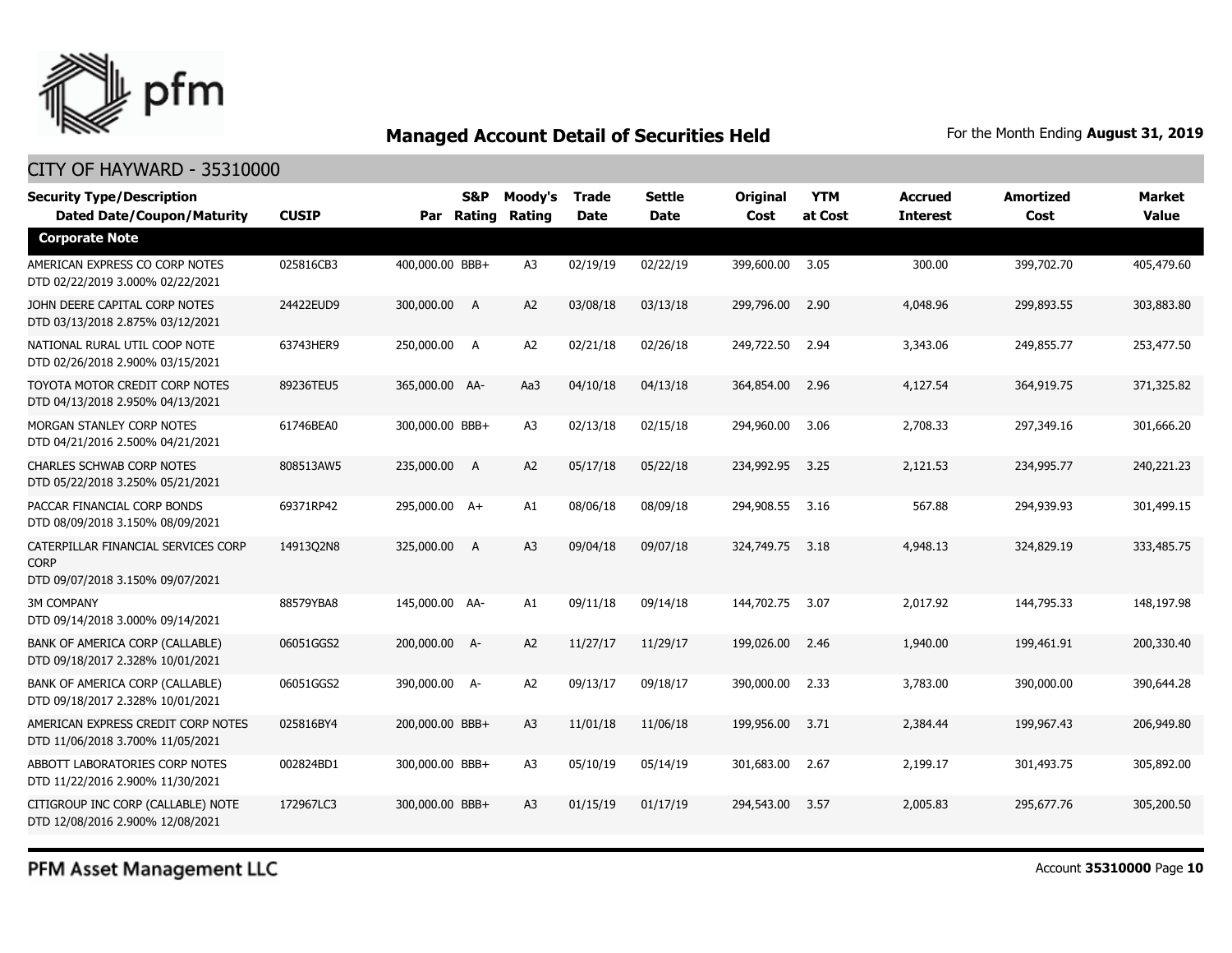

#### CITY OF HAYWARD - 35310000

| <b>Security Type/Description</b><br><b>Dated Date/Coupon/Maturity</b>                  | <b>CUSIP</b> |                 | S&P<br>Par Rating | Moody's<br><b>Rating</b> | Trade<br>Date | <b>Settle</b><br><b>Date</b> | <b>Original</b><br>Cost | <b>YTM</b><br>at Cost | <b>Accrued</b><br><b>Interest</b> | <b>Amortized</b><br>Cost | <b>Market</b><br><b>Value</b> |
|----------------------------------------------------------------------------------------|--------------|-----------------|-------------------|--------------------------|---------------|------------------------------|-------------------------|-----------------------|-----------------------------------|--------------------------|-------------------------------|
| <b>Corporate Note</b>                                                                  |              |                 |                   |                          |               |                              |                         |                       |                                   |                          |                               |
| AMERICAN EXPRESS CO CORP NOTES<br>DTD 02/22/2019 3.000% 02/22/2021                     | 025816CB3    | 400,000.00 BBB+ |                   | A <sub>3</sub>           | 02/19/19      | 02/22/19                     | 399,600.00              | 3.05                  | 300.00                            | 399,702.70               | 405,479.60                    |
| JOHN DEERE CAPITAL CORP NOTES<br>DTD 03/13/2018 2.875% 03/12/2021                      | 24422EUD9    | 300,000.00 A    |                   | A2                       | 03/08/18      | 03/13/18                     | 299,796.00              | 2.90                  | 4,048.96                          | 299,893.55               | 303,883.80                    |
| NATIONAL RURAL UTIL COOP NOTE<br>DTD 02/26/2018 2.900% 03/15/2021                      | 63743HER9    | 250,000.00 A    |                   | A <sub>2</sub>           | 02/21/18      | 02/26/18                     | 249,722.50              | 2.94                  | 3,343.06                          | 249,855.77               | 253,477.50                    |
| TOYOTA MOTOR CREDIT CORP NOTES<br>DTD 04/13/2018 2.950% 04/13/2021                     | 89236TEU5    | 365,000.00 AA-  |                   | Aa3                      | 04/10/18      | 04/13/18                     | 364,854.00              | 2.96                  | 4,127.54                          | 364,919.75               | 371,325.82                    |
| MORGAN STANLEY CORP NOTES<br>DTD 04/21/2016 2.500% 04/21/2021                          | 61746BEA0    | 300,000.00 BBB+ |                   | A <sub>3</sub>           | 02/13/18      | 02/15/18                     | 294,960.00              | 3.06                  | 2,708.33                          | 297,349.16               | 301,666.20                    |
| <b>CHARLES SCHWAB CORP NOTES</b><br>DTD 05/22/2018 3.250% 05/21/2021                   | 808513AW5    | 235,000.00      | <b>A</b>          | A2                       | 05/17/18      | 05/22/18                     | 234,992.95              | 3.25                  | 2,121.53                          | 234,995.77               | 240,221.23                    |
| PACCAR FINANCIAL CORP BONDS<br>DTD 08/09/2018 3.150% 08/09/2021                        | 69371RP42    | 295,000.00 A+   |                   | A1                       | 08/06/18      | 08/09/18                     | 294,908.55              | 3.16                  | 567.88                            | 294,939.93               | 301,499.15                    |
| CATERPILLAR FINANCIAL SERVICES CORP<br><b>CORP</b><br>DTD 09/07/2018 3.150% 09/07/2021 | 14913Q2N8    | 325,000.00      | A                 | A <sub>3</sub>           | 09/04/18      | 09/07/18                     | 324,749.75              | 3.18                  | 4,948.13                          | 324,829.19               | 333,485.75                    |
| <b>3M COMPANY</b><br>DTD 09/14/2018 3.000% 09/14/2021                                  | 88579YBA8    | 145,000.00 AA-  |                   | A1                       | 09/11/18      | 09/14/18                     | 144,702.75              | 3.07                  | 2,017.92                          | 144,795.33               | 148,197.98                    |
| BANK OF AMERICA CORP (CALLABLE)<br>DTD 09/18/2017 2.328% 10/01/2021                    | 06051GGS2    | 200,000.00 A-   |                   | A2                       | 11/27/17      | 11/29/17                     | 199,026.00              | 2.46                  | 1,940.00                          | 199,461.91               | 200,330.40                    |
| BANK OF AMERICA CORP (CALLABLE)<br>DTD 09/18/2017 2.328% 10/01/2021                    | 06051GGS2    | 390,000.00 A-   |                   | A <sub>2</sub>           | 09/13/17      | 09/18/17                     | 390,000.00              | 2.33                  | 3,783.00                          | 390,000.00               | 390,644.28                    |
| AMERICAN EXPRESS CREDIT CORP NOTES<br>DTD 11/06/2018 3.700% 11/05/2021                 | 025816BY4    | 200,000.00 BBB+ |                   | A <sub>3</sub>           | 11/01/18      | 11/06/18                     | 199,956.00              | 3.71                  | 2,384.44                          | 199,967.43               | 206,949.80                    |
| ABBOTT LABORATORIES CORP NOTES<br>DTD 11/22/2016 2.900% 11/30/2021                     | 002824BD1    | 300,000.00 BBB+ |                   | A <sub>3</sub>           | 05/10/19      | 05/14/19                     | 301,683.00              | 2.67                  | 2,199.17                          | 301,493.75               | 305,892.00                    |
| CITIGROUP INC CORP (CALLABLE) NOTE<br>DTD 12/08/2016 2.900% 12/08/2021                 | 172967LC3    | 300,000.00 BBB+ |                   | A <sub>3</sub>           | 01/15/19      | 01/17/19                     | 294,543.00              | 3.57                  | 2,005.83                          | 295,677.76               | 305,200.50                    |

PFM Asset Management LLC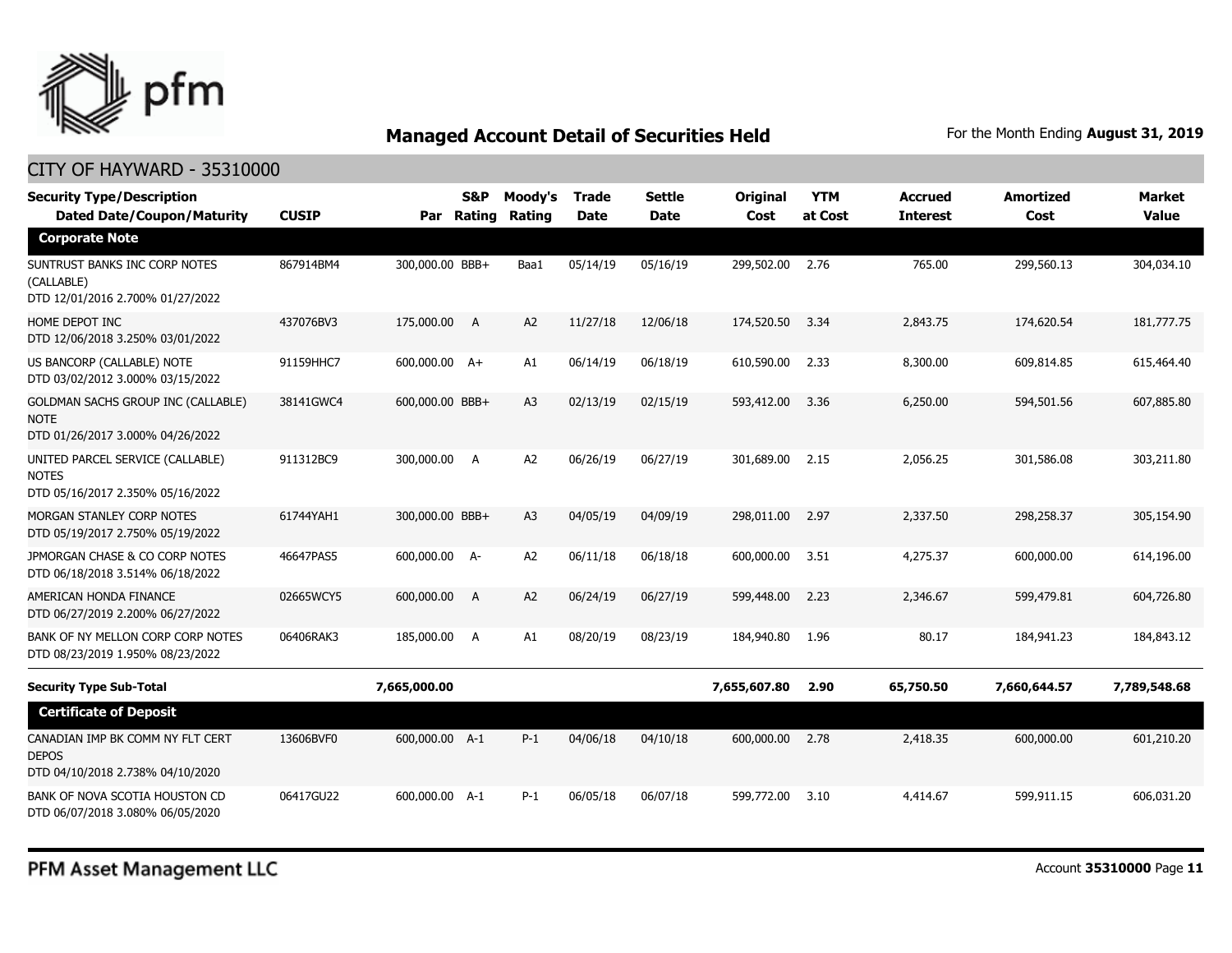

| <b>Security Type/Description</b><br><b>Dated Date/Coupon/Maturity</b>                        | <b>CUSIP</b> |                 | <b>S&amp;P</b><br>Par Rating | Moody's<br>Rating | <b>Trade</b><br><b>Date</b> | <b>Settle</b><br><b>Date</b> | Original<br>Cost | <b>YTM</b><br>at Cost | Accrued<br><b>Interest</b> | <b>Amortized</b><br>Cost | <b>Market</b><br><b>Value</b> |
|----------------------------------------------------------------------------------------------|--------------|-----------------|------------------------------|-------------------|-----------------------------|------------------------------|------------------|-----------------------|----------------------------|--------------------------|-------------------------------|
| <b>Corporate Note</b>                                                                        |              |                 |                              |                   |                             |                              |                  |                       |                            |                          |                               |
| SUNTRUST BANKS INC CORP NOTES<br>(CALLABLE)<br>DTD 12/01/2016 2.700% 01/27/2022              | 867914BM4    | 300,000.00 BBB+ |                              | Baa1              | 05/14/19                    | 05/16/19                     | 299,502.00       | 2.76                  | 765.00                     | 299,560.13               | 304,034.10                    |
| HOME DEPOT INC<br>DTD 12/06/2018 3.250% 03/01/2022                                           | 437076BV3    | 175,000.00 A    |                              | A <sub>2</sub>    | 11/27/18                    | 12/06/18                     | 174,520.50       | 3.34                  | 2,843.75                   | 174,620.54               | 181,777.75                    |
| US BANCORP (CALLABLE) NOTE<br>DTD 03/02/2012 3.000% 03/15/2022                               | 91159HHC7    | 600,000.00 A+   |                              | A1                | 06/14/19                    | 06/18/19                     | 610,590.00       | 2.33                  | 8,300.00                   | 609,814.85               | 615,464.40                    |
| <b>GOLDMAN SACHS GROUP INC (CALLABLE)</b><br><b>NOTE</b><br>DTD 01/26/2017 3.000% 04/26/2022 | 38141GWC4    | 600,000.00 BBB+ |                              | A <sub>3</sub>    | 02/13/19                    | 02/15/19                     | 593,412.00       | 3.36                  | 6,250.00                   | 594,501.56               | 607,885.80                    |
| UNITED PARCEL SERVICE (CALLABLE)<br><b>NOTES</b><br>DTD 05/16/2017 2.350% 05/16/2022         | 911312BC9    | 300,000.00      | <b>A</b>                     | A <sub>2</sub>    | 06/26/19                    | 06/27/19                     | 301,689.00       | 2.15                  | 2,056.25                   | 301,586.08               | 303,211.80                    |
| MORGAN STANLEY CORP NOTES<br>DTD 05/19/2017 2.750% 05/19/2022                                | 61744YAH1    | 300,000.00 BBB+ |                              | A <sub>3</sub>    | 04/05/19                    | 04/09/19                     | 298,011.00       | 2.97                  | 2,337.50                   | 298,258.37               | 305,154.90                    |
| JPMORGAN CHASE & CO CORP NOTES<br>DTD 06/18/2018 3.514% 06/18/2022                           | 46647PAS5    | 600,000.00 A-   |                              | A <sub>2</sub>    | 06/11/18                    | 06/18/18                     | 600,000.00       | 3.51                  | 4,275.37                   | 600,000.00               | 614,196.00                    |
| AMERICAN HONDA FINANCE<br>DTD 06/27/2019 2.200% 06/27/2022                                   | 02665WCY5    | 600,000.00      | A                            | A2                | 06/24/19                    | 06/27/19                     | 599,448.00       | 2.23                  | 2,346.67                   | 599,479.81               | 604,726.80                    |
| BANK OF NY MELLON CORP CORP NOTES<br>DTD 08/23/2019 1.950% 08/23/2022                        | 06406RAK3    | 185,000.00 A    |                              | A1                | 08/20/19                    | 08/23/19                     | 184,940.80       | 1.96                  | 80.17                      | 184,941.23               | 184,843.12                    |
| <b>Security Type Sub-Total</b>                                                               |              | 7,665,000.00    |                              |                   |                             |                              | 7,655,607.80     | 2.90                  | 65,750.50                  | 7,660,644.57             | 7,789,548.68                  |
| <b>Certificate of Deposit</b>                                                                |              |                 |                              |                   |                             |                              |                  |                       |                            |                          |                               |
| CANADIAN IMP BK COMM NY FLT CERT<br><b>DEPOS</b><br>DTD 04/10/2018 2.738% 04/10/2020         | 13606BVF0    | 600,000.00 A-1  |                              | $P-1$             | 04/06/18                    | 04/10/18                     | 600,000.00       | 2.78                  | 2,418.35                   | 600,000.00               | 601,210.20                    |
| BANK OF NOVA SCOTIA HOUSTON CD<br>DTD 06/07/2018 3.080% 06/05/2020                           | 06417GU22    | 600,000,00 A-1  |                              | $P-1$             | 06/05/18                    | 06/07/18                     | 599,772.00       | 3.10                  | 4,414.67                   | 599.911.15               | 606.031.20                    |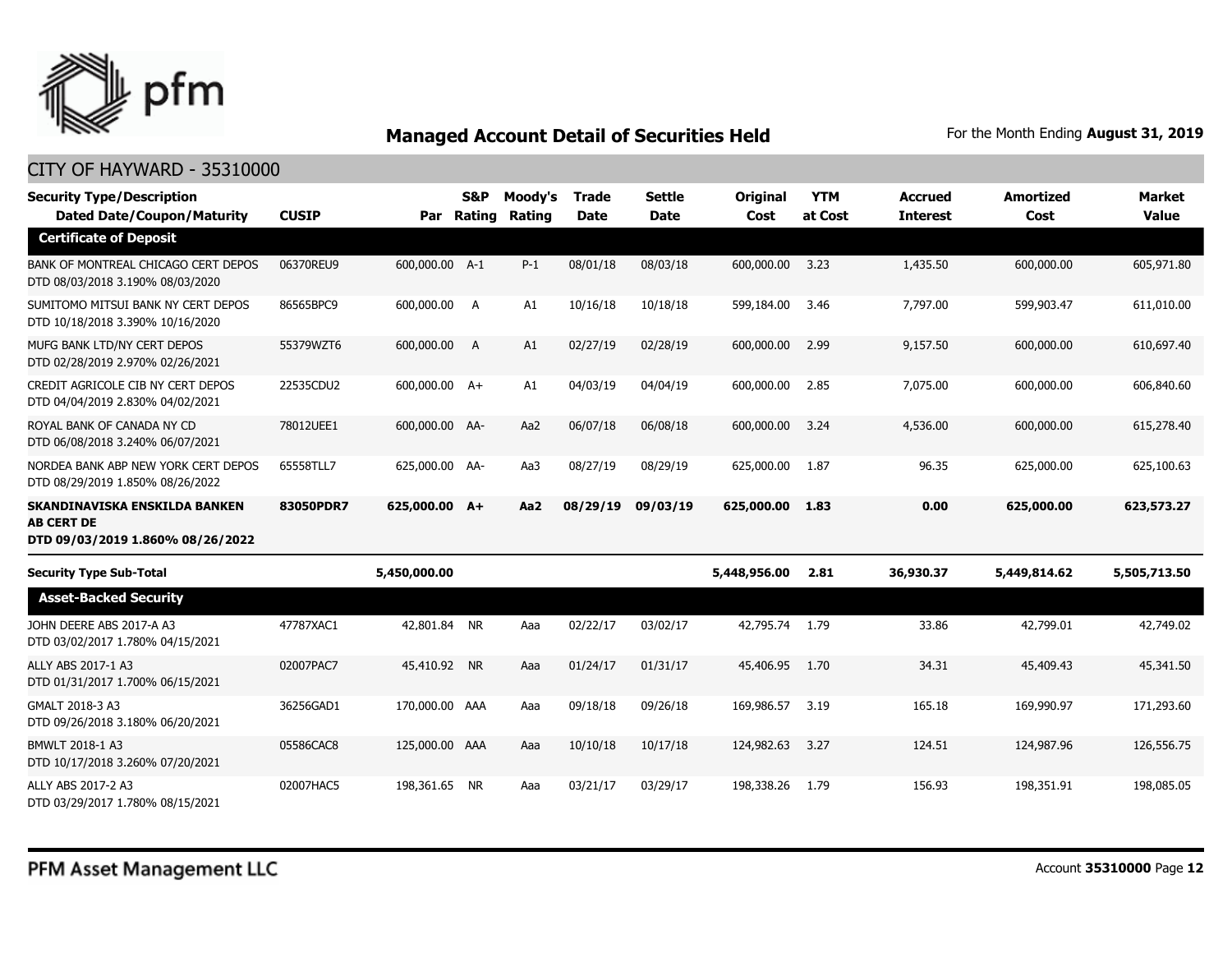

| <b>Security Type/Description</b><br><b>Dated Date/Coupon/Maturity</b>                  | <b>CUSIP</b> | Par            | S&P<br>Rating | Moody's<br>Rating | <b>Trade</b><br><b>Date</b> | <b>Settle</b><br><b>Date</b> | <b>Original</b><br>Cost | <b>YTM</b><br>at Cost | <b>Accrued</b><br><b>Interest</b> | <b>Amortized</b><br>Cost | <b>Market</b><br><b>Value</b> |
|----------------------------------------------------------------------------------------|--------------|----------------|---------------|-------------------|-----------------------------|------------------------------|-------------------------|-----------------------|-----------------------------------|--------------------------|-------------------------------|
| <b>Certificate of Deposit</b>                                                          |              |                |               |                   |                             |                              |                         |                       |                                   |                          |                               |
| BANK OF MONTREAL CHICAGO CERT DEPOS<br>DTD 08/03/2018 3.190% 08/03/2020                | 06370REU9    | 600,000.00 A-1 |               | $P-1$             | 08/01/18                    | 08/03/18                     | 600,000.00              | 3.23                  | 1,435.50                          | 600,000.00               | 605,971.80                    |
| SUMITOMO MITSUI BANK NY CERT DEPOS<br>DTD 10/18/2018 3.390% 10/16/2020                 | 86565BPC9    | 600,000.00 A   |               | A1                | 10/16/18                    | 10/18/18                     | 599,184.00              | 3.46                  | 7,797.00                          | 599,903,47               | 611,010.00                    |
| MUFG BANK LTD/NY CERT DEPOS<br>DTD 02/28/2019 2.970% 02/26/2021                        | 55379WZT6    | 600,000.00 A   |               | A1                | 02/27/19                    | 02/28/19                     | 600,000.00              | 2.99                  | 9,157.50                          | 600,000.00               | 610,697.40                    |
| CREDIT AGRICOLE CIB NY CERT DEPOS<br>DTD 04/04/2019 2.830% 04/02/2021                  | 22535CDU2    | 600,000.00 A+  |               | A1                | 04/03/19                    | 04/04/19                     | 600,000.00              | 2.85                  | 7,075.00                          | 600,000.00               | 606,840.60                    |
| ROYAL BANK OF CANADA NY CD<br>DTD 06/08/2018 3.240% 06/07/2021                         | 78012UEE1    | 600,000.00 AA- |               | Aa2               | 06/07/18                    | 06/08/18                     | 600,000.00              | 3.24                  | 4,536.00                          | 600,000.00               | 615,278.40                    |
| NORDEA BANK ABP NEW YORK CERT DEPOS<br>DTD 08/29/2019 1.850% 08/26/2022                | 65558TLL7    | 625,000.00 AA- |               | Aa3               | 08/27/19                    | 08/29/19                     | 625,000.00              | 1.87                  | 96.35                             | 625,000.00               | 625,100.63                    |
| SKANDINAVISKA ENSKILDA BANKEN<br><b>AB CERT DE</b><br>DTD 09/03/2019 1.860% 08/26/2022 | 83050PDR7    | 625,000.00 A+  |               | Aa2               | 08/29/19                    | 09/03/19                     | 625,000.00              | 1.83                  | 0.00                              | 625,000.00               | 623,573.27                    |
| <b>Security Type Sub-Total</b>                                                         |              | 5,450,000.00   |               |                   |                             |                              | 5,448,956.00            | 2.81                  | 36,930.37                         | 5,449,814.62             | 5,505,713.50                  |
| <b>Asset-Backed Security</b>                                                           |              |                |               |                   |                             |                              |                         |                       |                                   |                          |                               |
| JOHN DEERE ABS 2017-A A3<br>DTD 03/02/2017 1.780% 04/15/2021                           | 47787XAC1    | 42,801.84 NR   |               | Aaa               | 02/22/17                    | 03/02/17                     | 42,795.74 1.79          |                       | 33.86                             | 42,799.01                | 42,749.02                     |
| ALLY ABS 2017-1 A3<br>DTD 01/31/2017 1.700% 06/15/2021                                 | 02007PAC7    | 45,410.92 NR   |               | Aaa               | 01/24/17                    | 01/31/17                     | 45,406.95               | 1.70                  | 34.31                             | 45,409.43                | 45,341.50                     |
| GMALT 2018-3 A3<br>DTD 09/26/2018 3.180% 06/20/2021                                    | 36256GAD1    | 170,000.00 AAA |               | Aaa               | 09/18/18                    | 09/26/18                     | 169,986.57              | 3.19                  | 165.18                            | 169,990.97               | 171,293.60                    |
| BMWLT 2018-1 A3<br>DTD 10/17/2018 3.260% 07/20/2021                                    | 05586CAC8    | 125,000.00 AAA |               | Aaa               | 10/10/18                    | 10/17/18                     | 124,982.63              | 3.27                  | 124.51                            | 124,987.96               | 126,556.75                    |
| ALLY ABS 2017-2 A3<br>DTD 03/29/2017 1.780% 08/15/2021                                 | 02007HAC5    | 198,361.65     | <b>NR</b>     | Aaa               | 03/21/17                    | 03/29/17                     | 198,338.26              | 1.79                  | 156.93                            | 198,351.91               | 198,085.05                    |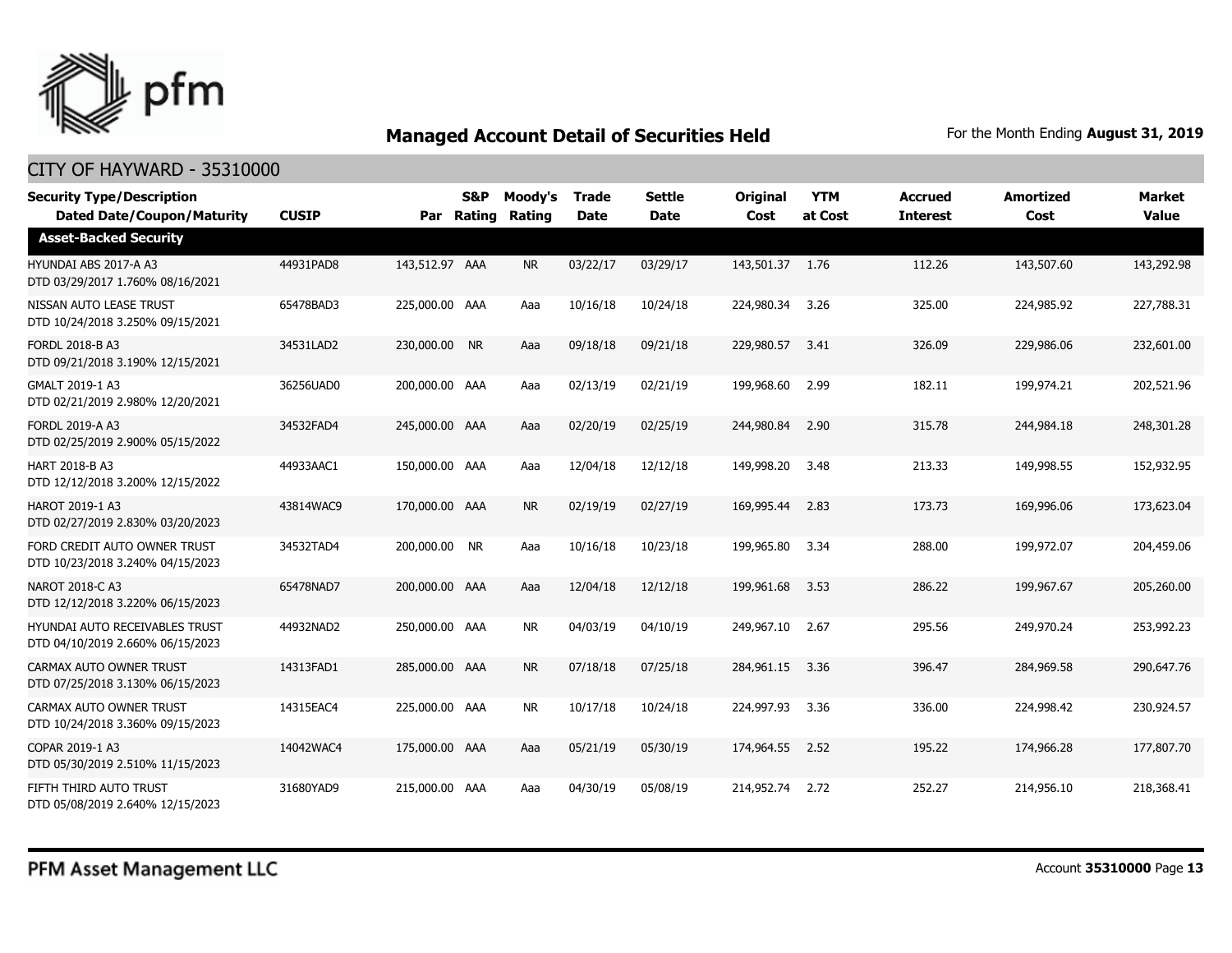

| <b>Security Type/Description</b><br><b>Dated Date/Coupon/Maturity</b> | <b>CUSIP</b> | Par            | <b>S&amp;P</b><br>Rating | Moody's<br>Rating | <b>Trade</b><br><b>Date</b> | <b>Settle</b><br><b>Date</b> | <b>Original</b><br>Cost | <b>YTM</b><br>at Cost | <b>Accrued</b><br><b>Interest</b> | <b>Amortized</b><br>Cost | <b>Market</b><br><b>Value</b> |
|-----------------------------------------------------------------------|--------------|----------------|--------------------------|-------------------|-----------------------------|------------------------------|-------------------------|-----------------------|-----------------------------------|--------------------------|-------------------------------|
| <b>Asset-Backed Security</b>                                          |              |                |                          |                   |                             |                              |                         |                       |                                   |                          |                               |
| HYUNDAI ABS 2017-A A3<br>DTD 03/29/2017 1.760% 08/16/2021             | 44931PAD8    | 143,512.97 AAA |                          | <b>NR</b>         | 03/22/17                    | 03/29/17                     | 143,501.37 1.76         |                       | 112.26                            | 143,507.60               | 143,292.98                    |
| NISSAN AUTO LEASE TRUST<br>DTD 10/24/2018 3.250% 09/15/2021           | 65478BAD3    | 225,000.00 AAA |                          | Aaa               | 10/16/18                    | 10/24/18                     | 224,980.34              | 3.26                  | 325.00                            | 224,985.92               | 227,788.31                    |
| FORDL 2018-B A3<br>DTD 09/21/2018 3.190% 12/15/2021                   | 34531LAD2    | 230,000.00 NR  |                          | Aaa               | 09/18/18                    | 09/21/18                     | 229,980.57              | 3.41                  | 326.09                            | 229,986.06               | 232,601.00                    |
| GMALT 2019-1 A3<br>DTD 02/21/2019 2.980% 12/20/2021                   | 36256UAD0    | 200,000.00 AAA |                          | Aaa               | 02/13/19                    | 02/21/19                     | 199,968.60              | 2.99                  | 182.11                            | 199,974.21               | 202,521.96                    |
| FORDL 2019-A A3<br>DTD 02/25/2019 2.900% 05/15/2022                   | 34532FAD4    | 245,000.00 AAA |                          | Aaa               | 02/20/19                    | 02/25/19                     | 244,980.84              | 2.90                  | 315.78                            | 244,984.18               | 248,301.28                    |
| HART 2018-B A3<br>DTD 12/12/2018 3.200% 12/15/2022                    | 44933AAC1    | 150,000.00 AAA |                          | Aaa               | 12/04/18                    | 12/12/18                     | 149,998.20              | 3.48                  | 213.33                            | 149,998.55               | 152,932.95                    |
| HAROT 2019-1 A3<br>DTD 02/27/2019 2.830% 03/20/2023                   | 43814WAC9    | 170,000.00 AAA |                          | <b>NR</b>         | 02/19/19                    | 02/27/19                     | 169,995.44              | 2.83                  | 173.73                            | 169,996.06               | 173,623.04                    |
| FORD CREDIT AUTO OWNER TRUST<br>DTD 10/23/2018 3.240% 04/15/2023      | 34532TAD4    | 200,000.00 NR  |                          | Aaa               | 10/16/18                    | 10/23/18                     | 199,965.80              | 3.34                  | 288.00                            | 199,972.07               | 204,459.06                    |
| NAROT 2018-C A3<br>DTD 12/12/2018 3.220% 06/15/2023                   | 65478NAD7    | 200,000.00 AAA |                          | Aaa               | 12/04/18                    | 12/12/18                     | 199,961.68              | 3.53                  | 286.22                            | 199,967.67               | 205,260.00                    |
| HYUNDAI AUTO RECEIVABLES TRUST<br>DTD 04/10/2019 2.660% 06/15/2023    | 44932NAD2    | 250,000.00 AAA |                          | <b>NR</b>         | 04/03/19                    | 04/10/19                     | 249,967.10              | 2.67                  | 295.56                            | 249,970.24               | 253,992.23                    |
| CARMAX AUTO OWNER TRUST<br>DTD 07/25/2018 3.130% 06/15/2023           | 14313FAD1    | 285,000.00 AAA |                          | <b>NR</b>         | 07/18/18                    | 07/25/18                     | 284,961.15              | 3.36                  | 396.47                            | 284,969.58               | 290,647.76                    |
| CARMAX AUTO OWNER TRUST<br>DTD 10/24/2018 3.360% 09/15/2023           | 14315EAC4    | 225,000.00 AAA |                          | <b>NR</b>         | 10/17/18                    | 10/24/18                     | 224,997.93              | 3.36                  | 336.00                            | 224,998.42               | 230,924.57                    |
| COPAR 2019-1 A3<br>DTD 05/30/2019 2.510% 11/15/2023                   | 14042WAC4    | 175,000.00 AAA |                          | Aaa               | 05/21/19                    | 05/30/19                     | 174,964.55              | 2.52                  | 195.22                            | 174,966.28               | 177,807.70                    |
| FIFTH THIRD AUTO TRUST<br>DTD 05/08/2019 2.640% 12/15/2023            | 31680YAD9    | 215,000.00 AAA |                          | Aaa               | 04/30/19                    | 05/08/19                     | 214,952.74              | 2.72                  | 252.27                            | 214,956.10               | 218,368.41                    |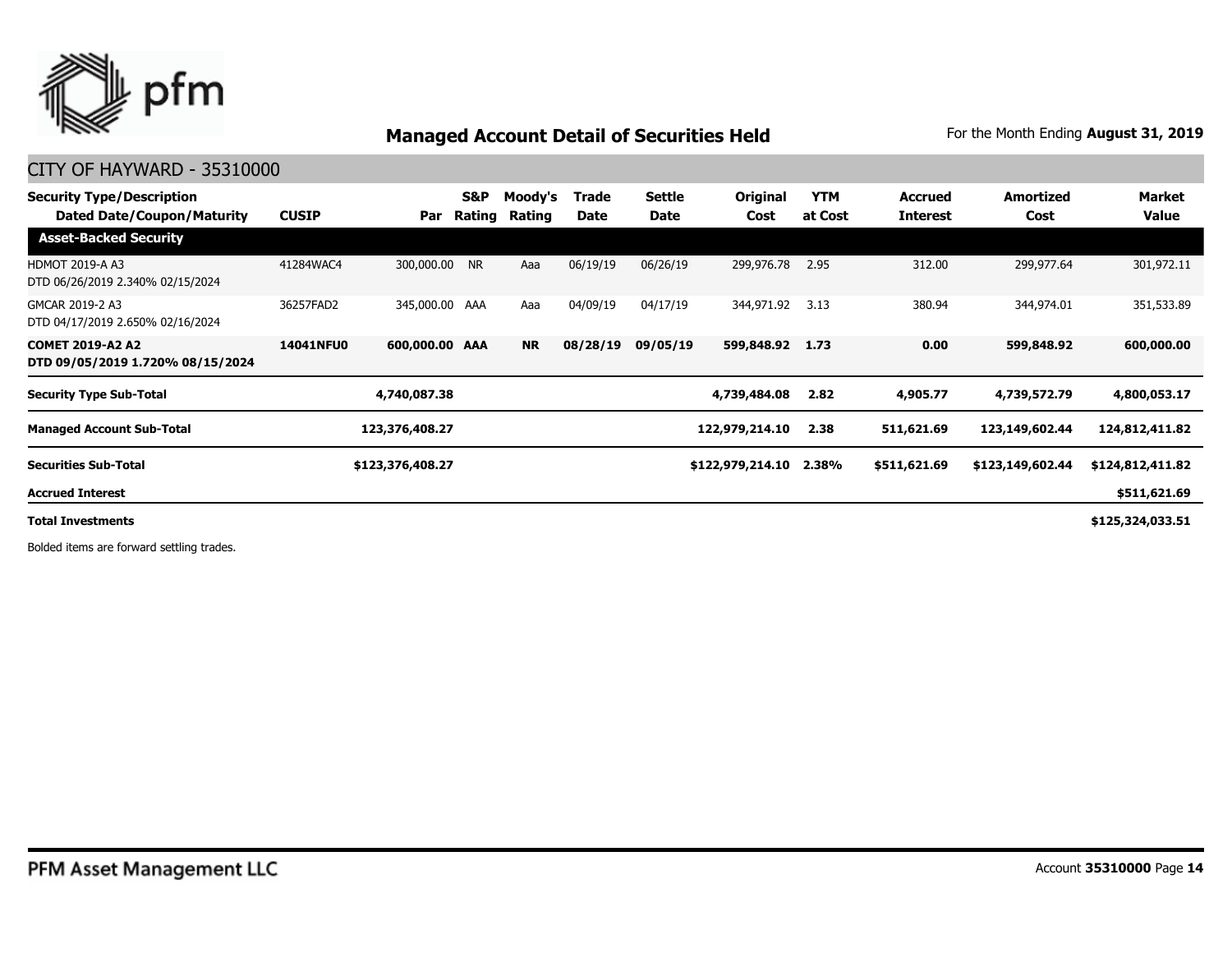

#### CITY OF HAYWARD - 35310000

| <b>Security Type/Description</b><br>Dated Date/Coupon/Maturity | <b>CUSIP</b>     | Par              | S&P<br>Rating | Moody's<br>Rating | Trade<br>Date | <b>Settle</b><br>Date | <b>Original</b><br>Cost | <b>YTM</b><br>at Cost | <b>Accrued</b><br><b>Interest</b> | <b>Amortized</b><br>Cost | Market<br>Value  |
|----------------------------------------------------------------|------------------|------------------|---------------|-------------------|---------------|-----------------------|-------------------------|-----------------------|-----------------------------------|--------------------------|------------------|
| <b>Asset-Backed Security</b>                                   |                  |                  |               |                   |               |                       |                         |                       |                                   |                          |                  |
| <b>HDMOT 2019-A A3</b><br>DTD 06/26/2019 2.340% 02/15/2024     | 41284WAC4        | 300,000.00 NR    |               | Aaa               | 06/19/19      | 06/26/19              | 299,976.78              | 2.95                  | 312.00                            | 299,977.64               | 301,972.11       |
| GMCAR 2019-2 A3<br>DTD 04/17/2019 2.650% 02/16/2024            | 36257FAD2        | 345,000.00 AAA   |               | Aaa               | 04/09/19      | 04/17/19              | 344,971.92              | 3.13                  | 380.94                            | 344,974.01               | 351,533.89       |
| <b>COMET 2019-A2 A2</b><br>DTD 09/05/2019 1.720% 08/15/2024    | <b>14041NFU0</b> | 600,000.00 AAA   |               | <b>NR</b>         | 08/28/19      | 09/05/19              | 599,848.92              | 1.73                  | 0.00                              | 599,848.92               | 600,000.00       |
| <b>Security Type Sub-Total</b>                                 |                  | 4,740,087.38     |               |                   |               |                       | 4,739,484.08            | 2.82                  | 4,905.77                          | 4,739,572.79             | 4,800,053.17     |
| <b>Managed Account Sub-Total</b>                               |                  | 123,376,408.27   |               |                   |               |                       | 122,979,214.10          | 2.38                  | 511,621.69                        | 123,149,602.44           | 124,812,411.82   |
| <b>Securities Sub-Total</b>                                    |                  | \$123,376,408.27 |               |                   |               |                       | \$122,979,214.10        | 2.38%                 | \$511,621.69                      | \$123,149,602.44         | \$124,812,411.82 |
| <b>Accrued Interest</b>                                        |                  |                  |               |                   |               |                       |                         |                       |                                   |                          | \$511,621.69     |
| <b>Total Investments</b>                                       |                  |                  |               |                   |               |                       |                         |                       |                                   |                          | \$125,324,033.51 |

Bolded items are forward settling trades.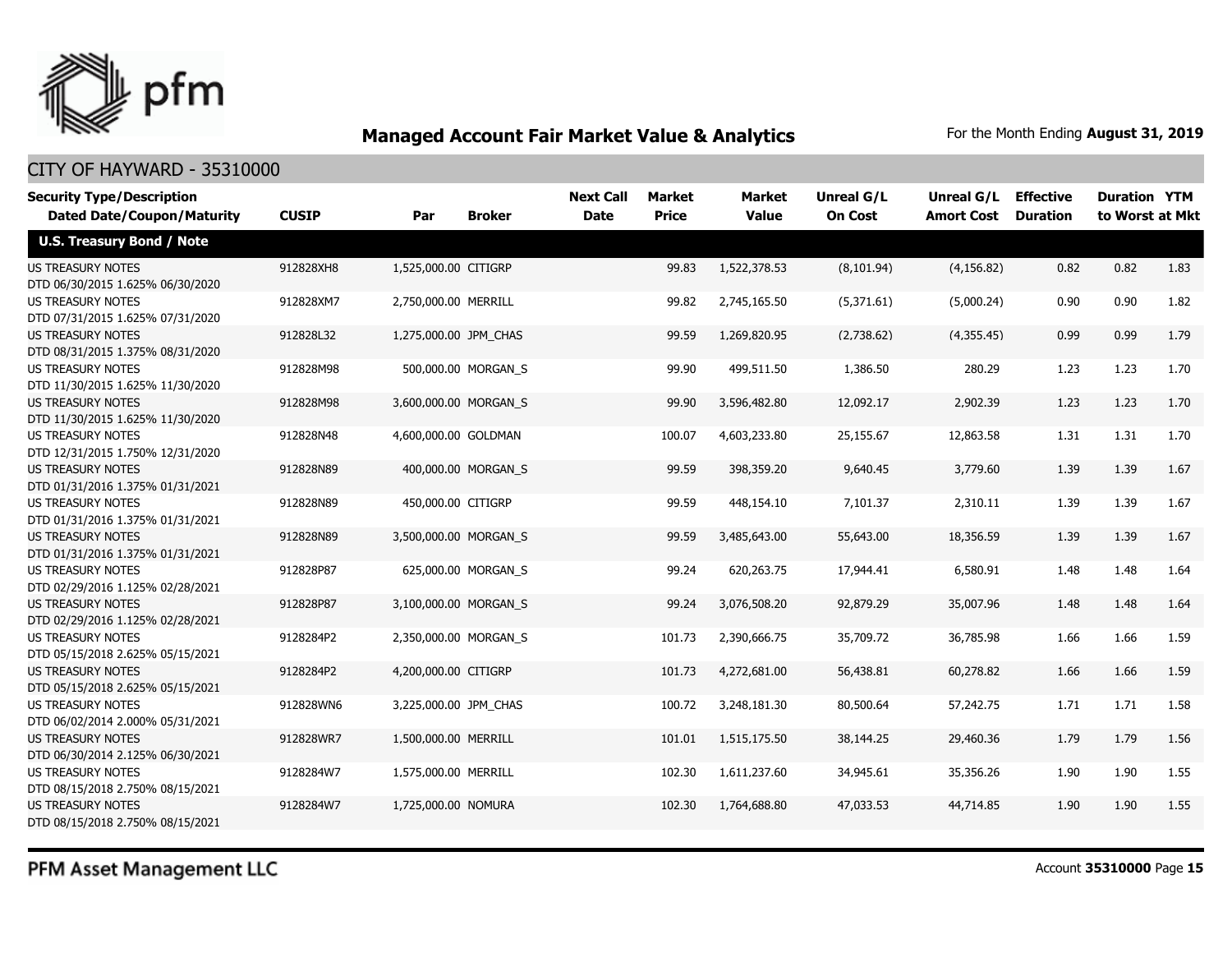

#### CITY OF HAYWARD - 35310000

| <b>Security Type/Description</b><br><b>Dated Date/Coupon/Maturity</b> | <b>CUSIP</b> | Par                   | <b>Broker</b>       | <b>Next Call</b><br><b>Date</b> | <b>Market</b><br><b>Price</b> | Market<br><b>Value</b> | Unreal G/L<br><b>On Cost</b> | Unreal G/L<br><b>Amort Cost</b> | <b>Effective</b><br><b>Duration</b> | <b>Duration YTM</b><br>to Worst at Mkt |      |
|-----------------------------------------------------------------------|--------------|-----------------------|---------------------|---------------------------------|-------------------------------|------------------------|------------------------------|---------------------------------|-------------------------------------|----------------------------------------|------|
| <b>U.S. Treasury Bond / Note</b>                                      |              |                       |                     |                                 |                               |                        |                              |                                 |                                     |                                        |      |
| <b>US TREASURY NOTES</b><br>DTD 06/30/2015 1.625% 06/30/2020          | 912828XH8    | 1,525,000.00 CITIGRP  |                     |                                 | 99.83                         | 1,522,378.53           | (8, 101.94)                  | (4, 156.82)                     | 0.82                                | 0.82                                   | 1.83 |
| <b>US TREASURY NOTES</b><br>DTD 07/31/2015 1.625% 07/31/2020          | 912828XM7    | 2,750,000.00 MERRILL  |                     |                                 | 99.82                         | 2,745,165.50           | (5,371.61)                   | (5,000.24)                      | 0.90                                | 0.90                                   | 1.82 |
| US TREASURY NOTES<br>DTD 08/31/2015 1.375% 08/31/2020                 | 912828L32    | 1,275,000.00 JPM_CHAS |                     |                                 | 99.59                         | 1,269,820,95           | (2,738.62)                   | (4,355.45)                      | 0.99                                | 0.99                                   | 1.79 |
| <b>US TREASURY NOTES</b><br>DTD 11/30/2015 1.625% 11/30/2020          | 912828M98    |                       | 500,000.00 MORGAN S |                                 | 99.90                         | 499,511.50             | 1,386.50                     | 280.29                          | 1.23                                | 1.23                                   | 1.70 |
| <b>US TREASURY NOTES</b><br>DTD 11/30/2015 1.625% 11/30/2020          | 912828M98    | 3,600,000.00 MORGAN S |                     |                                 | 99.90                         | 3,596,482.80           | 12,092.17                    | 2,902.39                        | 1.23                                | 1.23                                   | 1.70 |
| <b>US TREASURY NOTES</b><br>DTD 12/31/2015 1.750% 12/31/2020          | 912828N48    | 4,600,000.00 GOLDMAN  |                     |                                 | 100.07                        | 4,603,233.80           | 25,155.67                    | 12,863.58                       | 1.31                                | 1.31                                   | 1.70 |
| <b>US TREASURY NOTES</b><br>DTD 01/31/2016 1.375% 01/31/2021          | 912828N89    |                       | 400,000.00 MORGAN S |                                 | 99.59                         | 398,359.20             | 9,640.45                     | 3,779.60                        | 1.39                                | 1.39                                   | 1.67 |
| <b>US TREASURY NOTES</b><br>DTD 01/31/2016 1.375% 01/31/2021          | 912828N89    | 450,000.00 CITIGRP    |                     |                                 | 99.59                         | 448,154.10             | 7,101.37                     | 2,310.11                        | 1.39                                | 1.39                                   | 1.67 |
| <b>US TREASURY NOTES</b><br>DTD 01/31/2016 1.375% 01/31/2021          | 912828N89    | 3,500,000.00 MORGAN S |                     |                                 | 99.59                         | 3,485,643.00           | 55,643.00                    | 18,356.59                       | 1.39                                | 1.39                                   | 1.67 |
| <b>US TREASURY NOTES</b><br>DTD 02/29/2016 1.125% 02/28/2021          | 912828P87    |                       | 625,000.00 MORGAN S |                                 | 99.24                         | 620,263.75             | 17,944.41                    | 6,580.91                        | 1.48                                | 1.48                                   | 1.64 |
| <b>US TREASURY NOTES</b><br>DTD 02/29/2016 1.125% 02/28/2021          | 912828P87    | 3,100,000.00 MORGAN S |                     |                                 | 99.24                         | 3,076,508.20           | 92,879.29                    | 35,007.96                       | 1.48                                | 1.48                                   | 1.64 |
| <b>US TREASURY NOTES</b><br>DTD 05/15/2018 2.625% 05/15/2021          | 9128284P2    | 2,350,000.00 MORGAN_S |                     |                                 | 101.73                        | 2,390,666.75           | 35,709.72                    | 36,785.98                       | 1.66                                | 1.66                                   | 1.59 |
| <b>US TREASURY NOTES</b><br>DTD 05/15/2018 2.625% 05/15/2021          | 9128284P2    | 4,200,000.00 CITIGRP  |                     |                                 | 101.73                        | 4,272,681.00           | 56,438.81                    | 60,278.82                       | 1.66                                | 1.66                                   | 1.59 |
| <b>US TREASURY NOTES</b><br>DTD 06/02/2014 2.000% 05/31/2021          | 912828WN6    | 3,225,000.00 JPM_CHAS |                     |                                 | 100.72                        | 3,248,181.30           | 80,500.64                    | 57,242.75                       | 1.71                                | 1.71                                   | 1.58 |
| <b>US TREASURY NOTES</b><br>DTD 06/30/2014 2.125% 06/30/2021          | 912828WR7    | 1,500,000.00 MERRILL  |                     |                                 | 101.01                        | 1,515,175.50           | 38,144.25                    | 29,460.36                       | 1.79                                | 1.79                                   | 1.56 |
| <b>US TREASURY NOTES</b><br>DTD 08/15/2018 2.750% 08/15/2021          | 9128284W7    | 1,575,000.00 MERRILL  |                     |                                 | 102.30                        | 1,611,237.60           | 34,945.61                    | 35,356.26                       | 1.90                                | 1.90                                   | 1.55 |
| <b>US TREASURY NOTES</b><br>DTD 08/15/2018 2.750% 08/15/2021          | 9128284W7    | 1,725,000.00 NOMURA   |                     |                                 | 102.30                        | 1,764,688.80           | 47,033.53                    | 44,714.85                       | 1.90                                | 1.90                                   | 1.55 |

PFM Asset Management LLC

Account **35310000** Page **15**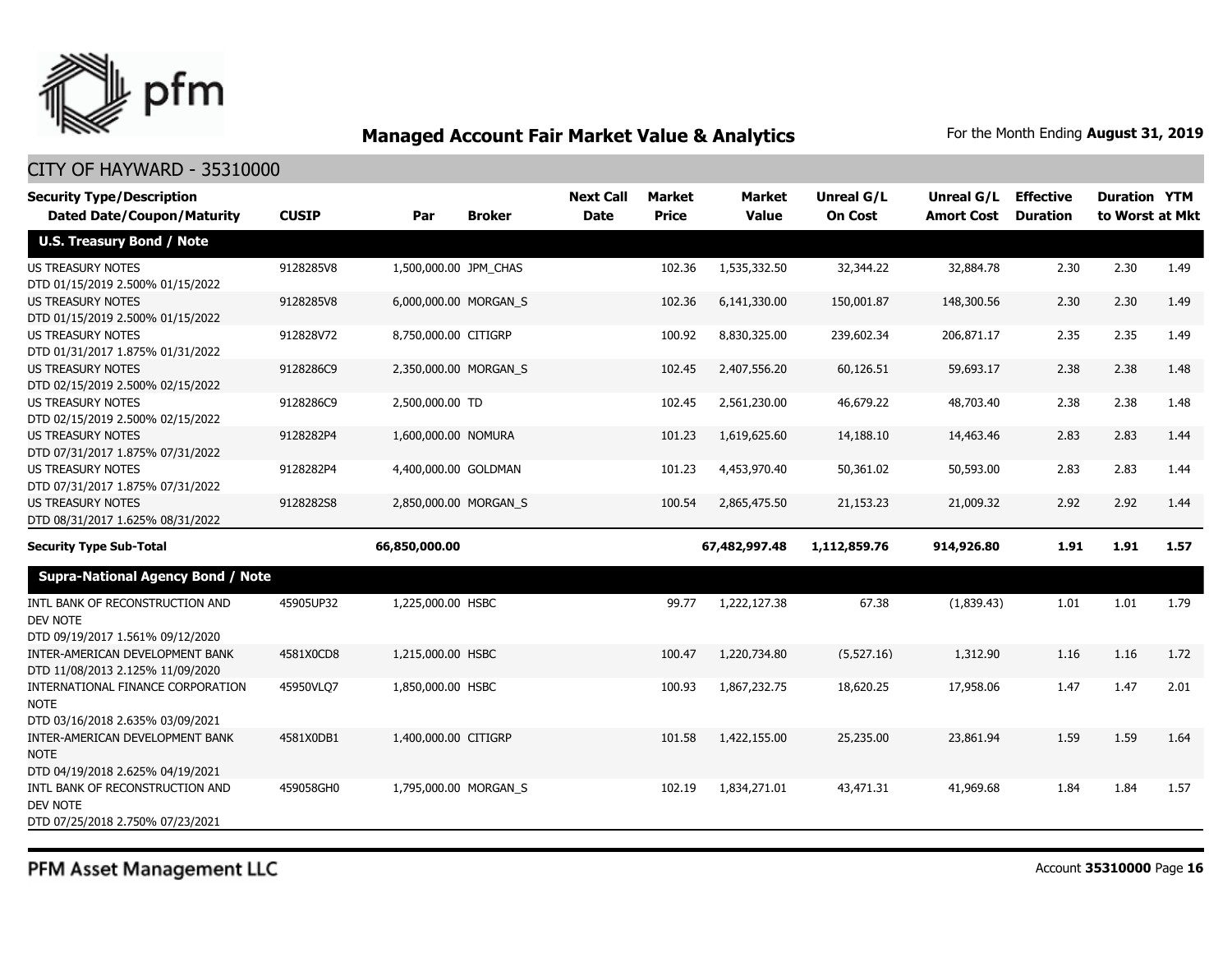

| <b>Security Type/Description</b>                                                       |              |                       |                       | <b>Next Call</b> | <b>Market</b> | Market        | Unreal G/L     | Unreal G/L        | <b>Effective</b> | <b>Duration YTM</b> |      |
|----------------------------------------------------------------------------------------|--------------|-----------------------|-----------------------|------------------|---------------|---------------|----------------|-------------------|------------------|---------------------|------|
| <b>Dated Date/Coupon/Maturity</b>                                                      | <b>CUSIP</b> | Par                   | <b>Broker</b>         | <b>Date</b>      | <b>Price</b>  | <b>Value</b>  | <b>On Cost</b> | <b>Amort Cost</b> | <b>Duration</b>  | to Worst at Mkt     |      |
| <b>U.S. Treasury Bond / Note</b>                                                       |              |                       |                       |                  |               |               |                |                   |                  |                     |      |
| <b>US TREASURY NOTES</b><br>DTD 01/15/2019 2.500% 01/15/2022                           | 9128285V8    | 1,500,000.00 JPM_CHAS |                       |                  | 102.36        | 1,535,332.50  | 32,344.22      | 32,884.78         | 2.30             | 2.30                | 1.49 |
| US TREASURY NOTES<br>DTD 01/15/2019 2.500% 01/15/2022                                  | 9128285V8    |                       | 6,000,000.00 MORGAN_S |                  | 102.36        | 6,141,330.00  | 150,001.87     | 148,300.56        | 2.30             | 2.30                | 1.49 |
| <b>US TREASURY NOTES</b><br>DTD 01/31/2017 1.875% 01/31/2022                           | 912828V72    | 8,750,000.00 CITIGRP  |                       |                  | 100.92        | 8,830,325.00  | 239,602.34     | 206,871.17        | 2.35             | 2.35                | 1.49 |
| <b>US TREASURY NOTES</b><br>DTD 02/15/2019 2.500% 02/15/2022                           | 9128286C9    |                       | 2,350,000.00 MORGAN S |                  | 102.45        | 2,407,556.20  | 60,126.51      | 59,693.17         | 2.38             | 2.38                | 1.48 |
| <b>US TREASURY NOTES</b><br>DTD 02/15/2019 2.500% 02/15/2022                           | 9128286C9    | 2,500,000.00 TD       |                       |                  | 102.45        | 2,561,230.00  | 46,679.22      | 48,703,40         | 2.38             | 2.38                | 1.48 |
| <b>US TREASURY NOTES</b><br>DTD 07/31/2017 1.875% 07/31/2022                           | 9128282P4    | 1,600,000.00 NOMURA   |                       |                  | 101.23        | 1,619,625.60  | 14,188.10      | 14,463.46         | 2.83             | 2.83                | 1.44 |
| <b>US TREASURY NOTES</b><br>DTD 07/31/2017 1.875% 07/31/2022                           | 9128282P4    | 4,400,000.00 GOLDMAN  |                       |                  | 101.23        | 4,453,970.40  | 50,361.02      | 50,593.00         | 2.83             | 2.83                | 1.44 |
| <b>US TREASURY NOTES</b><br>DTD 08/31/2017 1.625% 08/31/2022                           | 9128282S8    |                       | 2,850,000.00 MORGAN_S |                  | 100.54        | 2,865,475.50  | 21,153.23      | 21,009.32         | 2.92             | 2.92                | 1.44 |
| <b>Security Type Sub-Total</b>                                                         |              | 66,850,000.00         |                       |                  |               | 67,482,997.48 | 1,112,859.76   | 914,926.80        | 1.91             | 1.91                | 1.57 |
| <b>Supra-National Agency Bond / Note</b>                                               |              |                       |                       |                  |               |               |                |                   |                  |                     |      |
| INTL BANK OF RECONSTRUCTION AND<br>DEV NOTE<br>DTD 09/19/2017 1.561% 09/12/2020        | 45905UP32    | 1,225,000.00 HSBC     |                       |                  | 99.77         | 1,222,127.38  | 67.38          | (1,839.43)        | 1.01             | 1.01                | 1.79 |
| INTER-AMERICAN DEVELOPMENT BANK<br>DTD 11/08/2013 2.125% 11/09/2020                    | 4581X0CD8    | 1,215,000.00 HSBC     |                       |                  | 100.47        | 1,220,734.80  | (5,527.16)     | 1,312.90          | 1.16             | 1.16                | 1.72 |
| INTERNATIONAL FINANCE CORPORATION<br><b>NOTE</b><br>DTD 03/16/2018 2.635% 03/09/2021   | 45950VLQ7    | 1,850,000.00 HSBC     |                       |                  | 100.93        | 1,867,232.75  | 18,620.25      | 17,958.06         | 1.47             | 1.47                | 2.01 |
| INTER-AMERICAN DEVELOPMENT BANK<br><b>NOTE</b><br>DTD 04/19/2018 2.625% 04/19/2021     | 4581X0DB1    | 1,400,000.00 CITIGRP  |                       |                  | 101.58        | 1,422,155,00  | 25,235.00      | 23,861.94         | 1.59             | 1.59                | 1.64 |
| INTL BANK OF RECONSTRUCTION AND<br><b>DEV NOTE</b><br>DTD 07/25/2018 2.750% 07/23/2021 | 459058GH0    |                       | 1,795,000.00 MORGAN_S |                  | 102.19        | 1,834,271.01  | 43,471.31      | 41,969.68         | 1.84             | 1.84                | 1.57 |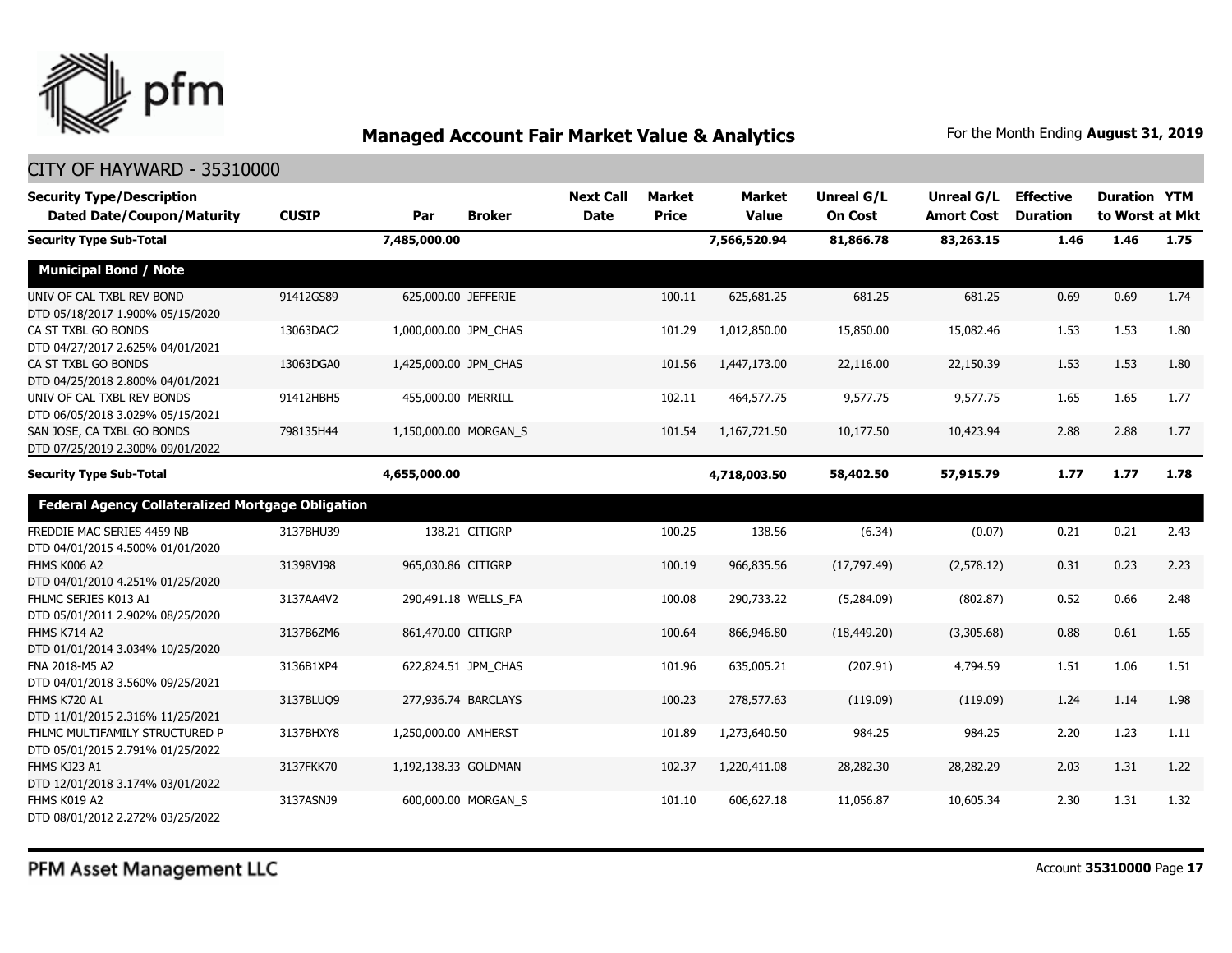

| <b>Security Type/Description</b><br><b>Dated Date/Coupon/Maturity</b> | <b>CUSIP</b> | Par                   | <b>Broker</b>         | <b>Next Call</b><br><b>Date</b> | Market<br><b>Price</b> | <b>Market</b><br><b>Value</b> | <b>Unreal G/L</b><br><b>On Cost</b> | Unreal G/L<br><b>Amort Cost</b> | <b>Effective</b><br><b>Duration</b> | <b>Duration YTM</b><br>to Worst at Mkt |      |
|-----------------------------------------------------------------------|--------------|-----------------------|-----------------------|---------------------------------|------------------------|-------------------------------|-------------------------------------|---------------------------------|-------------------------------------|----------------------------------------|------|
| <b>Security Type Sub-Total</b>                                        |              | 7,485,000.00          |                       |                                 |                        | 7,566,520.94                  | 81,866.78                           | 83,263.15                       | 1.46                                | 1.46                                   | 1.75 |
| <b>Municipal Bond / Note</b>                                          |              |                       |                       |                                 |                        |                               |                                     |                                 |                                     |                                        |      |
| UNIV OF CAL TXBL REV BOND<br>DTD 05/18/2017 1.900% 05/15/2020         | 91412GS89    |                       | 625,000.00 JEFFERIE   |                                 | 100.11                 | 625,681.25                    | 681.25                              | 681.25                          | 0.69                                | 0.69                                   | 1.74 |
| CA ST TXBL GO BONDS<br>DTD 04/27/2017 2.625% 04/01/2021               | 13063DAC2    | 1,000,000.00 JPM CHAS |                       |                                 | 101.29                 | 1,012,850.00                  | 15,850.00                           | 15,082.46                       | 1.53                                | 1.53                                   | 1.80 |
| CA ST TXBL GO BONDS<br>DTD 04/25/2018 2.800% 04/01/2021               | 13063DGA0    | 1,425,000.00 JPM_CHAS |                       |                                 | 101.56                 | 1,447,173.00                  | 22,116.00                           | 22,150.39                       | 1.53                                | 1.53                                   | 1.80 |
| UNIV OF CAL TXBL REV BONDS<br>DTD 06/05/2018 3.029% 05/15/2021        | 91412HBH5    | 455,000.00 MERRILL    |                       |                                 | 102.11                 | 464,577.75                    | 9,577.75                            | 9,577.75                        | 1.65                                | 1.65                                   | 1.77 |
| SAN JOSE, CA TXBL GO BONDS<br>DTD 07/25/2019 2.300% 09/01/2022        | 798135H44    |                       | 1,150,000.00 MORGAN S |                                 | 101.54                 | 1,167,721.50                  | 10,177.50                           | 10,423.94                       | 2.88                                | 2.88                                   | 1.77 |
| <b>Security Type Sub-Total</b>                                        |              | 4,655,000.00          |                       |                                 |                        | 4,718,003.50                  | 58,402.50                           | 57,915.79                       | 1.77                                | 1.77                                   | 1.78 |
| <b>Federal Agency Collateralized Mortgage Obligation</b>              |              |                       |                       |                                 |                        |                               |                                     |                                 |                                     |                                        |      |
| FREDDIE MAC SERIES 4459 NB<br>DTD 04/01/2015 4.500% 01/01/2020        | 3137BHU39    |                       | 138.21 CITIGRP        |                                 | 100.25                 | 138.56                        | (6.34)                              | (0.07)                          | 0.21                                | 0.21                                   | 2.43 |
| FHMS K006 A2<br>DTD 04/01/2010 4.251% 01/25/2020                      | 31398VJ98    | 965,030.86 CITIGRP    |                       |                                 | 100.19                 | 966,835.56                    | (17, 797.49)                        | (2,578.12)                      | 0.31                                | 0.23                                   | 2.23 |
| FHLMC SERIES K013 A1<br>DTD 05/01/2011 2.902% 08/25/2020              | 3137AA4V2    |                       | 290,491.18 WELLS FA   |                                 | 100.08                 | 290,733.22                    | (5,284.09)                          | (802.87)                        | 0.52                                | 0.66                                   | 2.48 |
| <b>FHMS K714 A2</b><br>DTD 01/01/2014 3.034% 10/25/2020               | 3137B6ZM6    | 861,470.00 CITIGRP    |                       |                                 | 100.64                 | 866,946.80                    | (18, 449.20)                        | (3,305.68)                      | 0.88                                | 0.61                                   | 1.65 |
| FNA 2018-M5 A2<br>DTD 04/01/2018 3.560% 09/25/2021                    | 3136B1XP4    |                       | 622,824.51 JPM CHAS   |                                 | 101.96                 | 635,005.21                    | (207.91)                            | 4,794.59                        | 1.51                                | 1.06                                   | 1.51 |
| <b>FHMS K720 A1</b><br>DTD 11/01/2015 2.316% 11/25/2021               | 3137BLUQ9    |                       | 277,936.74 BARCLAYS   |                                 | 100.23                 | 278,577.63                    | (119.09)                            | (119.09)                        | 1.24                                | 1.14                                   | 1.98 |
| FHLMC MULTIFAMILY STRUCTURED P<br>DTD 05/01/2015 2.791% 01/25/2022    | 3137BHXY8    | 1,250,000.00 AMHERST  |                       |                                 | 101.89                 | 1,273,640.50                  | 984.25                              | 984.25                          | 2.20                                | 1.23                                   | 1.11 |
| FHMS KJ23 A1<br>DTD 12/01/2018 3.174% 03/01/2022                      | 3137FKK70    | 1,192,138.33 GOLDMAN  |                       |                                 | 102.37                 | 1,220,411.08                  | 28,282.30                           | 28,282.29                       | 2.03                                | 1.31                                   | 1.22 |
| FHMS K019 A2<br>DTD 08/01/2012 2.272% 03/25/2022                      | 3137ASNJ9    |                       | 600,000.00 MORGAN S   |                                 | 101.10                 | 606,627.18                    | 11,056.87                           | 10,605.34                       | 2.30                                | 1.31                                   | 1.32 |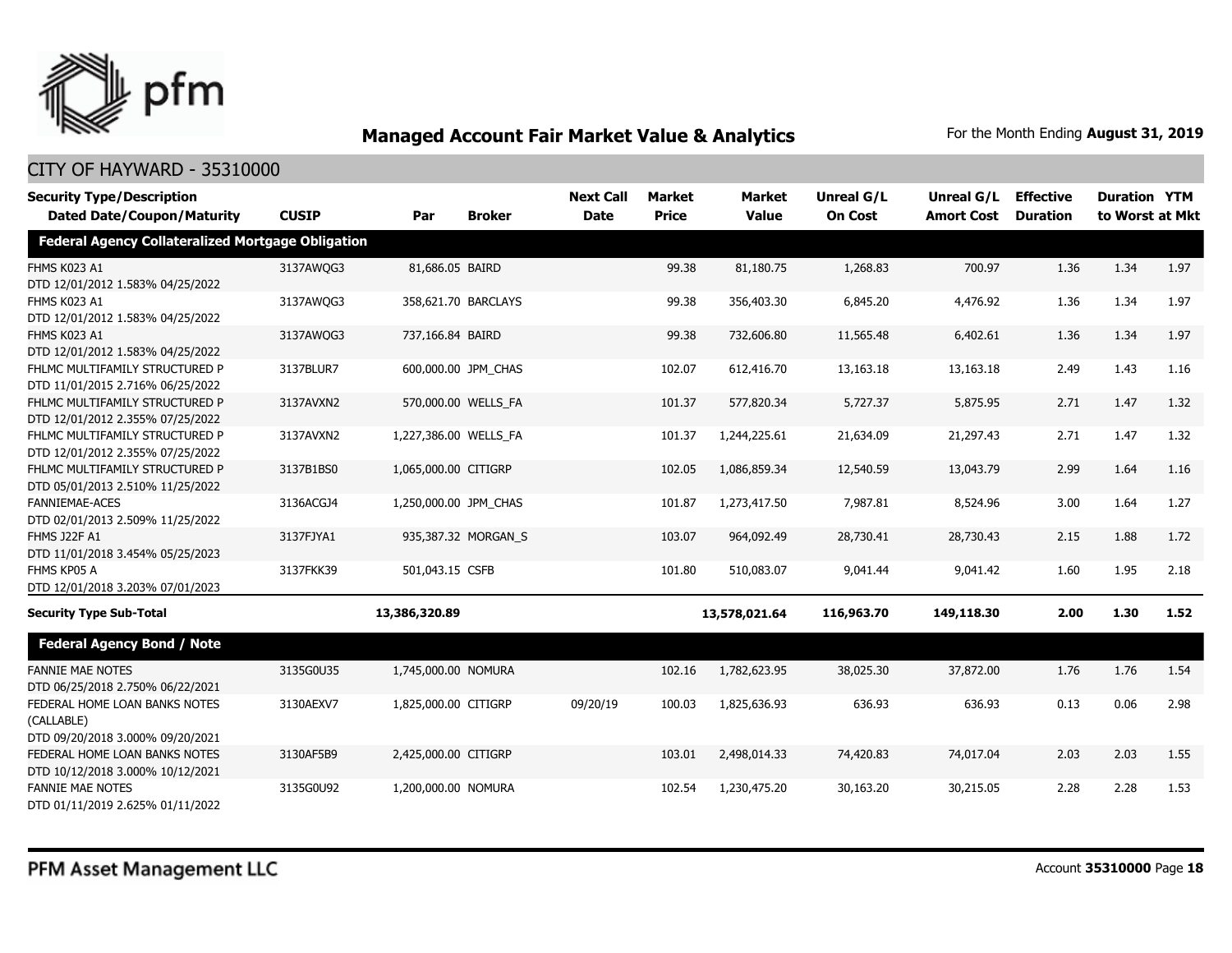

| <b>Security Type/Description</b>                         |              |                       |                     | <b>Next Call</b> | <b>Market</b> | <b>Market</b> | <b>Unreal G/L</b> | Unreal G/L        | <b>Effective</b> | <b>Duration YTM</b> |      |
|----------------------------------------------------------|--------------|-----------------------|---------------------|------------------|---------------|---------------|-------------------|-------------------|------------------|---------------------|------|
| <b>Dated Date/Coupon/Maturity</b>                        | <b>CUSIP</b> | Par                   | <b>Broker</b>       | <b>Date</b>      | <b>Price</b>  | <b>Value</b>  | <b>On Cost</b>    | <b>Amort Cost</b> | <b>Duration</b>  | to Worst at Mkt     |      |
| <b>Federal Agency Collateralized Mortgage Obligation</b> |              |                       |                     |                  |               |               |                   |                   |                  |                     |      |
| <b>FHMS K023 A1</b>                                      | 3137AWQG3    | 81,686.05 BAIRD       |                     |                  | 99.38         | 81,180.75     | 1,268.83          | 700.97            | 1.36             | 1.34                | 1.97 |
| DTD 12/01/2012 1.583% 04/25/2022                         |              |                       |                     |                  |               |               |                   |                   |                  |                     |      |
| FHMS K023 A1                                             | 3137AWQG3    |                       | 358,621.70 BARCLAYS |                  | 99.38         | 356,403.30    | 6,845.20          | 4,476.92          | 1.36             | 1.34                | 1.97 |
| DTD 12/01/2012 1.583% 04/25/2022                         |              |                       |                     |                  |               |               |                   |                   |                  |                     |      |
| FHMS K023 A1                                             | 3137AWQG3    | 737,166.84 BAIRD      |                     |                  | 99.38         | 732,606.80    | 11,565.48         | 6,402.61          | 1.36             | 1.34                | 1.97 |
| DTD 12/01/2012 1.583% 04/25/2022                         |              |                       |                     |                  |               |               |                   |                   |                  |                     |      |
| FHLMC MULTIFAMILY STRUCTURED P                           | 3137BLUR7    |                       | 600,000.00 JPM_CHAS |                  | 102.07        | 612,416.70    | 13,163.18         | 13,163.18         | 2.49             | 1.43                | 1.16 |
| DTD 11/01/2015 2.716% 06/25/2022                         |              |                       |                     |                  |               |               |                   |                   |                  |                     |      |
| FHLMC MULTIFAMILY STRUCTURED P                           | 3137AVXN2    |                       | 570,000.00 WELLS_FA |                  | 101.37        | 577,820.34    | 5,727.37          | 5,875.95          | 2.71             | 1.47                | 1.32 |
| DTD 12/01/2012 2.355% 07/25/2022                         |              |                       |                     |                  |               |               |                   |                   |                  |                     |      |
| FHLMC MULTIFAMILY STRUCTURED P                           | 3137AVXN2    | 1,227,386.00 WELLS_FA |                     |                  | 101.37        | 1,244,225.61  | 21,634.09         | 21,297.43         | 2.71             | 1.47                | 1.32 |
| DTD 12/01/2012 2.355% 07/25/2022                         |              |                       |                     |                  |               |               |                   |                   |                  |                     |      |
| FHLMC MULTIFAMILY STRUCTURED P                           | 3137B1BS0    | 1,065,000.00 CITIGRP  |                     |                  | 102.05        | 1,086,859.34  | 12,540.59         | 13,043.79         | 2.99             | 1.64                | 1.16 |
| DTD 05/01/2013 2.510% 11/25/2022                         |              |                       |                     |                  |               |               |                   |                   |                  |                     |      |
| FANNIEMAE-ACES                                           | 3136ACGJ4    | 1,250,000.00 JPM CHAS |                     |                  | 101.87        | 1,273,417.50  | 7,987.81          | 8,524.96          | 3.00             | 1.64                | 1.27 |
| DTD 02/01/2013 2.509% 11/25/2022                         |              |                       |                     |                  |               |               |                   |                   |                  |                     |      |
| FHMS J22F A1                                             | 3137FJYA1    |                       | 935,387.32 MORGAN_S |                  | 103.07        | 964,092.49    | 28,730.41         | 28,730.43         | 2.15             | 1.88                | 1.72 |
| DTD 11/01/2018 3.454% 05/25/2023                         |              |                       |                     |                  |               |               |                   |                   |                  |                     |      |
| FHMS KP05 A                                              | 3137FKK39    | 501,043.15 CSFB       |                     |                  | 101.80        | 510,083.07    | 9,041.44          | 9,041.42          | 1.60             | 1.95                | 2.18 |
| DTD 12/01/2018 3.203% 07/01/2023                         |              |                       |                     |                  |               |               |                   |                   |                  |                     |      |
| <b>Security Type Sub-Total</b>                           |              | 13,386,320.89         |                     |                  |               | 13,578,021.64 | 116,963.70        | 149,118.30        | 2.00             | 1.30                | 1.52 |
| <b>Federal Agency Bond / Note</b>                        |              |                       |                     |                  |               |               |                   |                   |                  |                     |      |
| <b>FANNIE MAE NOTES</b>                                  | 3135G0U35    | 1,745,000.00 NOMURA   |                     |                  | 102.16        | 1,782,623.95  | 38,025.30         | 37,872.00         | 1.76             | 1.76                | 1.54 |
| DTD 06/25/2018 2.750% 06/22/2021                         |              |                       |                     |                  |               |               |                   |                   |                  |                     |      |
| FEDERAL HOME LOAN BANKS NOTES                            | 3130AEXV7    | 1,825,000.00 CITIGRP  |                     | 09/20/19         | 100.03        | 1,825,636.93  | 636.93            | 636.93            | 0.13             | 0.06                | 2.98 |
| (CALLABLE)                                               |              |                       |                     |                  |               |               |                   |                   |                  |                     |      |
| DTD 09/20/2018 3.000% 09/20/2021                         |              |                       |                     |                  |               |               |                   |                   |                  |                     |      |
| FEDERAL HOME LOAN BANKS NOTES                            | 3130AF5B9    | 2,425,000.00 CITIGRP  |                     |                  | 103.01        | 2,498,014.33  | 74,420.83         | 74,017.04         | 2.03             | 2.03                | 1.55 |
| DTD 10/12/2018 3.000% 10/12/2021                         |              |                       |                     |                  |               |               |                   |                   |                  |                     |      |
| <b>FANNIE MAE NOTES</b>                                  | 3135G0U92    | 1,200,000.00 NOMURA   |                     |                  | 102.54        | 1,230,475.20  | 30,163.20         | 30,215.05         | 2.28             | 2.28                | 1.53 |
| DTD 01/11/2019 2.625% 01/11/2022                         |              |                       |                     |                  |               |               |                   |                   |                  |                     |      |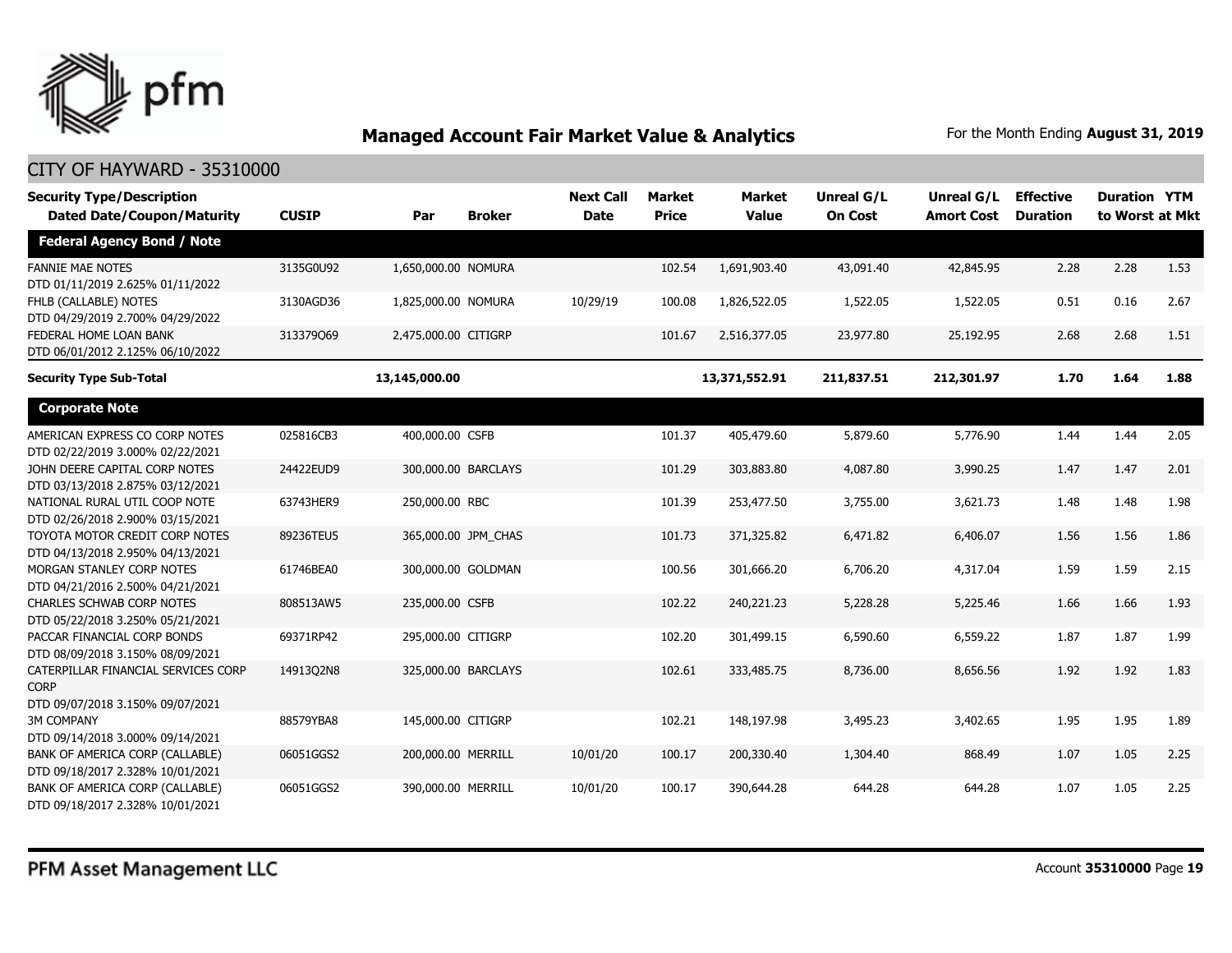

| <b>Security Type/Description</b><br><b>Dated Date/Coupon/Maturity</b>                  | <b>CUSIP</b> | Par                  | <b>Broker</b>       | <b>Next Call</b><br><b>Date</b> | <b>Market</b><br><b>Price</b> | <b>Market</b><br><b>Value</b> | Unreal G/L<br><b>On Cost</b> | Unreal G/L<br><b>Amort Cost</b> | <b>Effective</b><br><b>Duration</b> | <b>Duration YTM</b><br>to Worst at Mkt |      |
|----------------------------------------------------------------------------------------|--------------|----------------------|---------------------|---------------------------------|-------------------------------|-------------------------------|------------------------------|---------------------------------|-------------------------------------|----------------------------------------|------|
| <b>Federal Agency Bond / Note</b>                                                      |              |                      |                     |                                 |                               |                               |                              |                                 |                                     |                                        |      |
| <b>FANNIE MAE NOTES</b><br>DTD 01/11/2019 2.625% 01/11/2022                            | 3135G0U92    | 1,650,000.00 NOMURA  |                     |                                 | 102.54                        | 1,691,903.40                  | 43,091.40                    | 42,845.95                       | 2.28                                | 2.28                                   | 1.53 |
| FHLB (CALLABLE) NOTES<br>DTD 04/29/2019 2.700% 04/29/2022                              | 3130AGD36    | 1,825,000.00 NOMURA  |                     | 10/29/19                        | 100.08                        | 1,826,522.05                  | 1,522.05                     | 1,522.05                        | 0.51                                | 0.16                                   | 2.67 |
| FEDERAL HOME LOAN BANK<br>DTD 06/01/2012 2.125% 06/10/2022                             | 313379069    | 2,475,000.00 CITIGRP |                     |                                 | 101.67                        | 2,516,377.05                  | 23,977.80                    | 25,192.95                       | 2.68                                | 2.68                                   | 1.51 |
| <b>Security Type Sub-Total</b>                                                         |              | 13,145,000.00        |                     |                                 |                               | 13,371,552.91                 | 211,837.51                   | 212,301.97                      | 1.70                                | 1.64                                   | 1.88 |
| <b>Corporate Note</b>                                                                  |              |                      |                     |                                 |                               |                               |                              |                                 |                                     |                                        |      |
| AMERICAN EXPRESS CO CORP NOTES<br>DTD 02/22/2019 3.000% 02/22/2021                     | 025816CB3    | 400,000.00 CSFB      |                     |                                 | 101.37                        | 405,479.60                    | 5,879.60                     | 5,776.90                        | 1.44                                | 1.44                                   | 2.05 |
| JOHN DEERE CAPITAL CORP NOTES<br>DTD 03/13/2018 2.875% 03/12/2021                      | 24422EUD9    | 300,000.00 BARCLAYS  |                     |                                 | 101.29                        | 303,883.80                    | 4,087.80                     | 3,990.25                        | 1.47                                | 1.47                                   | 2.01 |
| NATIONAL RURAL UTIL COOP NOTE<br>DTD 02/26/2018 2.900% 03/15/2021                      | 63743HER9    | 250,000.00 RBC       |                     |                                 | 101.39                        | 253,477.50                    | 3,755.00                     | 3,621.73                        | 1.48                                | 1.48                                   | 1.98 |
| TOYOTA MOTOR CREDIT CORP NOTES<br>DTD 04/13/2018 2.950% 04/13/2021                     | 89236TEU5    |                      | 365,000.00 JPM_CHAS |                                 | 101.73                        | 371,325.82                    | 6,471.82                     | 6,406.07                        | 1.56                                | 1.56                                   | 1.86 |
| MORGAN STANLEY CORP NOTES<br>DTD 04/21/2016 2.500% 04/21/2021                          | 61746BEA0    |                      | 300,000.00 GOLDMAN  |                                 | 100.56                        | 301,666.20                    | 6,706.20                     | 4,317.04                        | 1.59                                | 1.59                                   | 2.15 |
| <b>CHARLES SCHWAB CORP NOTES</b><br>DTD 05/22/2018 3.250% 05/21/2021                   | 808513AW5    | 235,000.00 CSFB      |                     |                                 | 102.22                        | 240,221.23                    | 5,228.28                     | 5,225.46                        | 1.66                                | 1.66                                   | 1.93 |
| PACCAR FINANCIAL CORP BONDS<br>DTD 08/09/2018 3.150% 08/09/2021                        | 69371RP42    | 295,000.00 CITIGRP   |                     |                                 | 102.20                        | 301,499.15                    | 6,590.60                     | 6,559.22                        | 1.87                                | 1.87                                   | 1.99 |
| CATERPILLAR FINANCIAL SERVICES CORP<br><b>CORP</b><br>DTD 09/07/2018 3.150% 09/07/2021 | 14913Q2N8    |                      | 325,000.00 BARCLAYS |                                 | 102.61                        | 333,485.75                    | 8,736.00                     | 8,656.56                        | 1.92                                | 1.92                                   | 1.83 |
| <b>3M COMPANY</b><br>DTD 09/14/2018 3.000% 09/14/2021                                  | 88579YBA8    | 145,000.00 CITIGRP   |                     |                                 | 102.21                        | 148,197.98                    | 3,495.23                     | 3,402.65                        | 1.95                                | 1.95                                   | 1.89 |
| BANK OF AMERICA CORP (CALLABLE)<br>DTD 09/18/2017 2.328% 10/01/2021                    | 06051GGS2    | 200,000.00 MERRILL   |                     | 10/01/20                        | 100.17                        | 200,330.40                    | 1,304.40                     | 868.49                          | 1.07                                | 1.05                                   | 2.25 |
| BANK OF AMERICA CORP (CALLABLE)<br>DTD 09/18/2017 2.328% 10/01/2021                    | 06051GGS2    | 390,000.00 MERRILL   |                     | 10/01/20                        | 100.17                        | 390,644.28                    | 644.28                       | 644.28                          | 1.07                                | 1.05                                   | 2.25 |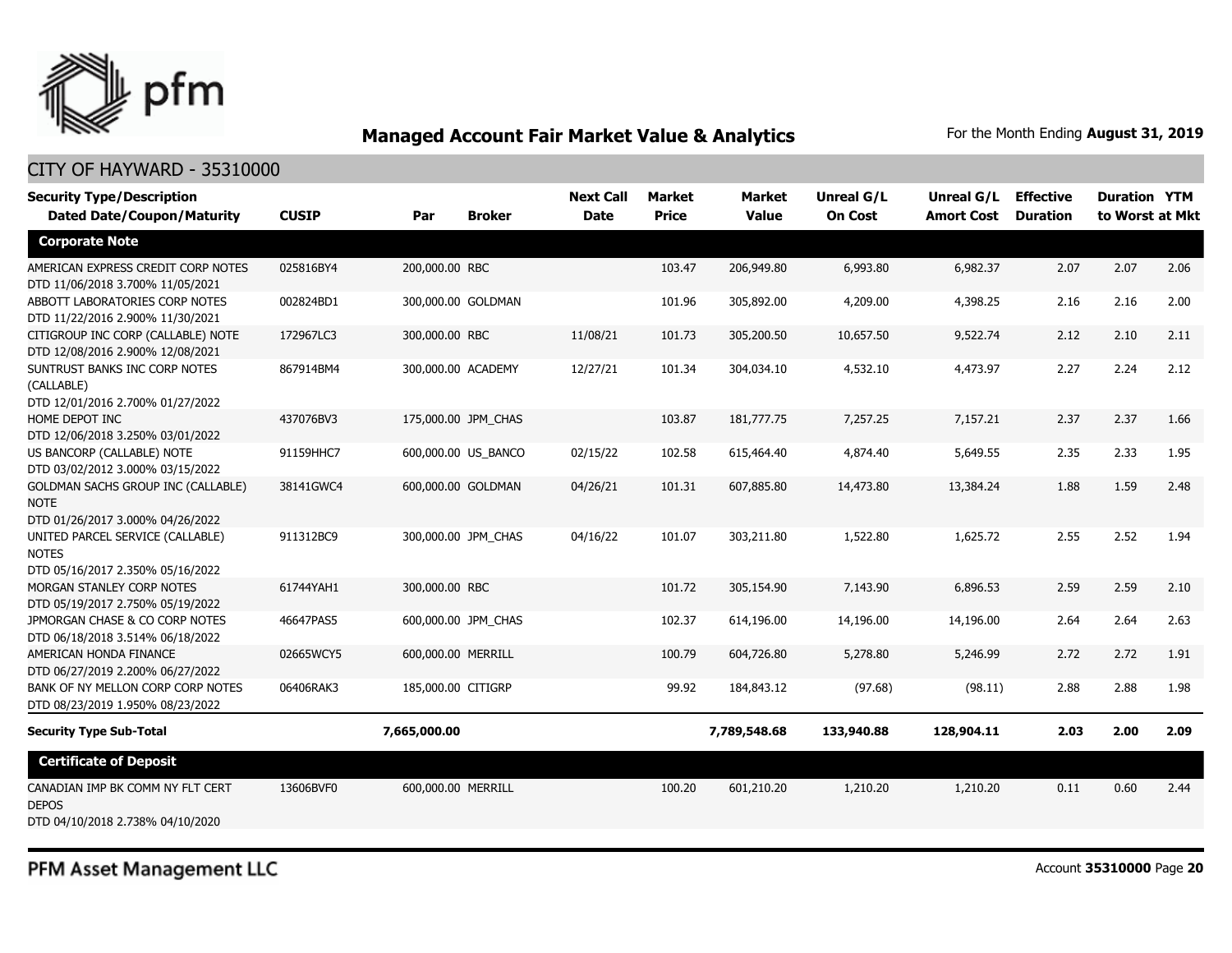

#### CITY OF HAYWARD - 35310000

| <b>Security Type/Description</b><br><b>Dated Date/Coupon/Maturity</b>                        | <b>CUSIP</b> | Par                | <b>Broker</b>       | <b>Next Call</b><br><b>Date</b> | <b>Market</b><br><b>Price</b> | <b>Market</b><br><b>Value</b> | Unreal G/L<br><b>On Cost</b> | Unreal G/L<br><b>Amort Cost</b> | <b>Effective</b><br><b>Duration</b> | <b>Duration YTM</b><br>to Worst at Mkt |      |
|----------------------------------------------------------------------------------------------|--------------|--------------------|---------------------|---------------------------------|-------------------------------|-------------------------------|------------------------------|---------------------------------|-------------------------------------|----------------------------------------|------|
| <b>Corporate Note</b>                                                                        |              |                    |                     |                                 |                               |                               |                              |                                 |                                     |                                        |      |
| AMERICAN EXPRESS CREDIT CORP NOTES<br>DTD 11/06/2018 3.700% 11/05/2021                       | 025816BY4    | 200,000.00 RBC     |                     |                                 | 103.47                        | 206,949.80                    | 6,993.80                     | 6,982.37                        | 2.07                                | 2.07                                   | 2.06 |
| ABBOTT LABORATORIES CORP NOTES<br>DTD 11/22/2016 2.900% 11/30/2021                           | 002824BD1    |                    | 300,000.00 GOLDMAN  |                                 | 101.96                        | 305,892.00                    | 4,209.00                     | 4,398.25                        | 2.16                                | 2.16                                   | 2.00 |
| CITIGROUP INC CORP (CALLABLE) NOTE<br>DTD 12/08/2016 2.900% 12/08/2021                       | 172967LC3    | 300,000.00 RBC     |                     | 11/08/21                        | 101.73                        | 305,200.50                    | 10,657.50                    | 9,522.74                        | 2.12                                | 2.10                                   | 2.11 |
| SUNTRUST BANKS INC CORP NOTES<br>(CALLABLE)<br>DTD 12/01/2016 2.700% 01/27/2022              | 867914BM4    |                    | 300,000.00 ACADEMY  | 12/27/21                        | 101.34                        | 304,034.10                    | 4,532.10                     | 4,473.97                        | 2.27                                | 2.24                                   | 2.12 |
| HOME DEPOT INC<br>DTD 12/06/2018 3.250% 03/01/2022                                           | 437076BV3    |                    | 175,000.00 JPM CHAS |                                 | 103.87                        | 181,777.75                    | 7,257.25                     | 7,157.21                        | 2.37                                | 2.37                                   | 1.66 |
| US BANCORP (CALLABLE) NOTE<br>DTD 03/02/2012 3.000% 03/15/2022                               | 91159HHC7    |                    | 600,000.00 US BANCO | 02/15/22                        | 102.58                        | 615,464.40                    | 4,874.40                     | 5,649.55                        | 2.35                                | 2.33                                   | 1.95 |
| <b>GOLDMAN SACHS GROUP INC (CALLABLE)</b><br><b>NOTE</b><br>DTD 01/26/2017 3.000% 04/26/2022 | 38141GWC4    |                    | 600,000.00 GOLDMAN  | 04/26/21                        | 101.31                        | 607,885.80                    | 14,473.80                    | 13,384.24                       | 1.88                                | 1.59                                   | 2.48 |
| UNITED PARCEL SERVICE (CALLABLE)<br><b>NOTES</b><br>DTD 05/16/2017 2.350% 05/16/2022         | 911312BC9    |                    | 300,000.00 JPM CHAS | 04/16/22                        | 101.07                        | 303,211.80                    | 1,522.80                     | 1,625.72                        | 2.55                                | 2.52                                   | 1.94 |
| MORGAN STANLEY CORP NOTES<br>DTD 05/19/2017 2.750% 05/19/2022                                | 61744YAH1    | 300,000.00 RBC     |                     |                                 | 101.72                        | 305,154.90                    | 7,143.90                     | 6,896.53                        | 2.59                                | 2.59                                   | 2.10 |
| JPMORGAN CHASE & CO CORP NOTES<br>DTD 06/18/2018 3.514% 06/18/2022                           | 46647PAS5    |                    | 600,000.00 JPM_CHAS |                                 | 102.37                        | 614,196.00                    | 14,196.00                    | 14,196.00                       | 2.64                                | 2.64                                   | 2.63 |
| AMERICAN HONDA FINANCE<br>DTD 06/27/2019 2.200% 06/27/2022                                   | 02665WCY5    | 600,000.00 MERRILL |                     |                                 | 100.79                        | 604,726.80                    | 5,278.80                     | 5,246.99                        | 2.72                                | 2.72                                   | 1.91 |
| BANK OF NY MELLON CORP CORP NOTES<br>DTD 08/23/2019 1.950% 08/23/2022                        | 06406RAK3    | 185,000.00 CITIGRP |                     |                                 | 99.92                         | 184,843.12                    | (97.68)                      | (98.11)                         | 2.88                                | 2.88                                   | 1.98 |
| <b>Security Type Sub-Total</b>                                                               |              | 7,665,000.00       |                     |                                 |                               | 7,789,548.68                  | 133,940.88                   | 128,904.11                      | 2.03                                | 2.00                                   | 2.09 |
| <b>Certificate of Deposit</b>                                                                |              |                    |                     |                                 |                               |                               |                              |                                 |                                     |                                        |      |
| CANADIAN IMP BK COMM NY FLT CERT<br><b>DEPOS</b><br>DTD 04/10/2018 2.738% 04/10/2020         | 13606BVF0    | 600,000.00 MERRILL |                     |                                 | 100.20                        | 601,210.20                    | 1,210.20                     | 1,210.20                        | 0.11                                | 0.60                                   | 2.44 |

PFM Asset Management LLC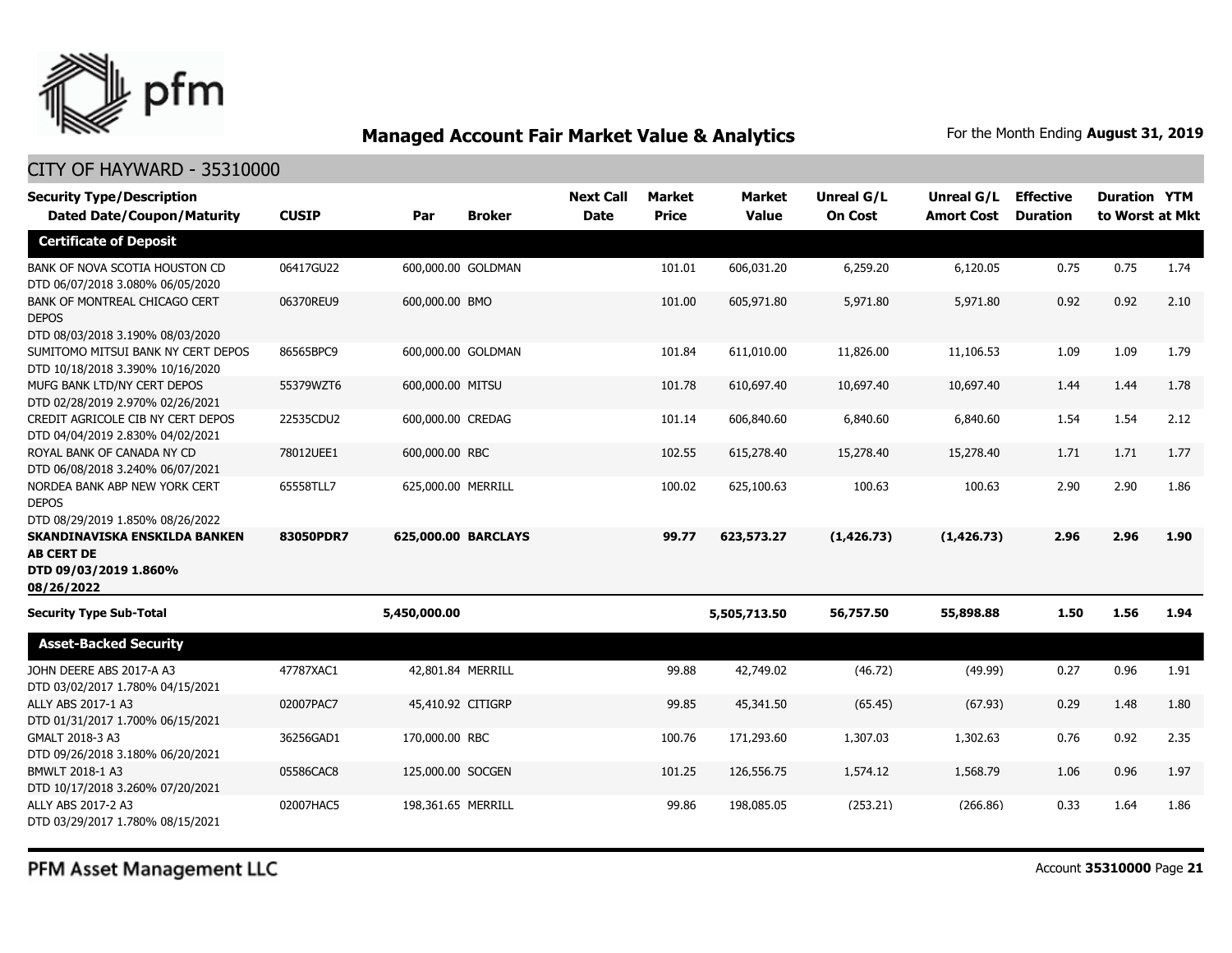

#### CITY OF HAYWARD - 35310000

| <b>Security Type/Description</b>                                                                           |              |                    |                     | <b>Next Call</b> | Market       | <b>Market</b> | Unreal G/L     | Unreal G/L        | <b>Effective</b> | <b>Duration YTM</b> |      |
|------------------------------------------------------------------------------------------------------------|--------------|--------------------|---------------------|------------------|--------------|---------------|----------------|-------------------|------------------|---------------------|------|
| <b>Dated Date/Coupon/Maturity</b>                                                                          | <b>CUSIP</b> | Par                | <b>Broker</b>       | <b>Date</b>      | <b>Price</b> | <b>Value</b>  | <b>On Cost</b> | <b>Amort Cost</b> | <b>Duration</b>  | to Worst at Mkt     |      |
| <b>Certificate of Deposit</b>                                                                              |              |                    |                     |                  |              |               |                |                   |                  |                     |      |
| BANK OF NOVA SCOTIA HOUSTON CD<br>DTD 06/07/2018 3.080% 06/05/2020                                         | 06417GU22    |                    | 600,000.00 GOLDMAN  |                  | 101.01       | 606,031.20    | 6,259.20       | 6,120.05          | 0.75             | 0.75                | 1.74 |
| BANK OF MONTREAL CHICAGO CERT<br><b>DEPOS</b>                                                              | 06370REU9    | 600,000,00 BMO     |                     |                  | 101.00       | 605,971.80    | 5,971.80       | 5,971.80          | 0.92             | 0.92                | 2.10 |
| DTD 08/03/2018 3.190% 08/03/2020<br>SUMITOMO MITSUI BANK NY CERT DEPOS<br>DTD 10/18/2018 3.390% 10/16/2020 | 86565BPC9    |                    | 600,000.00 GOLDMAN  |                  | 101.84       | 611,010.00    | 11,826.00      | 11,106.53         | 1.09             | 1.09                | 1.79 |
| MUFG BANK LTD/NY CERT DEPOS<br>DTD 02/28/2019 2.970% 02/26/2021                                            | 55379WZT6    | 600,000.00 MITSU   |                     |                  | 101.78       | 610,697.40    | 10,697.40      | 10,697.40         | 1.44             | 1.44                | 1.78 |
| CREDIT AGRICOLE CIB NY CERT DEPOS<br>DTD 04/04/2019 2.830% 04/02/2021                                      | 22535CDU2    | 600,000.00 CREDAG  |                     |                  | 101.14       | 606,840.60    | 6,840.60       | 6,840.60          | 1.54             | 1.54                | 2.12 |
| ROYAL BANK OF CANADA NY CD<br>DTD 06/08/2018 3.240% 06/07/2021                                             | 78012UEE1    | 600,000.00 RBC     |                     |                  | 102.55       | 615,278.40    | 15,278.40      | 15,278.40         | 1.71             | 1.71                | 1.77 |
| NORDEA BANK ABP NEW YORK CERT<br><b>DEPOS</b><br>DTD 08/29/2019 1.850% 08/26/2022                          | 65558TLL7    | 625,000.00 MERRILL |                     |                  | 100.02       | 625,100.63    | 100.63         | 100.63            | 2.90             | 2.90                | 1.86 |
| SKANDINAVISKA ENSKILDA BANKEN<br><b>AB CERT DE</b><br>DTD 09/03/2019 1.860%<br>08/26/2022                  | 83050PDR7    |                    | 625,000.00 BARCLAYS |                  | 99.77        | 623,573.27    | (1, 426.73)    | (1, 426.73)       | 2.96             | 2.96                | 1.90 |
| <b>Security Type Sub-Total</b>                                                                             |              | 5,450,000.00       |                     |                  |              | 5,505,713.50  | 56,757.50      | 55,898.88         | 1.50             | 1.56                | 1.94 |
| <b>Asset-Backed Security</b>                                                                               |              |                    |                     |                  |              |               |                |                   |                  |                     |      |
| JOHN DEERE ABS 2017-A A3<br>DTD 03/02/2017 1.780% 04/15/2021                                               | 47787XAC1    |                    | 42,801.84 MERRILL   |                  | 99.88        | 42,749.02     | (46.72)        | (49.99)           | 0.27             | 0.96                | 1.91 |
| ALLY ABS 2017-1 A3<br>DTD 01/31/2017 1.700% 06/15/2021                                                     | 02007PAC7    | 45,410.92 CITIGRP  |                     |                  | 99.85        | 45,341.50     | (65.45)        | (67.93)           | 0.29             | 1.48                | 1.80 |
| GMALT 2018-3 A3<br>DTD 09/26/2018 3.180% 06/20/2021                                                        | 36256GAD1    | 170,000.00 RBC     |                     |                  | 100.76       | 171,293.60    | 1,307.03       | 1,302.63          | 0.76             | 0.92                | 2.35 |
| BMWLT 2018-1 A3<br>DTD 10/17/2018 3.260% 07/20/2021                                                        | 05586CAC8    | 125,000.00 SOCGEN  |                     |                  | 101.25       | 126,556.75    | 1,574.12       | 1,568.79          | 1.06             | 0.96                | 1.97 |
| ALLY ABS 2017-2 A3<br>DTD 03/29/2017 1.780% 08/15/2021                                                     | 02007HAC5    | 198,361.65 MERRILL |                     |                  | 99.86        | 198,085.05    | (253.21)       | (266.86)          | 0.33             | 1.64                | 1.86 |

PFM Asset Management LLC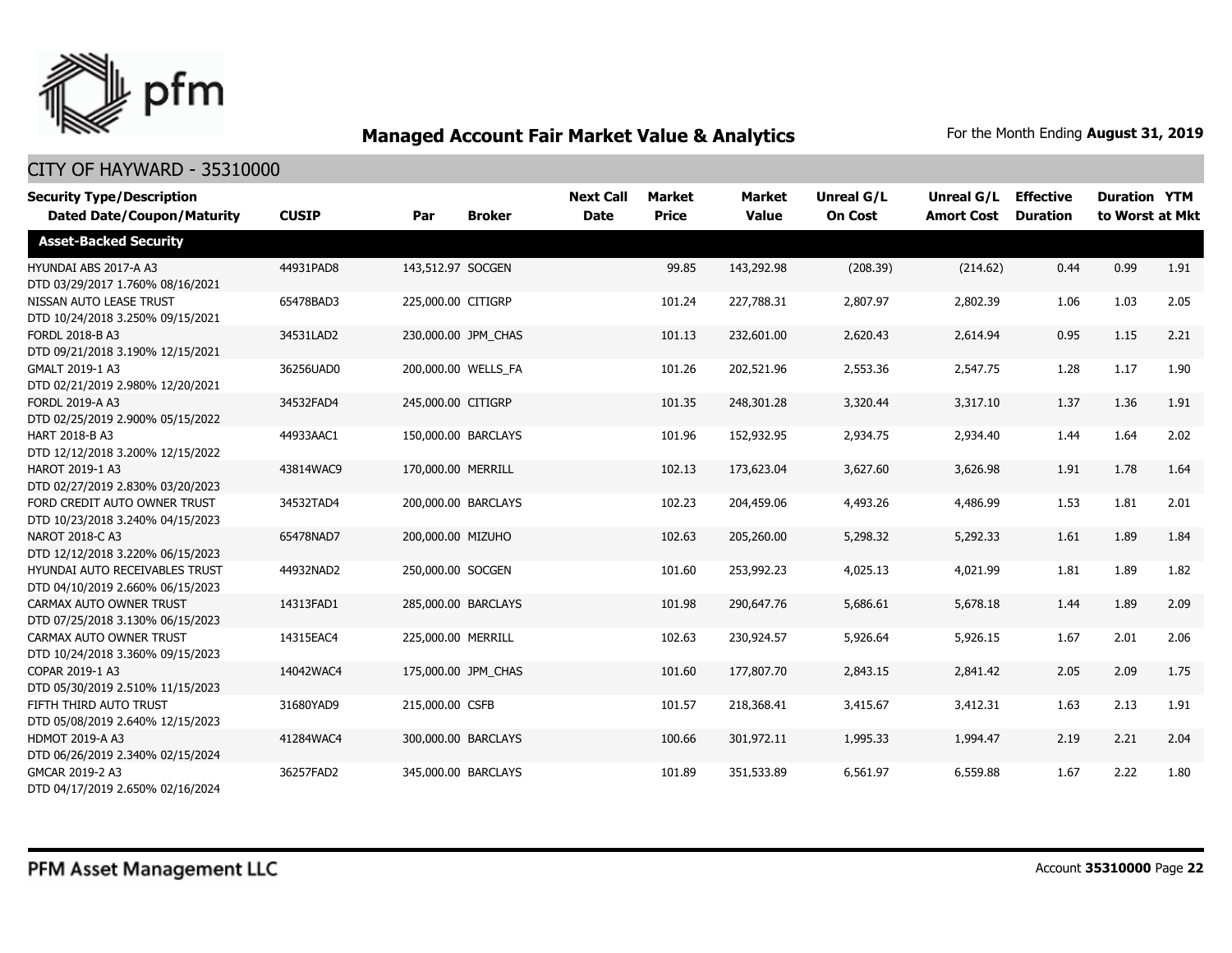

| <b>Security Type/Description</b><br><b>Dated Date/Coupon/Maturity</b> | <b>CUSIP</b> | Par                 | <b>Broker</b>       | <b>Next Call</b><br><b>Date</b> | <b>Market</b><br><b>Price</b> | Market<br><b>Value</b> | <b>Unreal G/L</b><br><b>On Cost</b> | Unreal G/L<br><b>Amort Cost</b> | <b>Effective</b><br><b>Duration</b> | <b>Duration YTM</b><br>to Worst at Mkt |      |
|-----------------------------------------------------------------------|--------------|---------------------|---------------------|---------------------------------|-------------------------------|------------------------|-------------------------------------|---------------------------------|-------------------------------------|----------------------------------------|------|
| <b>Asset-Backed Security</b>                                          |              |                     |                     |                                 |                               |                        |                                     |                                 |                                     |                                        |      |
| HYUNDAI ABS 2017-A A3<br>DTD 03/29/2017 1.760% 08/16/2021             | 44931PAD8    | 143,512.97 SOCGEN   |                     |                                 | 99.85                         | 143,292.98             | (208.39)                            | (214.62)                        | 0.44                                | 0.99                                   | 1.91 |
| NISSAN AUTO LEASE TRUST<br>DTD 10/24/2018 3.250% 09/15/2021           | 65478BAD3    | 225,000.00 CITIGRP  |                     |                                 | 101.24                        | 227,788.31             | 2,807.97                            | 2,802.39                        | 1.06                                | 1.03                                   | 2.05 |
| <b>FORDL 2018-B A3</b><br>DTD 09/21/2018 3.190% 12/15/2021            | 34531LAD2    |                     | 230,000.00 JPM CHAS |                                 | 101.13                        | 232,601.00             | 2,620.43                            | 2,614.94                        | 0.95                                | 1.15                                   | 2.21 |
| GMALT 2019-1 A3<br>DTD 02/21/2019 2.980% 12/20/2021                   | 36256UAD0    |                     | 200,000.00 WELLS FA |                                 | 101.26                        | 202,521.96             | 2,553.36                            | 2,547.75                        | 1.28                                | 1.17                                   | 1.90 |
| <b>FORDL 2019-A A3</b><br>DTD 02/25/2019 2.900% 05/15/2022            | 34532FAD4    | 245,000.00 CITIGRP  |                     |                                 | 101.35                        | 248,301.28             | 3,320.44                            | 3,317.10                        | 1.37                                | 1.36                                   | 1.91 |
| HART 2018-B A3<br>DTD 12/12/2018 3.200% 12/15/2022                    | 44933AAC1    | 150,000.00 BARCLAYS |                     |                                 | 101.96                        | 152,932.95             | 2,934.75                            | 2,934.40                        | 1.44                                | 1.64                                   | 2.02 |
| HAROT 2019-1 A3<br>DTD 02/27/2019 2.830% 03/20/2023                   | 43814WAC9    | 170,000.00 MERRILL  |                     |                                 | 102.13                        | 173,623.04             | 3,627.60                            | 3,626.98                        | 1.91                                | 1.78                                   | 1.64 |
| FORD CREDIT AUTO OWNER TRUST<br>DTD 10/23/2018 3.240% 04/15/2023      | 34532TAD4    | 200,000.00 BARCLAYS |                     |                                 | 102.23                        | 204,459.06             | 4,493.26                            | 4,486.99                        | 1.53                                | 1.81                                   | 2.01 |
| NAROT 2018-C A3<br>DTD 12/12/2018 3.220% 06/15/2023                   | 65478NAD7    | 200,000.00 MIZUHO   |                     |                                 | 102.63                        | 205,260.00             | 5,298.32                            | 5,292.33                        | 1.61                                | 1.89                                   | 1.84 |
| HYUNDAI AUTO RECEIVABLES TRUST<br>DTD 04/10/2019 2.660% 06/15/2023    | 44932NAD2    | 250,000.00 SOCGEN   |                     |                                 | 101.60                        | 253,992.23             | 4,025.13                            | 4.021.99                        | 1.81                                | 1.89                                   | 1.82 |
| CARMAX AUTO OWNER TRUST<br>DTD 07/25/2018 3.130% 06/15/2023           | 14313FAD1    | 285,000.00 BARCLAYS |                     |                                 | 101.98                        | 290,647.76             | 5,686.61                            | 5,678.18                        | 1.44                                | 1.89                                   | 2.09 |
| CARMAX AUTO OWNER TRUST<br>DTD 10/24/2018 3.360% 09/15/2023           | 14315EAC4    | 225,000.00 MERRILL  |                     |                                 | 102.63                        | 230,924.57             | 5,926.64                            | 5,926.15                        | 1.67                                | 2.01                                   | 2.06 |
| COPAR 2019-1 A3<br>DTD 05/30/2019 2.510% 11/15/2023                   | 14042WAC4    | 175,000.00 JPM CHAS |                     |                                 | 101.60                        | 177,807.70             | 2,843.15                            | 2,841.42                        | 2.05                                | 2.09                                   | 1.75 |
| FIFTH THIRD AUTO TRUST<br>DTD 05/08/2019 2.640% 12/15/2023            | 31680YAD9    | 215,000.00 CSFB     |                     |                                 | 101.57                        | 218,368.41             | 3,415.67                            | 3,412.31                        | 1.63                                | 2.13                                   | 1.91 |
| <b>HDMOT 2019-A A3</b><br>DTD 06/26/2019 2.340% 02/15/2024            | 41284WAC4    | 300,000.00 BARCLAYS |                     |                                 | 100.66                        | 301,972.11             | 1,995.33                            | 1,994.47                        | 2.19                                | 2.21                                   | 2.04 |
| GMCAR 2019-2 A3<br>DTD 04/17/2019 2.650% 02/16/2024                   | 36257FAD2    | 345,000.00 BARCLAYS |                     |                                 | 101.89                        | 351,533.89             | 6,561.97                            | 6,559.88                        | 1.67                                | 2.22                                   | 1.80 |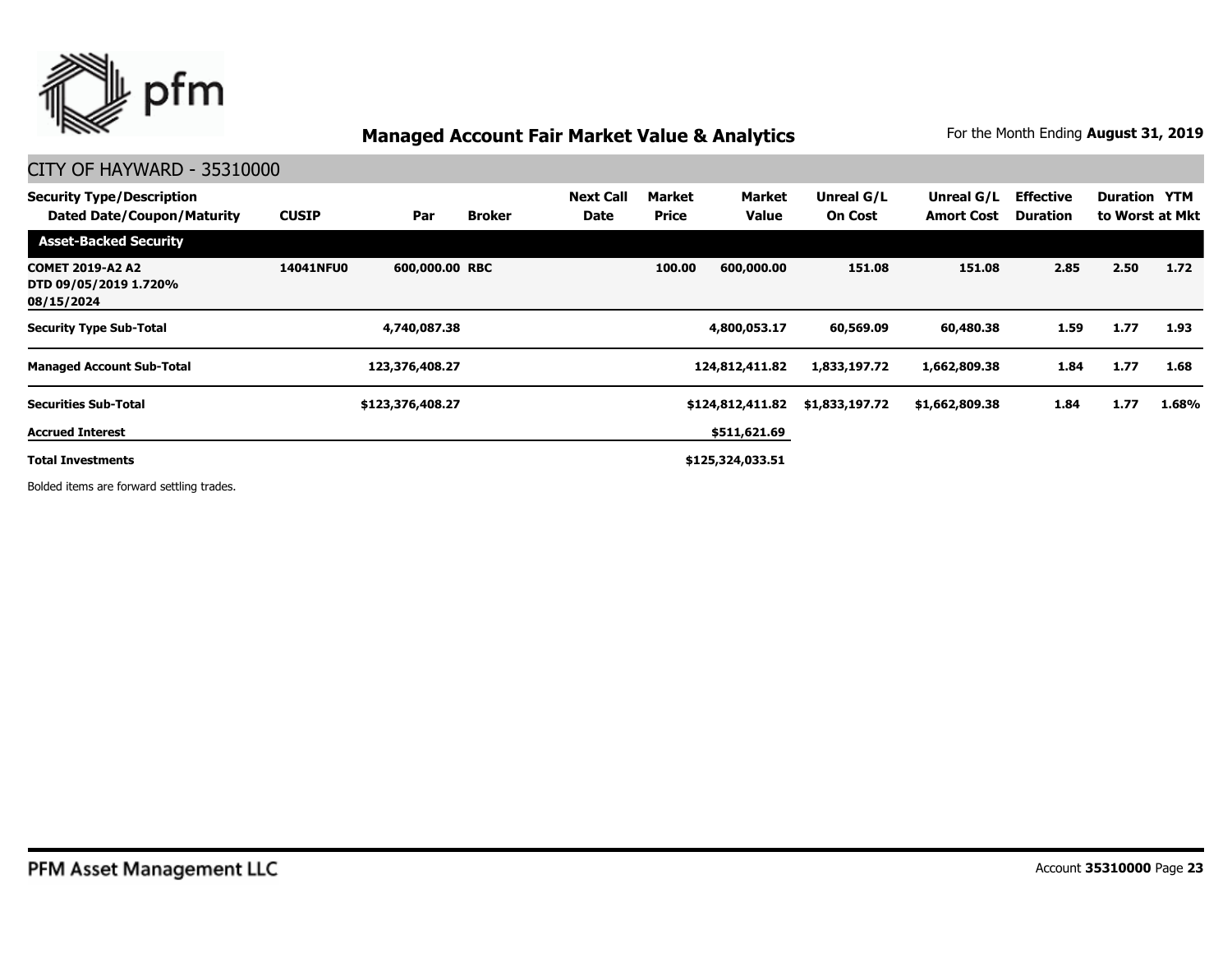

#### CITY OF HAYWARD - 35310000

| <b>Security Type/Description</b><br><b>Dated Date/Coupon/Maturity</b> | <b>CUSIP</b>     | Par              | <b>Broker</b> | <b>Next Call</b><br>Date | Market<br><b>Price</b> | Market<br><b>Value</b> | Unreal G/L<br><b>On Cost</b> | Unreal G/L<br><b>Amort Cost</b> | <b>Effective</b><br><b>Duration</b> | <b>Duration YTM</b> | to Worst at Mkt |
|-----------------------------------------------------------------------|------------------|------------------|---------------|--------------------------|------------------------|------------------------|------------------------------|---------------------------------|-------------------------------------|---------------------|-----------------|
| <b>Asset-Backed Security</b>                                          |                  |                  |               |                          |                        |                        |                              |                                 |                                     |                     |                 |
| <b>COMET 2019-A2 A2</b><br>DTD 09/05/2019 1.720%<br>08/15/2024        | <b>14041NFU0</b> | 600,000.00 RBC   |               |                          | 100.00                 | 600,000,00             | 151.08                       | 151.08                          | 2.85                                | 2.50                | 1.72            |
| <b>Security Type Sub-Total</b>                                        |                  | 4,740,087.38     |               |                          |                        | 4,800,053.17           | 60,569.09                    | 60,480.38                       | 1.59                                | 1.77                | 1.93            |
| <b>Managed Account Sub-Total</b>                                      |                  | 123,376,408.27   |               |                          |                        | 124,812,411.82         | 1,833,197.72                 | 1,662,809.38                    | 1.84                                | 1.77                | 1.68            |
| <b>Securities Sub-Total</b>                                           |                  | \$123,376,408.27 |               |                          |                        | \$124,812,411.82       | \$1,833,197.72               | \$1,662,809.38                  | 1.84                                | 1.77                | 1.68%           |
| <b>Accrued Interest</b>                                               |                  |                  |               |                          |                        | \$511,621.69           |                              |                                 |                                     |                     |                 |
| <b>Total Investments</b>                                              |                  |                  |               |                          |                        | \$125,324,033.51       |                              |                                 |                                     |                     |                 |
|                                                                       |                  |                  |               |                          |                        |                        |                              |                                 |                                     |                     |                 |

Bolded items are forward settling trades.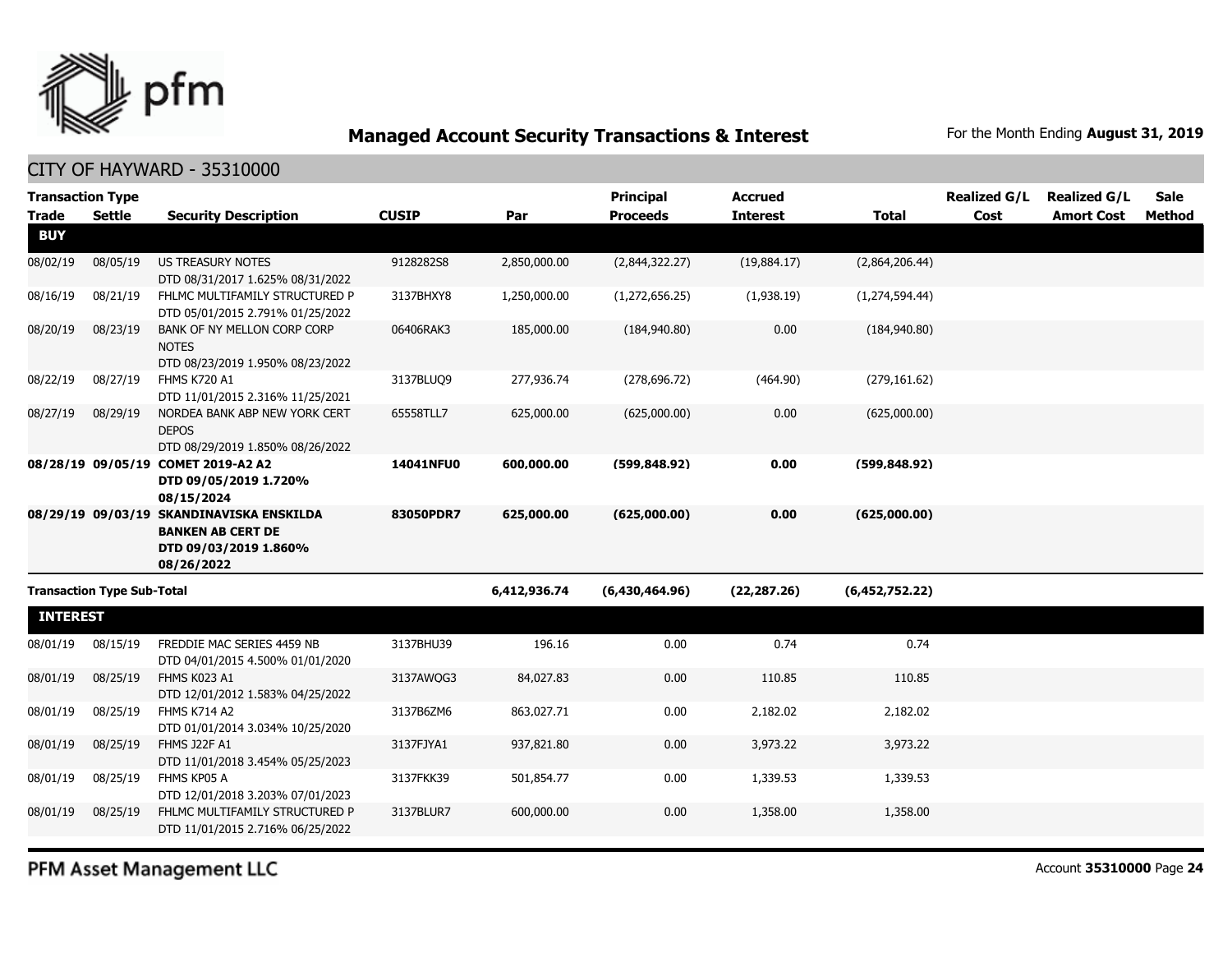

CITY OF HAYWARD - 35310000

| <b>Transaction Type</b> |                                   |                                                                    |              |              | <b>Principal</b> | <b>Accrued</b>  |                | <b>Realized G/L</b> | <b>Realized G/L</b> | Sale   |
|-------------------------|-----------------------------------|--------------------------------------------------------------------|--------------|--------------|------------------|-----------------|----------------|---------------------|---------------------|--------|
| <b>Trade</b>            | <b>Settle</b>                     | <b>Security Description</b>                                        | <b>CUSIP</b> | Par          | <b>Proceeds</b>  | <b>Interest</b> | <b>Total</b>   | Cost                | <b>Amort Cost</b>   | Method |
| <b>BUY</b>              |                                   |                                                                    |              |              |                  |                 |                |                     |                     |        |
| 08/02/19                | 08/05/19                          | <b>US TREASURY NOTES</b>                                           | 9128282S8    | 2,850,000.00 | (2,844,322.27)   | (19,884.17)     | (2,864,206.44) |                     |                     |        |
|                         |                                   | DTD 08/31/2017 1.625% 08/31/2022                                   |              |              |                  |                 |                |                     |                     |        |
| 08/16/19                | 08/21/19                          | FHLMC MULTIFAMILY STRUCTURED P<br>DTD 05/01/2015 2.791% 01/25/2022 | 3137BHXY8    | 1,250,000.00 | (1,272,656.25)   | (1,938.19)      | (1,274,594.44) |                     |                     |        |
| 08/20/19                | 08/23/19                          | BANK OF NY MELLON CORP CORP<br><b>NOTES</b>                        | 06406RAK3    | 185,000.00   | (184, 940.80)    | 0.00            | (184,940.80)   |                     |                     |        |
|                         |                                   | DTD 08/23/2019 1.950% 08/23/2022                                   |              |              |                  |                 |                |                     |                     |        |
| 08/22/19                | 08/27/19                          | <b>FHMS K720 A1</b><br>DTD 11/01/2015 2.316% 11/25/2021            | 3137BLUO9    | 277,936.74   | (278, 696.72)    | (464.90)        | (279, 161.62)  |                     |                     |        |
| 08/27/19                | 08/29/19                          | NORDEA BANK ABP NEW YORK CERT<br><b>DEPOS</b>                      | 65558TLL7    | 625,000.00   | (625,000.00)     | 0.00            | (625,000.00)   |                     |                     |        |
|                         |                                   | DTD 08/29/2019 1.850% 08/26/2022                                   |              |              |                  |                 |                |                     |                     |        |
|                         | 08/28/19 09/05/19                 | <b>COMET 2019-A2 A2</b>                                            | 14041NFU0    | 600,000.00   | (599, 848.92)    | 0.00            | (599.848.92)   |                     |                     |        |
|                         |                                   | DTD 09/05/2019 1.720%<br>08/15/2024                                |              |              |                  |                 |                |                     |                     |        |
|                         |                                   | 08/29/19 09/03/19 SKANDINAVISKA ENSKILDA                           | 83050PDR7    | 625,000.00   | (625,000.00)     | 0.00            | (625,000.00)   |                     |                     |        |
|                         |                                   | <b>BANKEN AB CERT DE</b>                                           |              |              |                  |                 |                |                     |                     |        |
|                         |                                   | DTD 09/03/2019 1.860%<br>08/26/2022                                |              |              |                  |                 |                |                     |                     |        |
|                         | <b>Transaction Type Sub-Total</b> |                                                                    |              | 6,412,936.74 | (6,430,464.96)   | (22, 287.26)    | (6,452,752.22) |                     |                     |        |
|                         |                                   |                                                                    |              |              |                  |                 |                |                     |                     |        |
| <b>INTEREST</b>         |                                   |                                                                    |              |              |                  |                 |                |                     |                     |        |
| 08/01/19                | 08/15/19                          | FREDDIE MAC SERIES 4459 NB<br>DTD 04/01/2015 4.500% 01/01/2020     | 3137BHU39    | 196.16       | 0.00             | 0.74            | 0.74           |                     |                     |        |
| 08/01/19                | 08/25/19                          | FHMS K023 A1<br>DTD 12/01/2012 1.583% 04/25/2022                   | 3137AWQG3    | 84,027.83    | 0.00             | 110.85          | 110.85         |                     |                     |        |
| 08/01/19                | 08/25/19                          | <b>FHMS K714 A2</b><br>DTD 01/01/2014 3.034% 10/25/2020            | 3137B6ZM6    | 863,027.71   | 0.00             | 2,182.02        | 2,182.02       |                     |                     |        |
| 08/01/19                | 08/25/19                          | <b>FHMS J22F A1</b>                                                | 3137FJYA1    | 937,821.80   | 0.00             | 3,973.22        | 3,973.22       |                     |                     |        |
|                         |                                   | DTD 11/01/2018 3.454% 05/25/2023                                   |              |              |                  |                 |                |                     |                     |        |
| 08/01/19                | 08/25/19                          | FHMS KP05 A<br>DTD 12/01/2018 3.203% 07/01/2023                    | 3137FKK39    | 501,854.77   | 0.00             | 1,339.53        | 1,339.53       |                     |                     |        |
| 08/01/19                | 08/25/19                          | FHLMC MULTIFAMILY STRUCTURED P<br>DTD 11/01/2015 2.716% 06/25/2022 | 3137BLUR7    | 600,000.00   | 0.00             | 1,358.00        | 1,358.00       |                     |                     |        |
|                         |                                   |                                                                    |              |              |                  |                 |                |                     |                     |        |

PFM Asset Management LLC

Account **35310000** Page **24**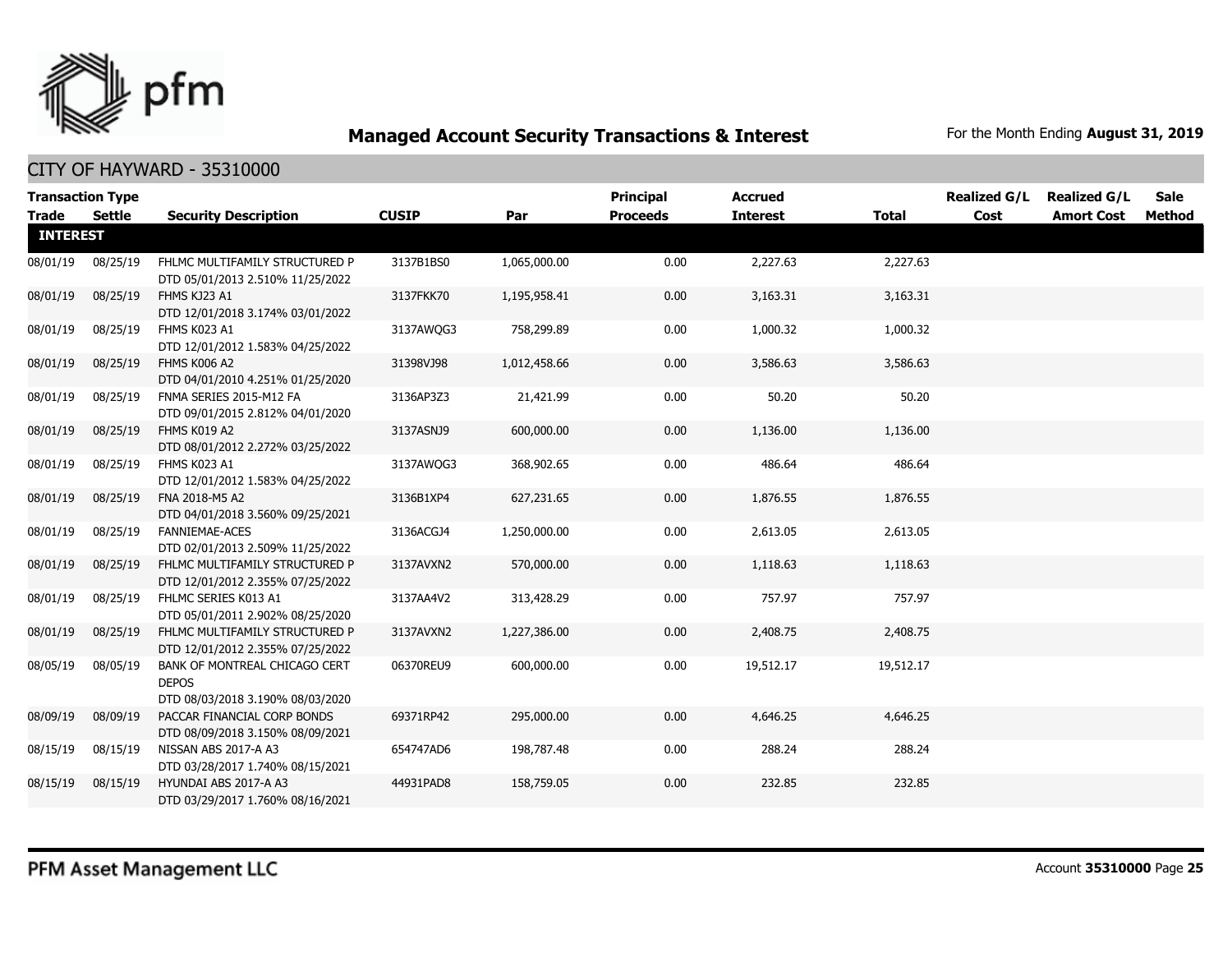

|                 | <b>Transaction Type</b> |                                                                                   |              |              | <b>Principal</b> | <b>Accrued</b>  |              | <b>Realized G/L</b> | <b>Realized G/L</b> | <b>Sale</b> |
|-----------------|-------------------------|-----------------------------------------------------------------------------------|--------------|--------------|------------------|-----------------|--------------|---------------------|---------------------|-------------|
| Trade           | Settle                  | <b>Security Description</b>                                                       | <b>CUSIP</b> | Par          | <b>Proceeds</b>  | <b>Interest</b> | <b>Total</b> | Cost                | <b>Amort Cost</b>   | Method      |
| <b>INTEREST</b> |                         |                                                                                   |              |              |                  |                 |              |                     |                     |             |
| 08/01/19        | 08/25/19                | FHLMC MULTIFAMILY STRUCTURED P<br>DTD 05/01/2013 2.510% 11/25/2022                | 3137B1BS0    | 1,065,000.00 | 0.00             | 2,227.63        | 2,227.63     |                     |                     |             |
| 08/01/19        | 08/25/19                | FHMS KJ23 A1<br>DTD 12/01/2018 3.174% 03/01/2022                                  | 3137FKK70    | 1,195,958.41 | 0.00             | 3,163.31        | 3,163.31     |                     |                     |             |
| 08/01/19        | 08/25/19                | FHMS K023 A1<br>DTD 12/01/2012 1.583% 04/25/2022                                  | 3137AWQG3    | 758,299.89   | 0.00             | 1,000.32        | 1,000.32     |                     |                     |             |
| 08/01/19        | 08/25/19                | FHMS K006 A2<br>DTD 04/01/2010 4.251% 01/25/2020                                  | 31398VJ98    | 1,012,458.66 | 0.00             | 3,586.63        | 3,586.63     |                     |                     |             |
| 08/01/19        | 08/25/19                | FNMA SERIES 2015-M12 FA<br>DTD 09/01/2015 2.812% 04/01/2020                       | 3136AP3Z3    | 21,421.99    | 0.00             | 50.20           | 50.20        |                     |                     |             |
| 08/01/19        | 08/25/19                | FHMS K019 A2<br>DTD 08/01/2012 2.272% 03/25/2022                                  | 3137ASNJ9    | 600,000.00   | 0.00             | 1,136.00        | 1,136.00     |                     |                     |             |
| 08/01/19        | 08/25/19                | FHMS K023 A1<br>DTD 12/01/2012 1.583% 04/25/2022                                  | 3137AWQG3    | 368,902.65   | 0.00             | 486.64          | 486.64       |                     |                     |             |
| 08/01/19        | 08/25/19                | FNA 2018-M5 A2<br>DTD 04/01/2018 3.560% 09/25/2021                                | 3136B1XP4    | 627,231.65   | 0.00             | 1,876.55        | 1,876.55     |                     |                     |             |
| 08/01/19        | 08/25/19                | FANNIEMAE-ACES<br>DTD 02/01/2013 2.509% 11/25/2022                                | 3136ACGJ4    | 1,250,000.00 | 0.00             | 2,613.05        | 2,613.05     |                     |                     |             |
| 08/01/19        | 08/25/19                | FHLMC MULTIFAMILY STRUCTURED P<br>DTD 12/01/2012 2.355% 07/25/2022                | 3137AVXN2    | 570,000.00   | 0.00             | 1,118.63        | 1,118.63     |                     |                     |             |
| 08/01/19        | 08/25/19                | FHLMC SERIES K013 A1<br>DTD 05/01/2011 2.902% 08/25/2020                          | 3137AA4V2    | 313,428.29   | 0.00             | 757.97          | 757.97       |                     |                     |             |
| 08/01/19        | 08/25/19                | FHLMC MULTIFAMILY STRUCTURED P<br>DTD 12/01/2012 2.355% 07/25/2022                | 3137AVXN2    | 1,227,386.00 | 0.00             | 2,408.75        | 2,408.75     |                     |                     |             |
| 08/05/19        | 08/05/19                | BANK OF MONTREAL CHICAGO CERT<br><b>DEPOS</b><br>DTD 08/03/2018 3.190% 08/03/2020 | 06370REU9    | 600,000.00   | 0.00             | 19,512.17       | 19,512.17    |                     |                     |             |
| 08/09/19        | 08/09/19                | PACCAR FINANCIAL CORP BONDS<br>DTD 08/09/2018 3.150% 08/09/2021                   | 69371RP42    | 295,000.00   | 0.00             | 4,646.25        | 4,646.25     |                     |                     |             |
| 08/15/19        | 08/15/19                | NISSAN ABS 2017-A A3<br>DTD 03/28/2017 1.740% 08/15/2021                          | 654747AD6    | 198,787.48   | 0.00             | 288.24          | 288.24       |                     |                     |             |
| 08/15/19        | 08/15/19                | HYUNDAI ABS 2017-A A3<br>DTD 03/29/2017 1.760% 08/16/2021                         | 44931PAD8    | 158,759.05   | 0.00             | 232.85          | 232.85       |                     |                     |             |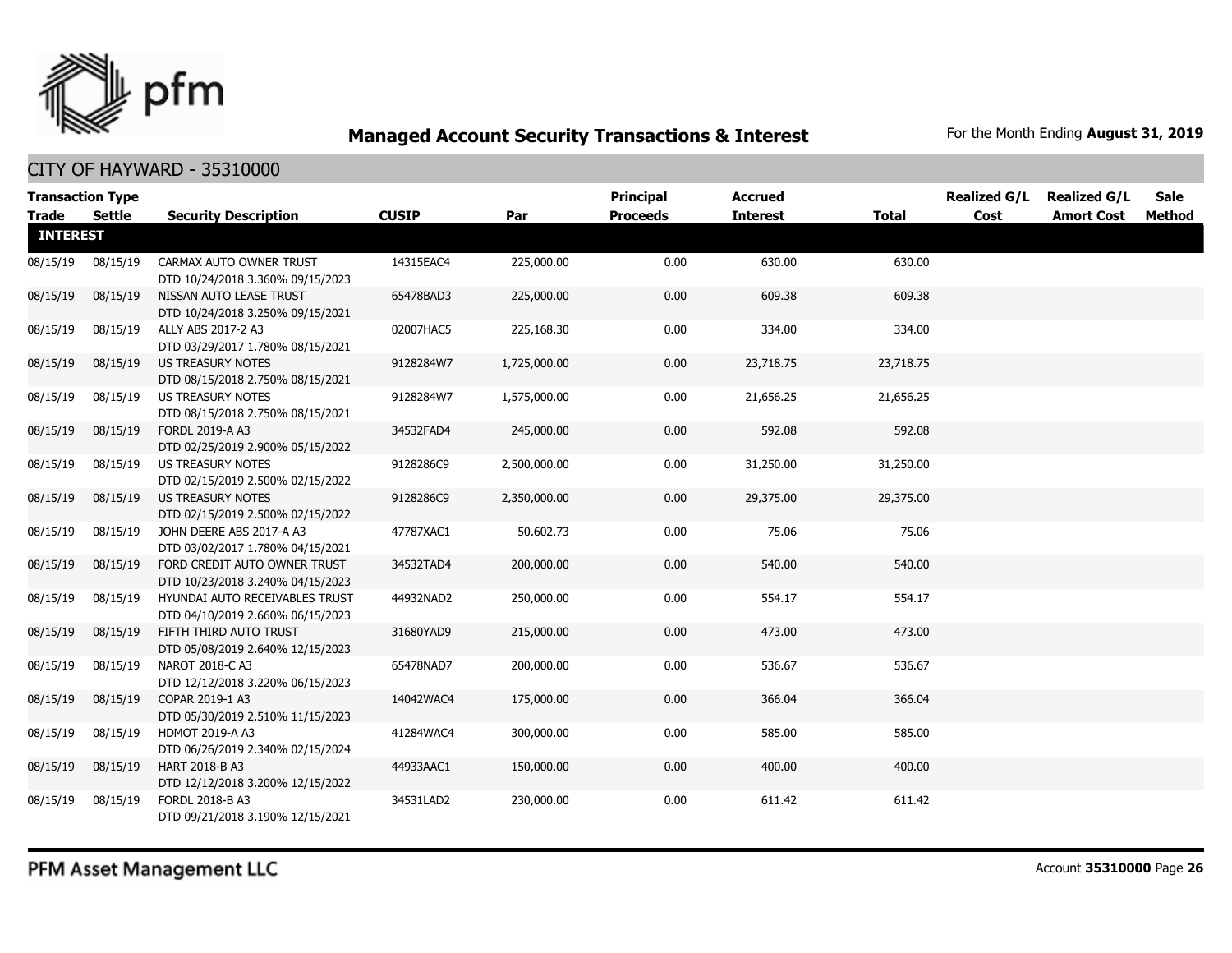

| <b>Transaction Type</b><br><b>Trade</b> | Settle   | <b>Security Description</b>                                        | <b>CUSIP</b> | Par          | <b>Principal</b><br><b>Proceeds</b> | <b>Accrued</b><br><b>Interest</b> | <b>Total</b> | <b>Realized G/L</b><br>Cost | <b>Realized G/L</b><br><b>Amort Cost</b> | <b>Sale</b><br>Method |
|-----------------------------------------|----------|--------------------------------------------------------------------|--------------|--------------|-------------------------------------|-----------------------------------|--------------|-----------------------------|------------------------------------------|-----------------------|
| <b>INTEREST</b>                         |          |                                                                    |              |              |                                     |                                   |              |                             |                                          |                       |
| 08/15/19                                | 08/15/19 | CARMAX AUTO OWNER TRUST<br>DTD 10/24/2018 3.360% 09/15/2023        | 14315EAC4    | 225,000.00   | 0.00                                | 630.00                            | 630.00       |                             |                                          |                       |
| 08/15/19                                | 08/15/19 | NISSAN AUTO LEASE TRUST<br>DTD 10/24/2018 3.250% 09/15/2021        | 65478BAD3    | 225,000.00   | 0.00                                | 609.38                            | 609.38       |                             |                                          |                       |
| 08/15/19                                | 08/15/19 | ALLY ABS 2017-2 A3<br>DTD 03/29/2017 1.780% 08/15/2021             | 02007HAC5    | 225,168.30   | 0.00                                | 334.00                            | 334.00       |                             |                                          |                       |
| 08/15/19                                | 08/15/19 | US TREASURY NOTES<br>DTD 08/15/2018 2.750% 08/15/2021              | 9128284W7    | 1,725,000.00 | 0.00                                | 23,718.75                         | 23,718.75    |                             |                                          |                       |
| 08/15/19                                | 08/15/19 | US TREASURY NOTES<br>DTD 08/15/2018 2.750% 08/15/2021              | 9128284W7    | 1,575,000.00 | 0.00                                | 21,656.25                         | 21,656.25    |                             |                                          |                       |
| 08/15/19                                | 08/15/19 | FORDL 2019-A A3<br>DTD 02/25/2019 2.900% 05/15/2022                | 34532FAD4    | 245,000.00   | 0.00                                | 592.08                            | 592.08       |                             |                                          |                       |
| 08/15/19                                | 08/15/19 | US TREASURY NOTES<br>DTD 02/15/2019 2.500% 02/15/2022              | 9128286C9    | 2,500,000.00 | 0.00                                | 31,250.00                         | 31,250.00    |                             |                                          |                       |
| 08/15/19                                | 08/15/19 | <b>US TREASURY NOTES</b><br>DTD 02/15/2019 2.500% 02/15/2022       | 9128286C9    | 2,350,000.00 | 0.00                                | 29,375.00                         | 29,375.00    |                             |                                          |                       |
| 08/15/19                                | 08/15/19 | JOHN DEERE ABS 2017-A A3<br>DTD 03/02/2017 1.780% 04/15/2021       | 47787XAC1    | 50,602.73    | 0.00                                | 75.06                             | 75.06        |                             |                                          |                       |
| 08/15/19                                | 08/15/19 | FORD CREDIT AUTO OWNER TRUST<br>DTD 10/23/2018 3.240% 04/15/2023   | 34532TAD4    | 200,000.00   | 0.00                                | 540.00                            | 540.00       |                             |                                          |                       |
| 08/15/19                                | 08/15/19 | HYUNDAI AUTO RECEIVABLES TRUST<br>DTD 04/10/2019 2.660% 06/15/2023 | 44932NAD2    | 250,000.00   | 0.00                                | 554.17                            | 554.17       |                             |                                          |                       |
| 08/15/19                                | 08/15/19 | FIFTH THIRD AUTO TRUST<br>DTD 05/08/2019 2.640% 12/15/2023         | 31680YAD9    | 215,000.00   | 0.00                                | 473.00                            | 473.00       |                             |                                          |                       |
| 08/15/19                                | 08/15/19 | NAROT 2018-C A3<br>DTD 12/12/2018 3.220% 06/15/2023                | 65478NAD7    | 200,000.00   | 0.00                                | 536.67                            | 536.67       |                             |                                          |                       |
| 08/15/19                                | 08/15/19 | COPAR 2019-1 A3<br>DTD 05/30/2019 2.510% 11/15/2023                | 14042WAC4    | 175,000.00   | 0.00                                | 366.04                            | 366.04       |                             |                                          |                       |
| 08/15/19                                | 08/15/19 | HDMOT 2019-A A3<br>DTD 06/26/2019 2.340% 02/15/2024                | 41284WAC4    | 300,000.00   | 0.00                                | 585.00                            | 585.00       |                             |                                          |                       |
| 08/15/19                                | 08/15/19 | HART 2018-B A3<br>DTD 12/12/2018 3.200% 12/15/2022                 | 44933AAC1    | 150,000.00   | 0.00                                | 400.00                            | 400.00       |                             |                                          |                       |
| 08/15/19                                | 08/15/19 | FORDL 2018-B A3<br>DTD 09/21/2018 3.190% 12/15/2021                | 34531LAD2    | 230,000.00   | 0.00                                | 611.42                            | 611.42       |                             |                                          |                       |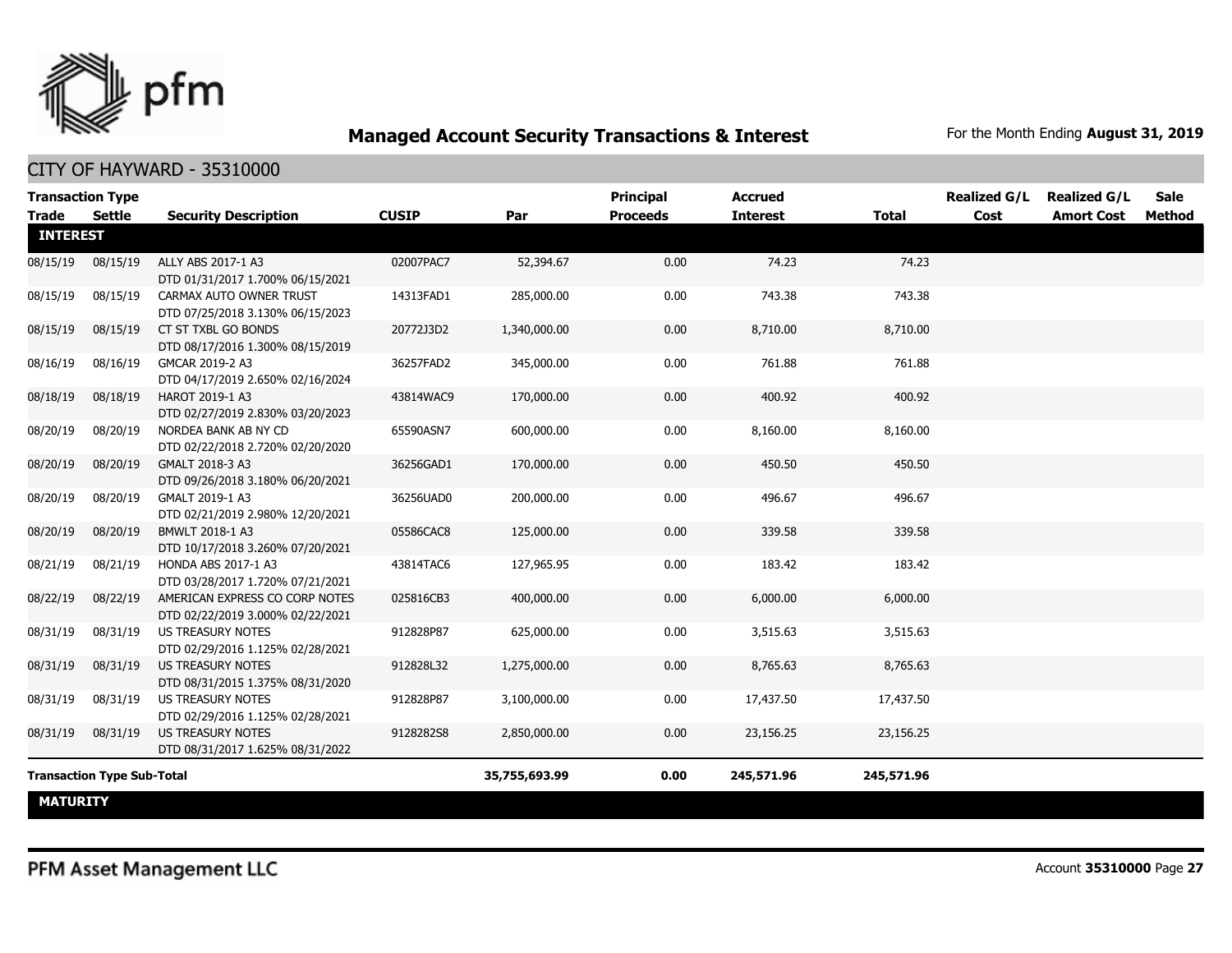

| <b>Transaction Type</b><br><b>Trade</b> | <b>Settle</b>                     | <b>Security Description</b>                                        | <b>CUSIP</b> | Par           | Principal<br><b>Proceeds</b> | <b>Accrued</b><br><b>Interest</b> | <b>Total</b> | <b>Realized G/L</b><br>Cost | <b>Realized G/L</b><br><b>Amort Cost</b> | Sale<br>Method |
|-----------------------------------------|-----------------------------------|--------------------------------------------------------------------|--------------|---------------|------------------------------|-----------------------------------|--------------|-----------------------------|------------------------------------------|----------------|
| <b>INTEREST</b>                         |                                   |                                                                    |              |               |                              |                                   |              |                             |                                          |                |
| 08/15/19                                | 08/15/19                          | ALLY ABS 2017-1 A3<br>DTD 01/31/2017 1.700% 06/15/2021             | 02007PAC7    | 52,394.67     | 0.00                         | 74.23                             | 74.23        |                             |                                          |                |
| 08/15/19                                | 08/15/19                          | CARMAX AUTO OWNER TRUST<br>DTD 07/25/2018 3.130% 06/15/2023        | 14313FAD1    | 285,000.00    | 0.00                         | 743.38                            | 743.38       |                             |                                          |                |
| 08/15/19                                | 08/15/19                          | CT ST TXBL GO BONDS<br>DTD 08/17/2016 1.300% 08/15/2019            | 20772J3D2    | 1,340,000.00  | 0.00                         | 8,710.00                          | 8,710.00     |                             |                                          |                |
| 08/16/19                                | 08/16/19                          | GMCAR 2019-2 A3<br>DTD 04/17/2019 2.650% 02/16/2024                | 36257FAD2    | 345,000.00    | 0.00                         | 761.88                            | 761.88       |                             |                                          |                |
| 08/18/19                                | 08/18/19                          | HAROT 2019-1 A3<br>DTD 02/27/2019 2.830% 03/20/2023                | 43814WAC9    | 170,000.00    | 0.00                         | 400.92                            | 400.92       |                             |                                          |                |
| 08/20/19                                | 08/20/19                          | NORDEA BANK AB NY CD<br>DTD 02/22/2018 2.720% 02/20/2020           | 65590ASN7    | 600,000.00    | 0.00                         | 8,160.00                          | 8,160.00     |                             |                                          |                |
| 08/20/19                                | 08/20/19                          | GMALT 2018-3 A3<br>DTD 09/26/2018 3.180% 06/20/2021                | 36256GAD1    | 170,000.00    | 0.00                         | 450.50                            | 450.50       |                             |                                          |                |
| 08/20/19                                | 08/20/19                          | GMALT 2019-1 A3<br>DTD 02/21/2019 2.980% 12/20/2021                | 36256UAD0    | 200,000.00    | 0.00                         | 496.67                            | 496.67       |                             |                                          |                |
| 08/20/19                                | 08/20/19                          | BMWLT 2018-1 A3<br>DTD 10/17/2018 3.260% 07/20/2021                | 05586CAC8    | 125,000.00    | 0.00                         | 339.58                            | 339.58       |                             |                                          |                |
| 08/21/19                                | 08/21/19                          | HONDA ABS 2017-1 A3<br>DTD 03/28/2017 1.720% 07/21/2021            | 43814TAC6    | 127,965.95    | 0.00                         | 183.42                            | 183.42       |                             |                                          |                |
| 08/22/19                                | 08/22/19                          | AMERICAN EXPRESS CO CORP NOTES<br>DTD 02/22/2019 3.000% 02/22/2021 | 025816CB3    | 400,000.00    | 0.00                         | 6,000.00                          | 6,000.00     |                             |                                          |                |
| 08/31/19                                | 08/31/19                          | <b>US TREASURY NOTES</b><br>DTD 02/29/2016 1.125% 02/28/2021       | 912828P87    | 625,000.00    | 0.00                         | 3,515.63                          | 3,515.63     |                             |                                          |                |
| 08/31/19                                | 08/31/19                          | <b>US TREASURY NOTES</b><br>DTD 08/31/2015 1.375% 08/31/2020       | 912828L32    | 1,275,000.00  | 0.00                         | 8,765.63                          | 8,765.63     |                             |                                          |                |
| 08/31/19                                | 08/31/19                          | <b>US TREASURY NOTES</b><br>DTD 02/29/2016 1.125% 02/28/2021       | 912828P87    | 3,100,000.00  | 0.00                         | 17,437.50                         | 17,437.50    |                             |                                          |                |
| 08/31/19                                | 08/31/19                          | <b>US TREASURY NOTES</b><br>DTD 08/31/2017 1.625% 08/31/2022       | 9128282S8    | 2,850,000.00  | 0.00                         | 23,156.25                         | 23,156.25    |                             |                                          |                |
|                                         | <b>Transaction Type Sub-Total</b> |                                                                    |              | 35,755,693.99 | 0.00                         | 245,571.96                        | 245,571.96   |                             |                                          |                |
| <b>MATURITY</b>                         |                                   |                                                                    |              |               |                              |                                   |              |                             |                                          |                |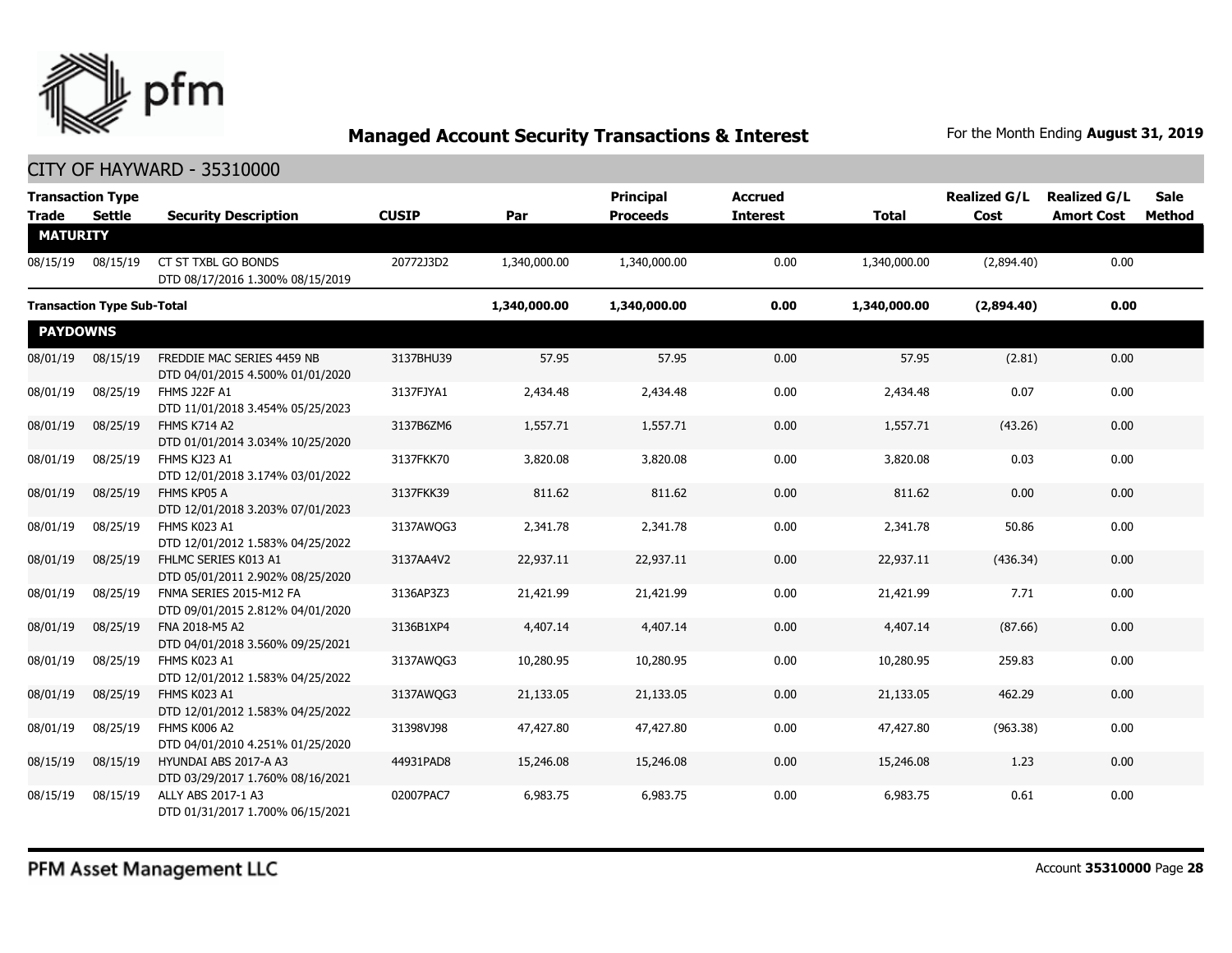

|                 | <b>Transaction Type</b>           |                                                                |              |              | <b>Principal</b> | <b>Accrued</b>  |              | <b>Realized G/L</b> | <b>Realized G/L</b> | <b>Sale</b> |
|-----------------|-----------------------------------|----------------------------------------------------------------|--------------|--------------|------------------|-----------------|--------------|---------------------|---------------------|-------------|
| <b>Trade</b>    | Settle                            | <b>Security Description</b>                                    | <b>CUSIP</b> | Par          | <b>Proceeds</b>  | <b>Interest</b> | <b>Total</b> | Cost                | <b>Amort Cost</b>   | Method      |
| <b>MATURITY</b> |                                   |                                                                |              |              |                  |                 |              |                     |                     |             |
| 08/15/19        | 08/15/19                          | CT ST TXBL GO BONDS<br>DTD 08/17/2016 1.300% 08/15/2019        | 20772J3D2    | 1,340,000.00 | 1,340,000.00     | 0.00            | 1,340,000.00 | (2,894.40)          | 0.00                |             |
|                 | <b>Transaction Type Sub-Total</b> |                                                                |              | 1,340,000.00 | 1,340,000.00     | 0.00            | 1,340,000.00 | (2,894.40)          | 0.00                |             |
| <b>PAYDOWNS</b> |                                   |                                                                |              |              |                  |                 |              |                     |                     |             |
| 08/01/19        | 08/15/19                          | FREDDIE MAC SERIES 4459 NB<br>DTD 04/01/2015 4.500% 01/01/2020 | 3137BHU39    | 57.95        | 57.95            | 0.00            | 57.95        | (2.81)              | 0.00                |             |
| 08/01/19        | 08/25/19                          | <b>FHMS J22F A1</b><br>DTD 11/01/2018 3.454% 05/25/2023        | 3137FJYA1    | 2,434.48     | 2,434.48         | 0.00            | 2,434.48     | 0.07                | 0.00                |             |
| 08/01/19        | 08/25/19                          | <b>FHMS K714 A2</b><br>DTD 01/01/2014 3.034% 10/25/2020        | 3137B6ZM6    | 1,557.71     | 1,557.71         | 0.00            | 1,557.71     | (43.26)             | 0.00                |             |
| 08/01/19        | 08/25/19                          | FHMS KJ23 A1<br>DTD 12/01/2018 3.174% 03/01/2022               | 3137FKK70    | 3,820.08     | 3,820.08         | 0.00            | 3,820.08     | 0.03                | 0.00                |             |
| 08/01/19        | 08/25/19                          | FHMS KP05 A<br>DTD 12/01/2018 3.203% 07/01/2023                | 3137FKK39    | 811.62       | 811.62           | 0.00            | 811.62       | 0.00                | 0.00                |             |
| 08/01/19        | 08/25/19                          | FHMS K023 A1<br>DTD 12/01/2012 1.583% 04/25/2022               | 3137AWQG3    | 2,341.78     | 2,341.78         | 0.00            | 2,341.78     | 50.86               | 0.00                |             |
| 08/01/19        | 08/25/19                          | FHLMC SERIES K013 A1<br>DTD 05/01/2011 2.902% 08/25/2020       | 3137AA4V2    | 22,937.11    | 22,937.11        | 0.00            | 22,937.11    | (436.34)            | 0.00                |             |
| 08/01/19        | 08/25/19                          | FNMA SERIES 2015-M12 FA<br>DTD 09/01/2015 2.812% 04/01/2020    | 3136AP3Z3    | 21,421.99    | 21,421.99        | 0.00            | 21,421.99    | 7.71                | 0.00                |             |
| 08/01/19        | 08/25/19                          | FNA 2018-M5 A2<br>DTD 04/01/2018 3.560% 09/25/2021             | 3136B1XP4    | 4,407.14     | 4,407.14         | 0.00            | 4,407.14     | (87.66)             | 0.00                |             |
| 08/01/19        | 08/25/19                          | FHMS K023 A1<br>DTD 12/01/2012 1.583% 04/25/2022               | 3137AWQG3    | 10,280.95    | 10,280.95        | 0.00            | 10,280.95    | 259.83              | 0.00                |             |
| 08/01/19        | 08/25/19                          | FHMS K023 A1<br>DTD 12/01/2012 1.583% 04/25/2022               | 3137AWQG3    | 21,133.05    | 21,133.05        | 0.00            | 21,133.05    | 462.29              | 0.00                |             |
| 08/01/19        | 08/25/19                          | <b>FHMS K006 A2</b><br>DTD 04/01/2010 4.251% 01/25/2020        | 31398VJ98    | 47,427.80    | 47,427.80        | 0.00            | 47,427.80    | (963.38)            | 0.00                |             |
| 08/15/19        | 08/15/19                          | HYUNDAI ABS 2017-A A3<br>DTD 03/29/2017 1.760% 08/16/2021      | 44931PAD8    | 15,246.08    | 15,246.08        | 0.00            | 15,246.08    | 1.23                | 0.00                |             |
| 08/15/19        | 08/15/19                          | ALLY ABS 2017-1 A3<br>DTD 01/31/2017 1.700% 06/15/2021         | 02007PAC7    | 6,983.75     | 6,983.75         | 0.00            | 6,983.75     | 0.61                | 0.00                |             |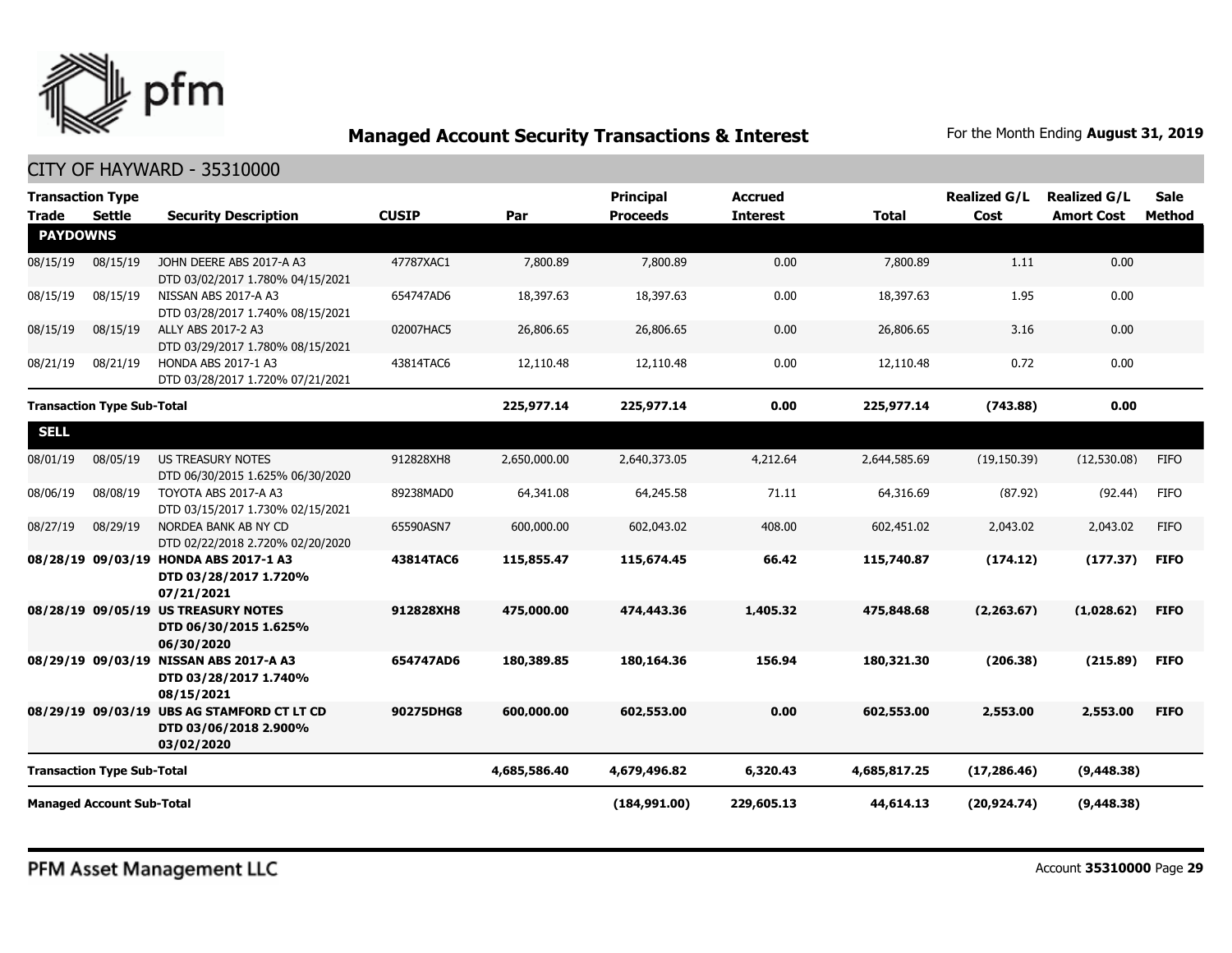

| <b>Transaction Type</b>           |                                   |                                                                                   |              |              | <b>Principal</b> | <b>Accrued</b>  |              | <b>Realized G/L</b> | <b>Realized G/L</b> | <b>Sale</b> |
|-----------------------------------|-----------------------------------|-----------------------------------------------------------------------------------|--------------|--------------|------------------|-----------------|--------------|---------------------|---------------------|-------------|
| <b>Trade</b>                      | <b>Settle</b>                     | <b>Security Description</b>                                                       | <b>CUSIP</b> | Par          | <b>Proceeds</b>  | <b>Interest</b> | <b>Total</b> | Cost                | <b>Amort Cost</b>   | Method      |
| <b>PAYDOWNS</b>                   |                                   |                                                                                   |              |              |                  |                 |              |                     |                     |             |
| 08/15/19                          | 08/15/19                          | JOHN DEERE ABS 2017-A A3<br>DTD 03/02/2017 1.780% 04/15/2021                      | 47787XAC1    | 7,800.89     | 7,800.89         | 0.00            | 7,800.89     | 1.11                | 0.00                |             |
| 08/15/19                          | 08/15/19                          | NISSAN ABS 2017-A A3<br>DTD 03/28/2017 1.740% 08/15/2021                          | 654747AD6    | 18,397.63    | 18,397.63        | 0.00            | 18,397.63    | 1.95                | 0.00                |             |
| 08/15/19                          | 08/15/19                          | ALLY ABS 2017-2 A3<br>DTD 03/29/2017 1.780% 08/15/2021                            | 02007HAC5    | 26,806.65    | 26,806.65        | 0.00            | 26,806.65    | 3.16                | 0.00                |             |
| 08/21/19                          | 08/21/19                          | HONDA ABS 2017-1 A3<br>DTD 03/28/2017 1.720% 07/21/2021                           | 43814TAC6    | 12,110.48    | 12,110.48        | 0.00            | 12,110.48    | 0.72                | 0.00                |             |
| <b>Transaction Type Sub-Total</b> |                                   |                                                                                   |              | 225,977.14   | 225,977.14       | 0.00            | 225,977.14   | (743.88)            | 0.00                |             |
| <b>SELL</b>                       |                                   |                                                                                   |              |              |                  |                 |              |                     |                     |             |
| 08/01/19                          | 08/05/19                          | <b>US TREASURY NOTES</b><br>DTD 06/30/2015 1.625% 06/30/2020                      | 912828XH8    | 2,650,000.00 | 2,640,373.05     | 4,212.64        | 2,644,585.69 | (19, 150.39)        | (12,530.08)         | <b>FIFO</b> |
| 08/06/19                          | 08/08/19                          | TOYOTA ABS 2017-A A3<br>DTD 03/15/2017 1.730% 02/15/2021                          | 89238MAD0    | 64,341.08    | 64,245.58        | 71.11           | 64,316.69    | (87.92)             | (92.44)             | <b>FIFO</b> |
| 08/27/19                          | 08/29/19                          | NORDEA BANK AB NY CD<br>DTD 02/22/2018 2.720% 02/20/2020                          | 65590ASN7    | 600,000.00   | 602,043.02       | 408.00          | 602,451.02   | 2,043.02            | 2,043.02            | <b>FIFO</b> |
|                                   | 08/28/19 09/03/19                 | <b>HONDA ABS 2017-1 A3</b><br>DTD 03/28/2017 1.720%<br>07/21/2021                 | 43814TAC6    | 115,855.47   | 115,674.45       | 66.42           | 115,740.87   | (174.12)            | (177.37)            | <b>FIFO</b> |
|                                   |                                   | 08/28/19 09/05/19 US TREASURY NOTES<br>DTD 06/30/2015 1.625%<br>06/30/2020        | 912828XH8    | 475,000.00   | 474,443.36       | 1,405.32        | 475,848,68   | (2,263.67)          | (1,028.62)          | <b>FIFO</b> |
|                                   |                                   | 08/29/19 09/03/19 NISSAN ABS 2017-A A3<br>DTD 03/28/2017 1.740%<br>08/15/2021     | 654747AD6    | 180,389.85   | 180,164,36       | 156.94          | 180,321.30   | (206.38)            | (215.89)            | <b>FIFO</b> |
|                                   |                                   | 08/29/19 09/03/19 UBS AG STAMFORD CT LT CD<br>DTD 03/06/2018 2.900%<br>03/02/2020 | 90275DHG8    | 600,000.00   | 602,553.00       | 0.00            | 602,553.00   | 2,553.00            | 2,553.00            | <b>FIFO</b> |
|                                   | <b>Transaction Type Sub-Total</b> |                                                                                   |              | 4,685,586.40 | 4,679,496.82     | 6,320.43        | 4,685,817.25 | (17, 286.46)        | (9, 448.38)         |             |
|                                   | <b>Managed Account Sub-Total</b>  |                                                                                   |              |              | (184, 991.00)    | 229,605.13      | 44,614.13    | (20, 924.74)        | (9, 448.38)         |             |